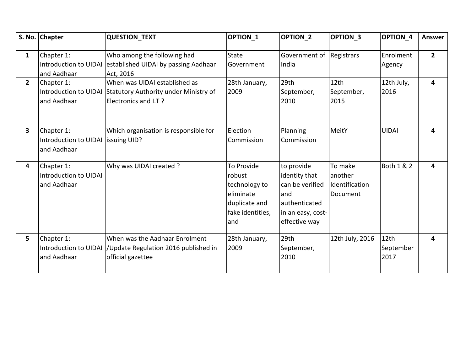|                | S. No. Chapter                                                  | <b>QUESTION_TEXT</b>                                                                                                 | <b>OPTION 1</b>                                                                                | <b>OPTION 2</b>                                                                                                | <b>OPTION 3</b>                                  | OPTION 4                  | <b>Answer</b>  |
|----------------|-----------------------------------------------------------------|----------------------------------------------------------------------------------------------------------------------|------------------------------------------------------------------------------------------------|----------------------------------------------------------------------------------------------------------------|--------------------------------------------------|---------------------------|----------------|
| $\mathbf{1}$   | Chapter 1:<br>and Aadhaar                                       | Who among the following had<br>Introduction to UIDAI established UIDAI by passing Aadhaar<br>Act, 2016               | <b>State</b><br>Government                                                                     | Government of Registrars<br>India                                                                              |                                                  | Enrolment<br>Agency       | $\overline{2}$ |
| 2 <sup>1</sup> | Chapter 1:<br>and Aadhaar                                       | When was UIDAI established as<br>Introduction to UIDAI Statutory Authority under Ministry of<br>Electronics and I.T? | 28th January,<br>2009                                                                          | 29th<br>September,<br>2010                                                                                     | 12th<br>September,<br>2015                       | 12th July,<br>2016        | 4              |
| 3              | Chapter 1:<br>Introduction to UIDAI Issuing UID?<br>and Aadhaar | Which organisation is responsible for                                                                                | Election<br>Commission                                                                         | <b>Planning</b><br>Commission                                                                                  | MeitY                                            | <b>UIDAI</b>              | 4              |
| 4              | Chapter 1:<br>Introduction to UIDAI<br>and Aadhaar              | Why was UIDAI created ?                                                                                              | To Provide<br>robust<br>technology to<br>eliminate<br>duplicate and<br>fake identities,<br>and | to provide<br>identity that<br>can be verified<br>land<br>lauthenticated<br>in an easy, cost-<br>effective way | To make<br>another<br>Identification<br>Document | Both 1 & 2                | 4              |
| 5              | Chapter 1:<br>and Aadhaar                                       | When was the Aadhaar Enrolment<br>Introduction to UIDAI  /Update Regulation 2016 published in<br>official gazettee   | 28th January,<br>2009                                                                          | 29th<br>September,<br>2010                                                                                     | 12th July, 2016                                  | 12th<br>September<br>2017 | 4              |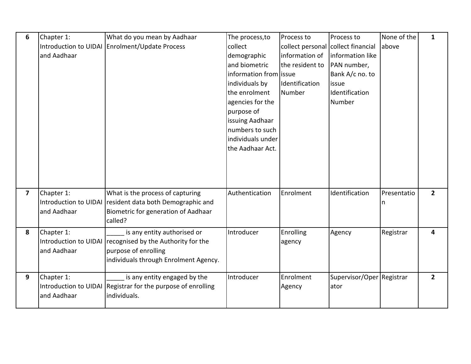| 6                       | Chapter 1:  | What do you mean by Aadhaar                                  | The process, to         | Process to       | Process to                         | None of the | $\mathbf{1}$   |
|-------------------------|-------------|--------------------------------------------------------------|-------------------------|------------------|------------------------------------|-------------|----------------|
|                         |             | Introduction to UIDAI Enrolment/Update Process               | collect                 |                  | collect personal collect financial | above       |                |
|                         | and Aadhaar |                                                              | demographic             | information of   | information like                   |             |                |
|                         |             |                                                              | and biometric           | the resident to  | PAN number,                        |             |                |
|                         |             |                                                              | information from lissue |                  | Bank A/c no. to                    |             |                |
|                         |             |                                                              | individuals by          | Identification   | issue                              |             |                |
|                         |             |                                                              | the enrolment           | Number           | Identification                     |             |                |
|                         |             |                                                              | agencies for the        |                  | Number                             |             |                |
|                         |             |                                                              | purpose of              |                  |                                    |             |                |
|                         |             |                                                              | issuing Aadhaar         |                  |                                    |             |                |
|                         |             |                                                              | numbers to such         |                  |                                    |             |                |
|                         |             |                                                              | individuals under       |                  |                                    |             |                |
|                         |             |                                                              | the Aadhaar Act.        |                  |                                    |             |                |
|                         |             |                                                              |                         |                  |                                    |             |                |
|                         |             |                                                              |                         |                  |                                    |             |                |
|                         |             |                                                              |                         |                  |                                    |             |                |
|                         |             |                                                              | Authentication          | Enrolment        | Identification                     | Presentatio | $\overline{2}$ |
| $\overline{\mathbf{z}}$ | Chapter 1:  | What is the process of capturing                             |                         |                  |                                    |             |                |
|                         | and Aadhaar | Introduction to UIDAI resident data both Demographic and     |                         |                  |                                    | n           |                |
|                         |             | Biometric for generation of Aadhaar<br>called?               |                         |                  |                                    |             |                |
|                         |             |                                                              |                         |                  |                                    |             |                |
| 8                       | Chapter 1:  | is any entity authorised or                                  | Introducer              | <b>Enrolling</b> | Agency                             | Registrar   | 4              |
|                         |             | Introduction to UIDAI recognised by the Authority for the    |                         | agency           |                                    |             |                |
|                         | and Aadhaar | purpose of enrolling                                         |                         |                  |                                    |             |                |
|                         |             | individuals through Enrolment Agency.                        |                         |                  |                                    |             |                |
| 9                       | Chapter 1:  | is any entity engaged by the                                 | Introducer              | Enrolment        | Supervisor/Oper Registrar          |             | $\overline{2}$ |
|                         |             | Introduction to UIDAI Registrar for the purpose of enrolling |                         | Agency           | ator                               |             |                |
|                         | and Aadhaar | individuals.                                                 |                         |                  |                                    |             |                |
|                         |             |                                                              |                         |                  |                                    |             |                |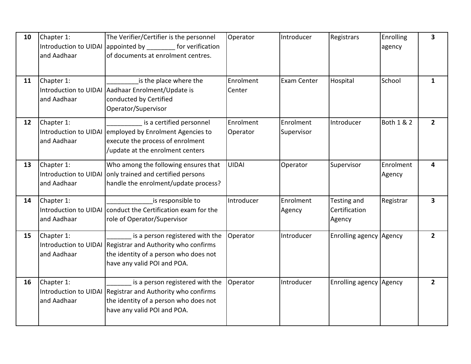| 10 | Chapter 1:<br>and Aadhaar                          | The Verifier/Certifier is the personnel<br>Introduction to UIDAI appointed by for verification<br>of documents at enrolment centres.                                  | Operator              | Introducer              | Registrars                             | Enrolling<br>agency   | $\overline{\mathbf{3}}$ |
|----|----------------------------------------------------|-----------------------------------------------------------------------------------------------------------------------------------------------------------------------|-----------------------|-------------------------|----------------------------------------|-----------------------|-------------------------|
| 11 | Chapter 1:<br>and Aadhaar                          | is the place where the<br>Introduction to UIDAI Aadhaar Enrolment/Update is<br>conducted by Certified<br>Operator/Supervisor                                          | Enrolment<br>Center   | Exam Center             | Hospital                               | School                | $\mathbf{1}$            |
| 12 | Chapter 1:<br>and Aadhaar                          | is a certified personnel<br>Introduction to UIDAI employed by Enrolment Agencies to<br>execute the process of enrolment<br>update at the enrolment centers            | Enrolment<br>Operator | Enrolment<br>Supervisor | Introducer                             | <b>Both 1 &amp; 2</b> | $2^{\circ}$             |
| 13 | Chapter 1:<br>Introduction to UIDAI<br>and Aadhaar | Who among the following ensures that<br>only trained and certified persons<br>handle the enrolment/update process?                                                    | <b>UIDAI</b>          | Operator                | Supervisor                             | Enrolment<br>Agency   | 4                       |
| 14 | Chapter 1:<br>and Aadhaar                          | is responsible to<br>Introduction to UIDAI conduct the Certification exam for the<br>role of Operator/Supervisor                                                      | Introducer            | Enrolment<br>Agency     | Testing and<br>Certification<br>Agency | Registrar             | 3                       |
| 15 | Chapter 1:<br>and Aadhaar                          | is a person registered with the<br>Introduction to UIDAI Registrar and Authority who confirms<br>the identity of a person who does not<br>have any valid POI and POA. | Operator              | Introducer              | Enrolling agency Agency                |                       | $\overline{2}$          |
| 16 | Chapter 1:<br>and Aadhaar                          | is a person registered with the<br>Introduction to UIDAI Registrar and Authority who confirms<br>the identity of a person who does not<br>have any valid POI and POA. | Operator              | Introducer              | Enrolling agency Agency                |                       | $\overline{2}$          |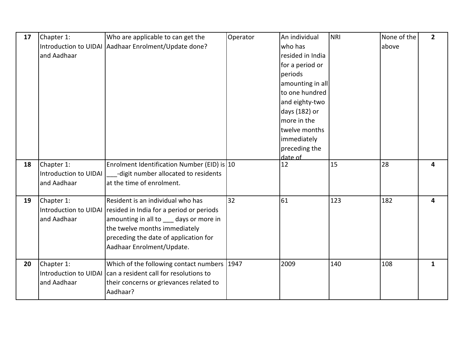| 17 | Chapter 1:            | Who are applicable to can get the                              | Operator | An individual    | <b>NRI</b> | None of the | $\mathbf{2}$ |
|----|-----------------------|----------------------------------------------------------------|----------|------------------|------------|-------------|--------------|
|    |                       | Introduction to UIDAI Aadhaar Enrolment/Update done?           |          | who has          |            | above       |              |
|    | and Aadhaar           |                                                                |          | resided in India |            |             |              |
|    |                       |                                                                |          | for a period or  |            |             |              |
|    |                       |                                                                |          | periods          |            |             |              |
|    |                       |                                                                |          | amounting in all |            |             |              |
|    |                       |                                                                |          | to one hundred   |            |             |              |
|    |                       |                                                                |          | and eighty-two   |            |             |              |
|    |                       |                                                                |          | days (182) or    |            |             |              |
|    |                       |                                                                |          | more in the      |            |             |              |
|    |                       |                                                                |          | twelve months    |            |             |              |
|    |                       |                                                                |          | immediately      |            |             |              |
|    |                       |                                                                |          | preceding the    |            |             |              |
|    |                       |                                                                |          | date of          |            |             |              |
| 18 | Chapter 1:            | Enrolment Identification Number (EID) is 10                    |          | 12               | 15         | 28          | 4            |
|    | Introduction to UIDAI | -digit number allocated to residents                           |          |                  |            |             |              |
|    | and Aadhaar           | at the time of enrolment.                                      |          |                  |            |             |              |
| 19 | Chapter 1:            | Resident is an individual who has                              | 32       | 61               | 123        | 182         | 4            |
|    |                       | Introduction to UIDAI resided in India for a period or periods |          |                  |            |             |              |
|    | and Aadhaar           | amounting in all to days or more in                            |          |                  |            |             |              |
|    |                       | the twelve months immediately                                  |          |                  |            |             |              |
|    |                       | preceding the date of application for                          |          |                  |            |             |              |
|    |                       | Aadhaar Enrolment/Update.                                      |          |                  |            |             |              |
| 20 | Chapter 1:            | Which of the following contact numbers   1947                  |          | 2009             | 140        | 108         | $\mathbf{1}$ |
|    |                       | Introduction to UIDAI can a resident call for resolutions to   |          |                  |            |             |              |
|    | and Aadhaar           | their concerns or grievances related to                        |          |                  |            |             |              |
|    |                       | Aadhaar?                                                       |          |                  |            |             |              |
|    |                       |                                                                |          |                  |            |             |              |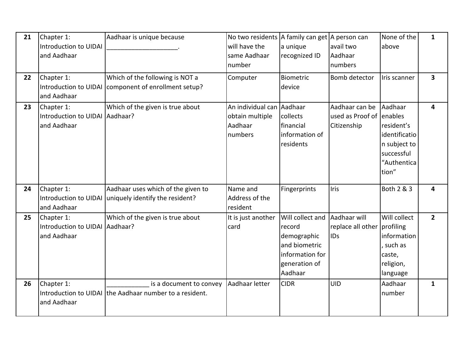| 21 | Chapter 1:<br>Introduction to UIDAI<br>and Aadhaar          | Aadhaar is unique because                                                                   | No two residents A family can get A person can<br>will have the<br>same Aadhaar<br>number | a unique<br>recognized ID                                                                                 | avail two<br>Aadhaar<br>numbers                           | None of the<br>above                                                                         | $\mathbf{1}$            |
|----|-------------------------------------------------------------|---------------------------------------------------------------------------------------------|-------------------------------------------------------------------------------------------|-----------------------------------------------------------------------------------------------------------|-----------------------------------------------------------|----------------------------------------------------------------------------------------------|-------------------------|
| 22 | Chapter 1:<br>and Aadhaar                                   | Which of the following is NOT a<br>Introduction to UIDAI   component of enrollment setup?   | Computer                                                                                  | <b>Biometric</b><br>device                                                                                | Bomb detector                                             | Iris scanner                                                                                 | $\overline{\mathbf{3}}$ |
| 23 | Chapter 1:<br>Introduction to UIDAI Aadhaar?<br>and Aadhaar | Which of the given is true about                                                            | An individual can Aadhaar<br>obtain multiple<br>Aadhaar<br>numbers                        | collects<br>financial<br>information of<br>residents                                                      | Aadhaar can be<br>used as Proof of enables<br>Citizenship | Aadhaar<br>resident's<br>identificatio<br>n subject to<br>successful<br>"Authentica<br>tion" | 4                       |
| 24 | Chapter 1:<br>and Aadhaar                                   | Aadhaar uses which of the given to<br>Introduction to UIDAI uniquely identify the resident? | Name and<br>Address of the<br>resident                                                    | Fingerprints                                                                                              | <b>Iris</b>                                               | Both 2 & 3                                                                                   | 4                       |
| 25 | Chapter 1:<br>Introduction to UIDAI Aadhaar?<br>and Aadhaar | Which of the given is true about                                                            | It is just another<br>card                                                                | Will collect and<br>record<br>demographic<br>and biometric<br>information for<br>generation of<br>Aadhaar | Aadhaar will<br>replace all other profiling<br><b>IDs</b> | Will collect<br>information<br>such as<br>caste,<br>religion,<br>language                    | 2 <sup>1</sup>          |
| 26 | Chapter 1:<br>and Aadhaar                                   | is a document to convey<br>Introduction to UIDAI the Aadhaar number to a resident.          | Aadhaar letter                                                                            | <b>CIDR</b>                                                                                               | <b>UID</b>                                                | Aadhaar<br>number                                                                            | 1                       |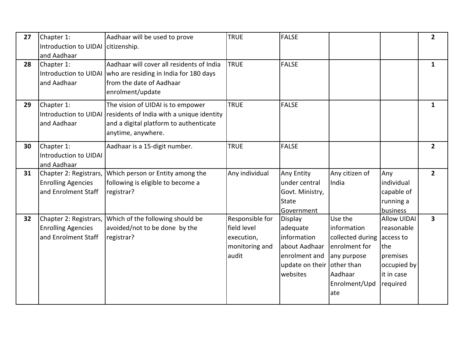| 27 | Chapter 1:<br>Introduction to UIDAI citizenship.<br>and Aadhaar            | Aadhaar will be used to prove                                                                                                                                        | <b>TRUE</b>                                                             | <b>FALSE</b>                                                                                        |                                                                                                                              |                                                                                                           | $\mathbf{2}$            |
|----|----------------------------------------------------------------------------|----------------------------------------------------------------------------------------------------------------------------------------------------------------------|-------------------------------------------------------------------------|-----------------------------------------------------------------------------------------------------|------------------------------------------------------------------------------------------------------------------------------|-----------------------------------------------------------------------------------------------------------|-------------------------|
| 28 | Chapter 1:<br>and Aadhaar                                                  | Aadhaar will cover all residents of India<br>Introduction to UIDAI who are residing in India for 180 days<br>from the date of Aadhaar<br>enrolment/update            | <b>TRUE</b>                                                             | <b>FALSE</b>                                                                                        |                                                                                                                              |                                                                                                           | $\mathbf{1}$            |
| 29 | Chapter 1:<br>and Aadhaar                                                  | The vision of UIDAI is to empower<br>Introduction to UIDAI residents of India with a unique identity<br>and a digital platform to authenticate<br>anytime, anywhere. | <b>TRUE</b>                                                             | <b>FALSE</b>                                                                                        |                                                                                                                              |                                                                                                           | $\mathbf{1}$            |
| 30 | Chapter 1:<br>Introduction to UIDAI<br>and Aadhaar                         | Aadhaar is a 15-digit number.                                                                                                                                        | <b>TRUE</b>                                                             | <b>FALSE</b>                                                                                        |                                                                                                                              |                                                                                                           | $2^{\circ}$             |
| 31 | Chapter 2: Registrars,<br><b>Enrolling Agencies</b><br>and Enrolment Staff | Which person or Entity among the<br>following is eligible to become a<br>registrar?                                                                                  | Any individual                                                          | Any Entity<br>under central<br>Govt. Ministry,<br>State<br>Government                               | Any citizen of<br>India                                                                                                      | Any<br>individual<br>capable of<br>running a<br>business                                                  | $\overline{2}$          |
| 32 | Chapter 2: Registrars,<br><b>Enrolling Agencies</b><br>and Enrolment Staff | Which of the following should be<br>avoided/not to be done by the<br>registrar?                                                                                      | Responsible for<br>field level<br>execution,<br>monitoring and<br>audit | Display<br>adequate<br>information<br>about Aadhaar<br>enrolment and<br>update on their<br>websites | Use the<br>information<br>collected during<br>enrolment for<br>any purpose<br>other than<br>Aadhaar<br>Enrolment/Upd<br>late | <b>Allow UIDAI</b><br>reasonable<br>access to<br>the<br>premises<br>occupied by<br>it in case<br>required | $\overline{\mathbf{3}}$ |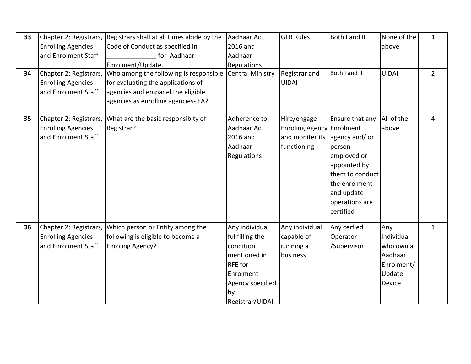| 33<br>34 | Chapter 2: Registrars,<br><b>Enrolling Agencies</b><br>and Enrolment Staff<br>Chapter 2: Registrars,<br><b>Enrolling Agencies</b><br>and Enrolment Staff | Registrars shall at all times abide by the<br>Code of Conduct as specified in<br>for Aadhaar<br>Enrolment/Update.<br>Who among the following is responsible<br>for evaluating the applications of<br>agencies and empanel the eligible<br>agencies as enrolling agencies- EA? | Aadhaar Act<br>2016 and<br>Aadhaar<br>Regulations<br><b>Central Ministry</b>                                                        | <b>GFR Rules</b><br>Registrar and<br><b>UIDAI</b>                                         | Both I and II<br>Both I and II                                                                                                            | None of the<br>above<br><b>UIDAI</b>                                        | $\mathbf{1}$<br>$2^{\circ}$ |
|----------|----------------------------------------------------------------------------------------------------------------------------------------------------------|-------------------------------------------------------------------------------------------------------------------------------------------------------------------------------------------------------------------------------------------------------------------------------|-------------------------------------------------------------------------------------------------------------------------------------|-------------------------------------------------------------------------------------------|-------------------------------------------------------------------------------------------------------------------------------------------|-----------------------------------------------------------------------------|-----------------------------|
| 35       | Chapter 2: Registrars,<br><b>Enrolling Agencies</b><br>and Enrolment Staff                                                                               | What are the basic responsibity of<br>Registrar?                                                                                                                                                                                                                              | Adherence to<br>Aadhaar Act<br>2016 and<br>Aadhaar<br>Regulations                                                                   | Hire/engage<br>Enroling Agency Enrolment<br>and moniter its agency and/ or<br>functioning | Ensure that any<br>person<br>employed or<br>appointed by<br>them to conduct<br>the enrolment<br>and update<br>operations are<br>certified | All of the<br>above                                                         | $\overline{4}$              |
| 36       | Chapter 2: Registrars,<br><b>Enrolling Agencies</b><br>and Enrolment Staff                                                                               | Which person or Entity among the<br>following is eligible to become a<br><b>Enroling Agency?</b>                                                                                                                                                                              | Any individual<br>fullfilling the<br>condition<br>mentioned in<br>RFE for<br>Enrolment<br>Agency specified<br>by<br>Registrar/UIDAL | Any individual<br>capable of<br>running a<br>business                                     | Any cerfied<br>Operator<br>/Supervisor                                                                                                    | Any<br>individual<br>who own a<br>Aadhaar<br>Enrolment/<br>Update<br>Device | $\mathbf{1}$                |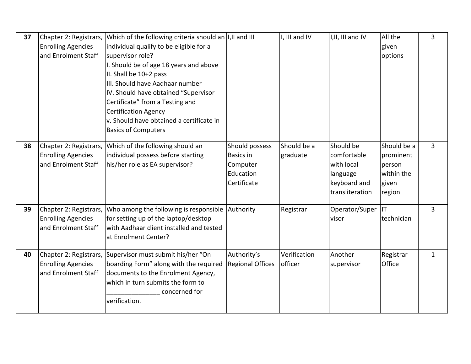| 37 | Chapter 2: Registrars,<br><b>Enrolling Agencies</b><br>and Enrolment Staff | Which of the following criteria should an $ I,II $ and III<br>individual qualify to be eligible for a<br>supervisor role?<br>I. Should be of age 18 years and above<br>II. Shall be 10+2 pass<br>III. Should have Aadhaar number<br>IV. Should have obtained "Supervisor<br>Certificate" from a Testing and<br><b>Certification Agency</b><br>v. Should have obtained a certificate in<br><b>Basics of Computers</b> |                                                                            | I, III and IV           | I, II, III and IV                                                                     | All the<br>given<br>options                                         | 3              |
|----|----------------------------------------------------------------------------|----------------------------------------------------------------------------------------------------------------------------------------------------------------------------------------------------------------------------------------------------------------------------------------------------------------------------------------------------------------------------------------------------------------------|----------------------------------------------------------------------------|-------------------------|---------------------------------------------------------------------------------------|---------------------------------------------------------------------|----------------|
| 38 | Chapter 2: Registrars,<br><b>Enrolling Agencies</b><br>and Enrolment Staff | Which of the following should an<br>individual possess before starting<br>his/her role as EA supervisor?                                                                                                                                                                                                                                                                                                             | Should possess<br><b>Basics in</b><br>Computer<br>Education<br>Certificate | Should be a<br>graduate | Should be<br>comfortable<br>with local<br>language<br>keyboard and<br>transliteration | Should be a<br>prominent<br>person<br>within the<br>given<br>region | $\overline{3}$ |
| 39 | Chapter 2: Registrars,<br><b>Enrolling Agencies</b><br>and Enrolment Staff | Who among the following is responsible<br>for setting up of the laptop/desktop<br>with Aadhaar client installed and tested<br>at Enrolment Center?                                                                                                                                                                                                                                                                   | Authority                                                                  | Registrar               | Operator/Super  IT<br>visor                                                           | <b>Itechnician</b>                                                  | $\overline{3}$ |
| 40 | <b>Enrolling Agencies</b><br>and Enrolment Staff                           | Chapter 2: Registrars, Supervisor must submit his/her "On<br>boarding Form" along with the required<br>documents to the Enrolment Agency,<br>which in turn submits the form to<br>concerned for<br>verification.                                                                                                                                                                                                     | Authority's<br><b>Regional Offices</b>                                     | Verification<br>officer | Another<br>supervisor                                                                 | Registrar<br>Office                                                 | $\mathbf{1}$   |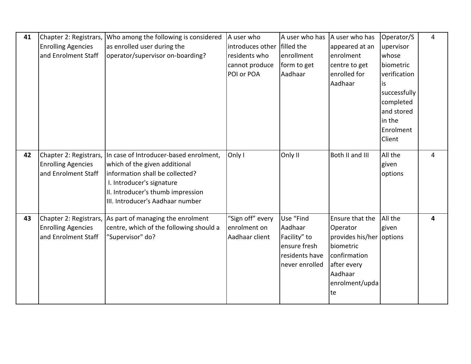| 41 | Chapter 2: Registrars,    | Who among the following is considered                    | A user who       | A user who has | A user who has           | Operator/S   | 4 |
|----|---------------------------|----------------------------------------------------------|------------------|----------------|--------------------------|--------------|---|
|    | <b>Enrolling Agencies</b> | as enrolled user during the                              | introduces other | filled the     | appeared at an           | upervisor    |   |
|    | and Enrolment Staff       | operator/supervisor on-boarding?                         | residents who    | enrollment     | enrolment                | whose        |   |
|    |                           |                                                          | cannot produce   | form to get    | centre to get            | biometric    |   |
|    |                           |                                                          | POI or POA       | Aadhaar        | enrolled for             | verification |   |
|    |                           |                                                          |                  |                | Aadhaar                  | is           |   |
|    |                           |                                                          |                  |                |                          | successfully |   |
|    |                           |                                                          |                  |                |                          | completed    |   |
|    |                           |                                                          |                  |                |                          | and stored   |   |
|    |                           |                                                          |                  |                |                          | in the       |   |
|    |                           |                                                          |                  |                |                          | Enrolment    |   |
|    |                           |                                                          |                  |                |                          | Client       |   |
|    |                           |                                                          |                  |                |                          |              |   |
| 42 | Chapter 2: Registrars,    | In case of Introducer-based enrolment,                   | Only I           | Only II        | Both II and III          | All the      | 4 |
|    | <b>Enrolling Agencies</b> | which of the given additional                            |                  |                |                          | given        |   |
|    | and Enrolment Staff       | information shall be collected?                          |                  |                |                          | options      |   |
|    |                           | I. Introducer's signature                                |                  |                |                          |              |   |
|    |                           | II. Introducer's thumb impression                        |                  |                |                          |              |   |
|    |                           | III. Introducer's Aadhaar number                         |                  |                |                          |              |   |
|    |                           |                                                          |                  |                |                          |              |   |
| 43 |                           | Chapter 2: Registrars, As part of managing the enrolment | "Sign off" every | Use "Find      | Ensure that the          | All the      | 4 |
|    | <b>Enrolling Agencies</b> | centre, which of the following should a                  | enrolment on     | Aadhaar        | Operator                 | given        |   |
|    | and Enrolment Staff       | "Supervisor" do?                                         | Aadhaar client   | Facility" to   | provides his/her options |              |   |
|    |                           |                                                          |                  | ensure fresh   | biometric                |              |   |
|    |                           |                                                          |                  | residents have | confirmation             |              |   |
|    |                           |                                                          |                  | never enrolled | after every              |              |   |
|    |                           |                                                          |                  |                | Aadhaar                  |              |   |
|    |                           |                                                          |                  |                | enrolment/upda           |              |   |
|    |                           |                                                          |                  |                | te                       |              |   |
|    |                           |                                                          |                  |                |                          |              |   |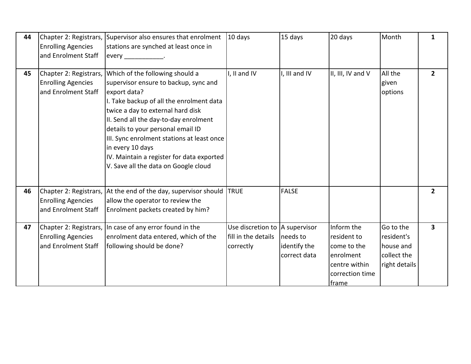| 44 | <b>Enrolling Agencies</b><br>and Enrolment Staff                           | Chapter 2: Registrars, Supervisor also ensures that enrolment<br>stations are synched at least once in                                                                                                                                                                                                                                                                                                         | 10 days                                                             | 15 days                                  | 20 days                                                                                            | Month                                                                | 1                       |
|----|----------------------------------------------------------------------------|----------------------------------------------------------------------------------------------------------------------------------------------------------------------------------------------------------------------------------------------------------------------------------------------------------------------------------------------------------------------------------------------------------------|---------------------------------------------------------------------|------------------------------------------|----------------------------------------------------------------------------------------------------|----------------------------------------------------------------------|-------------------------|
| 45 | Chapter 2: Registrars,<br><b>Enrolling Agencies</b><br>and Enrolment Staff | Which of the following should a<br>supervisor ensure to backup, sync and<br>export data?<br>I. Take backup of all the enrolment data<br>twice a day to external hard disk<br>II. Send all the day-to-day enrolment<br>details to your personal email ID<br>III. Sync enrolment stations at least once<br>in every 10 days<br>IV. Maintain a register for data exported<br>V. Save all the data on Google cloud | I, II and IV                                                        | I, III and IV                            | II, III, IV and V                                                                                  | All the<br>given<br>options                                          | $\overline{2}$          |
| 46 | <b>Enrolling Agencies</b><br>and Enrolment Staff                           | Chapter 2: Registrars, At the end of the day, supervisor should<br>allow the operator to review the<br>Enrolment packets created by him?                                                                                                                                                                                                                                                                       | <b>TRUE</b>                                                         | <b>FALSE</b>                             |                                                                                                    |                                                                      | $\overline{2}$          |
| 47 | <b>Enrolling Agencies</b><br>and Enrolment Staff                           | Chapter 2: Registrars, In case of any error found in the<br>enrolment data entered, which of the<br>following should be done?                                                                                                                                                                                                                                                                                  | Use discretion to  A supervisor<br>fill in the details<br>correctly | needs to<br>identify the<br>correct data | Inform the<br>resident to<br>come to the<br>enrolment<br>centre within<br>correction time<br>frame | Go to the<br>resident's<br>house and<br>collect the<br>right details | $\overline{\mathbf{3}}$ |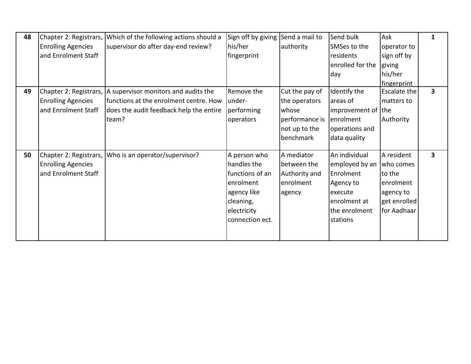| 48 |                           | Chapter 2: Registrars, Which of the following actions should a | Sign off by giving | Send a mail to | Send bulk          | Ask                 | 1                       |
|----|---------------------------|----------------------------------------------------------------|--------------------|----------------|--------------------|---------------------|-------------------------|
|    | <b>Enrolling Agencies</b> | supervisor do after day-end review?                            | his/her            | authority      | SMSes to the       | operator to         |                         |
|    | and Enrolment Staff       |                                                                | fingerprint        |                | residents          | sign off by         |                         |
|    |                           |                                                                |                    |                | enrolled for the   | giving              |                         |
|    |                           |                                                                |                    |                | day                | his/her             |                         |
|    |                           |                                                                |                    |                |                    | fingerprint         |                         |
| 49 |                           | Chapter 2: Registrars,  A supervisor monitors and audits the   | Remove the         | Cut the pay of | Identify the       | <b>Escalate the</b> | $\overline{\mathbf{3}}$ |
|    | <b>Enrolling Agencies</b> | functions at the enrolment centre. How                         | lunder-            | the operators  | areas of           | matters to          |                         |
|    | and Enrolment Staff       | does the audit feedback help the entire                        | performing         | whose          | improvement of the |                     |                         |
|    |                           | team?                                                          | operators          | performance is | enrolment          | Authority           |                         |
|    |                           |                                                                |                    | not up to the  | operations and     |                     |                         |
|    |                           |                                                                |                    | benchmark      | data quality       |                     |                         |
|    |                           |                                                                |                    |                |                    |                     |                         |
| 50 |                           | Chapter 2: Registrars, Who is an operator/supervisor?          | A person who       | A mediator     | An individual      | A resident          | 3                       |
|    | <b>Enrolling Agencies</b> |                                                                | handles the        | between the    | employed by an     | who comes           |                         |
|    | and Enrolment Staff       |                                                                | functions of an    | Authority and  | Enrolment          | to the              |                         |
|    |                           |                                                                | enrolment          | enrolment      | Agency to          | enrolment           |                         |
|    |                           |                                                                | agency like        | agency         | execute            | agency to           |                         |
|    |                           |                                                                | cleaning,          |                | enrolment at       | get enrolled        |                         |
|    |                           |                                                                | electricity        |                | the enrolment      | for Aadhaar         |                         |
|    |                           |                                                                | connection ect.    |                | stations           |                     |                         |
|    |                           |                                                                |                    |                |                    |                     |                         |
|    |                           |                                                                |                    |                |                    |                     |                         |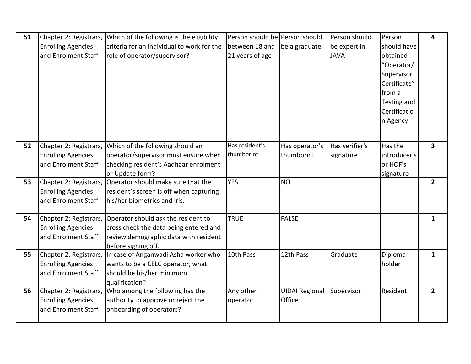| 51 | Chapter 2: Registrars,    | Which of the following is the eligibility                   | Person should be Person should |                       | Person should  | Person       | 4                       |
|----|---------------------------|-------------------------------------------------------------|--------------------------------|-----------------------|----------------|--------------|-------------------------|
|    | <b>Enrolling Agencies</b> | criteria for an individual to work for the                  | between 18 and                 | be a graduate         | be expert in   | should have  |                         |
|    | and Enrolment Staff       | role of operator/supervisor?                                | 21 years of age                |                       | <b>JAVA</b>    | obtained     |                         |
|    |                           |                                                             |                                |                       |                | "Operator/   |                         |
|    |                           |                                                             |                                |                       |                | Supervisor   |                         |
|    |                           |                                                             |                                |                       |                | Certificate" |                         |
|    |                           |                                                             |                                |                       |                | from a       |                         |
|    |                           |                                                             |                                |                       |                | Testing and  |                         |
|    |                           |                                                             |                                |                       |                | Certificatio |                         |
|    |                           |                                                             |                                |                       |                | n Agency     |                         |
|    |                           |                                                             |                                |                       |                |              |                         |
|    |                           |                                                             |                                |                       |                |              |                         |
| 52 | Chapter 2: Registrars,    | Which of the following should an                            | Has resident's                 | Has operator's        | Has verifier's | Has the      | $\overline{\mathbf{3}}$ |
|    | <b>Enrolling Agencies</b> | operator/supervisor must ensure when                        | thumbprint                     | thumbprint            | signature      | introducer's |                         |
|    | and Enrolment Staff       | checking resident's Aadhaar enrolment                       |                                |                       |                | or HOF's     |                         |
|    |                           | or Update form?                                             |                                |                       |                | signature    |                         |
| 53 | Chapter 2: Registrars,    | Operator should make sure that the                          | <b>YES</b>                     | <b>NO</b>             |                |              | $\overline{2}$          |
|    | <b>Enrolling Agencies</b> | resident's screen is off when capturing                     |                                |                       |                |              |                         |
|    | and Enrolment Staff       | his/her biometrics and Iris.                                |                                |                       |                |              |                         |
|    |                           |                                                             |                                |                       |                |              |                         |
| 54 | Chapter 2: Registrars,    | Operator should ask the resident to                         | <b>TRUE</b>                    | <b>FALSE</b>          |                |              | $\mathbf{1}$            |
|    | <b>Enrolling Agencies</b> | cross check the data being entered and                      |                                |                       |                |              |                         |
|    | and Enrolment Staff       | review demographic data with resident                       |                                |                       |                |              |                         |
|    |                           | before signing off.                                         |                                |                       |                |              |                         |
| 55 |                           | Chapter 2: Registrars, In case of Anganwadi Asha worker who | 10th Pass                      | 12th Pass             | Graduate       | Diploma      | $\mathbf{1}$            |
|    | <b>Enrolling Agencies</b> | wants to be a CELC operator, what                           |                                |                       |                | holder       |                         |
|    | and Enrolment Staff       | should be his/her minimum                                   |                                |                       |                |              |                         |
|    |                           | qualification?                                              |                                |                       |                |              |                         |
| 56 |                           | Chapter 2: Registrars, Who among the following has the      | Any other                      | <b>UIDAI Regional</b> | Supervisor     | Resident     | $\overline{2}$          |
|    | <b>Enrolling Agencies</b> | authority to approve or reject the                          | operator                       | Office                |                |              |                         |
|    |                           |                                                             |                                |                       |                |              |                         |
|    | and Enrolment Staff       | onboarding of operators?                                    |                                |                       |                |              |                         |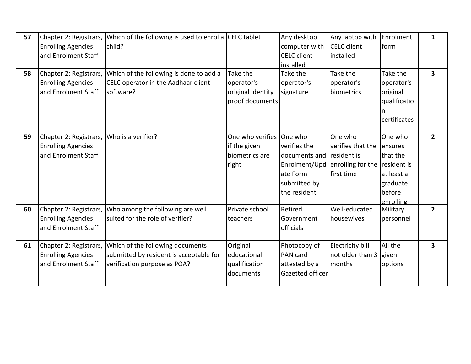| 57<br>58 | Chapter 2: Registrars,<br><b>Enrolling Agencies</b><br>and Enrolment Staff<br>Chapter 2: Registrars,<br><b>Enrolling Agencies</b><br>and Enrolment Staff | Which of the following is used to enrol a CELC tablet<br>child?<br>Which of the following is done to add a<br>CELC operator in the Aadhaar client<br>software? | Take the<br>operator's<br>original identity<br>proof documents | Any desktop<br>computer with<br><b>CELC</b> client<br>installed<br>Take the<br>operator's<br>signature | Any laptop with<br><b>CELC</b> client<br>installed<br>Take the<br>operator's<br>biometrics        | Enrolment<br>form<br>Take the<br>operator's<br>original<br>qualificatio<br>certificates | $\mathbf{1}$<br>3 |
|----------|----------------------------------------------------------------------------------------------------------------------------------------------------------|----------------------------------------------------------------------------------------------------------------------------------------------------------------|----------------------------------------------------------------|--------------------------------------------------------------------------------------------------------|---------------------------------------------------------------------------------------------------|-----------------------------------------------------------------------------------------|-------------------|
| 59       | Chapter 2: Registrars,<br><b>Enrolling Agencies</b><br>and Enrolment Staff                                                                               | Who is a verifier?                                                                                                                                             | One who verifies<br>if the given<br>biometrics are<br>right    | One who<br>verifies the<br>documents and resident is<br>ate Form<br>submitted by<br>the resident       | One who<br>verifies that the<br>Enrolment/Upd enrolling for the $\vert$ resident is<br>first time | One who<br>ensures<br>that the<br>at least a<br>graduate<br>before<br>enrolling         | $\overline{2}$    |
| 60       | Chapter 2: Registrars,<br><b>Enrolling Agencies</b><br>and Enrolment Staff                                                                               | Who among the following are well<br>suited for the role of verifier?                                                                                           | Private school<br>teachers                                     | Retired<br>Government<br>officials                                                                     | Well-educated<br>housewives                                                                       | Military<br>personnel                                                                   | $\overline{2}$    |
| 61       | Chapter 2: Registrars,<br><b>Enrolling Agencies</b><br>and Enrolment Staff                                                                               | Which of the following documents<br>submitted by resident is acceptable for<br>verification purpose as POA?                                                    | Original<br>educational<br>qualification<br>documents          | Photocopy of<br>PAN card<br>attested by a<br>Gazetted officer                                          | Electricity bill<br>not older than 3 given<br>months                                              | All the<br>options                                                                      | 3                 |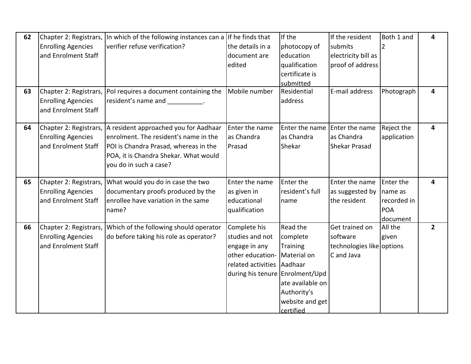| 62 | Chapter 2: Registrars,    | In which of the following instances can a | If he finds that                | If the                        | If the resident           | Both 1 and     | 4              |
|----|---------------------------|-------------------------------------------|---------------------------------|-------------------------------|---------------------------|----------------|----------------|
|    | <b>Enrolling Agencies</b> | verifier refuse verification?             | the details in a                | photocopy of                  | submits                   | $\overline{2}$ |                |
|    | and Enrolment Staff       |                                           | document are                    | education                     | electricity bill as       |                |                |
|    |                           |                                           | edited                          | qualification                 | proof of address          |                |                |
|    |                           |                                           |                                 | certificate is                |                           |                |                |
|    |                           |                                           |                                 | submitted                     |                           |                |                |
| 63 | Chapter 2: Registrars,    | Pol requires a document containing the    | Mobile number                   | Residential                   | E-mail address            | Photograph     | 4              |
|    | <b>Enrolling Agencies</b> | resident's name and fig.                  |                                 | address                       |                           |                |                |
|    | and Enrolment Staff       |                                           |                                 |                               |                           |                |                |
|    |                           |                                           |                                 |                               |                           |                |                |
| 64 | Chapter 2: Registrars,    | A resident approached you for Aadhaar     | Enter the name                  | Enter the name Enter the name |                           | Reject the     | 4              |
|    | <b>Enrolling Agencies</b> | enrolment. The resident's name in the     | as Chandra                      | as Chandra                    | as Chandra                | application    |                |
|    | and Enrolment Staff       | POI is Chandra Prasad, whereas in the     | Prasad                          | Shekar                        | Shekar Prasad             |                |                |
|    |                           | POA, it is Chandra Shekar. What would     |                                 |                               |                           |                |                |
|    |                           | you do in such a case?                    |                                 |                               |                           |                |                |
|    |                           |                                           |                                 |                               |                           |                |                |
| 65 | Chapter 2: Registrars,    | What would you do in case the two         | Enter the name                  | Enter the                     | Enter the name            | Enter the      | 4              |
|    | <b>Enrolling Agencies</b> | documentary proofs produced by the        | as given in                     | resident's full               | as suggested by           | name as        |                |
|    | and Enrolment Staff       | enrollee have variation in the same       | educational                     | name                          | the resident              | recorded in    |                |
|    |                           | name?                                     | qualification                   |                               |                           | POA            |                |
|    |                           |                                           |                                 |                               |                           | document       |                |
| 66 | Chapter 2: Registrars,    | Which of the following should operator    | Complete his                    | Read the                      | Get trained on            | All the        | $\overline{2}$ |
|    | <b>Enrolling Agencies</b> | do before taking his role as operator?    | studies and not                 | complete                      | software                  | given          |                |
|    | and Enrolment Staff       |                                           | engage in any                   | <b>Training</b>               | technologies like options |                |                |
|    |                           |                                           | other education-                | Material on                   | C and Java                |                |                |
|    |                           |                                           | related activities              | Aadhaar                       |                           |                |                |
|    |                           |                                           | during his tenure Enrolment/Upd |                               |                           |                |                |
|    |                           |                                           |                                 | ate available on              |                           |                |                |
|    |                           |                                           |                                 | Authority's                   |                           |                |                |
|    |                           |                                           |                                 | website and get               |                           |                |                |
|    |                           |                                           |                                 | certified                     |                           |                |                |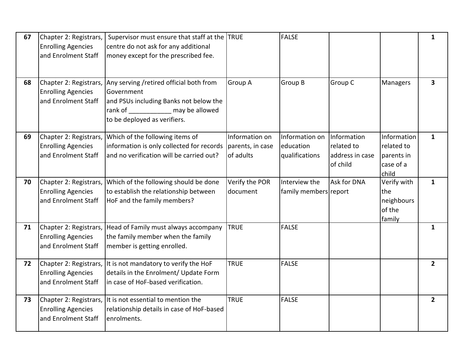| 67 | Chapter 2: Registrars,<br><b>Enrolling Agencies</b><br>and Enrolment Staff | Supervisor must ensure that staff at the TRUE<br>centre do not ask for any additional<br>money except for the prescribed fee.                             |                                                 | <b>FALSE</b>                                  |                                                          |                                                               | $\mathbf{1}$            |
|----|----------------------------------------------------------------------------|-----------------------------------------------------------------------------------------------------------------------------------------------------------|-------------------------------------------------|-----------------------------------------------|----------------------------------------------------------|---------------------------------------------------------------|-------------------------|
|    |                                                                            |                                                                                                                                                           |                                                 |                                               |                                                          |                                                               |                         |
| 68 | Chapter 2: Registrars,<br><b>Enrolling Agencies</b><br>and Enrolment Staff | Any serving /retired official both from<br>Government<br>and PSUs including Banks not below the<br>rank of may be allowed<br>to be deployed as verifiers. | Group A                                         | Group B                                       | Group C                                                  | Managers                                                      | $\overline{\mathbf{3}}$ |
| 69 | Chapter 2: Registrars,<br><b>Enrolling Agencies</b><br>and Enrolment Staff | Which of the following items of<br>information is only collected for records<br>and no verification will be carried out?                                  | Information on<br>parents, in case<br>of adults | Information on<br>education<br>qualifications | Information<br>related to<br>address in case<br>of child | Information<br>related to<br>parents in<br>case of a<br>child | $\mathbf{1}$            |
| 70 | Chapter 2: Registrars,<br><b>Enrolling Agencies</b><br>and Enrolment Staff | Which of the following should be done<br>to establish the relationship between<br>HoF and the family members?                                             | Verify the POR<br>document                      | Interview the<br>family members report        | Ask for DNA                                              | Verify with<br>the<br>neighbours<br>of the<br>family          | $\mathbf{1}$            |
| 71 | Chapter 2: Registrars,<br><b>Enrolling Agencies</b><br>and Enrolment Staff | Head of Family must always accompany<br>the family member when the family<br>member is getting enrolled.                                                  | <b>TRUE</b>                                     | <b>FALSE</b>                                  |                                                          |                                                               | $\mathbf{1}$            |
| 72 | Chapter 2: Registrars,<br><b>Enrolling Agencies</b><br>and Enrolment Staff | It is not mandatory to verify the HoF<br>details in the Enrolment/ Update Form<br>in case of HoF-based verification.                                      | <b>TRUE</b>                                     | <b>FALSE</b>                                  |                                                          |                                                               | $2^{\circ}$             |
| 73 | <b>Enrolling Agencies</b><br>and Enrolment Staff                           | Chapter 2: Registrars, It is not essential to mention the<br>relationship details in case of HoF-based<br>enrolments.                                     | <b>TRUE</b>                                     | <b>FALSE</b>                                  |                                                          |                                                               | $\overline{2}$          |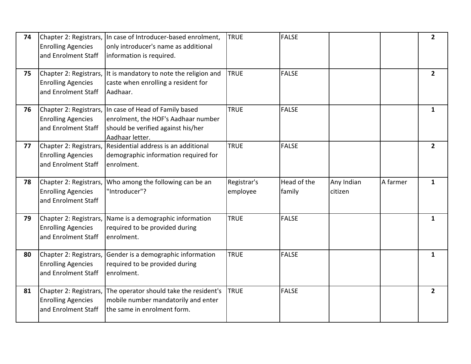| 74 | <b>Enrolling Agencies</b><br>and Enrolment Staff                           | Chapter 2: Registrars, In case of Introducer-based enrolment,<br>only introducer's name as additional<br>information is required.                      | <b>TRUE</b>             | <b>FALSE</b>          |                       |          | $\overline{2}$ |
|----|----------------------------------------------------------------------------|--------------------------------------------------------------------------------------------------------------------------------------------------------|-------------------------|-----------------------|-----------------------|----------|----------------|
| 75 | Chapter 2: Registrars,<br><b>Enrolling Agencies</b><br>and Enrolment Staff | It is mandatory to note the religion and<br>caste when enrolling a resident for<br>Aadhaar.                                                            | <b>TRUE</b>             | <b>FALSE</b>          |                       |          | $\overline{2}$ |
| 76 | <b>Enrolling Agencies</b><br>and Enrolment Staff                           | Chapter 2: Registrars, In case of Head of Family based<br>enrolment, the HOF's Aadhaar number<br>should be verified against his/her<br>Aadhaar letter. | <b>TRUE</b>             | <b>FALSE</b>          |                       |          | $\mathbf{1}$   |
| 77 | Chapter 2: Registrars,<br><b>Enrolling Agencies</b><br>and Enrolment Staff | Residential address is an additional<br>demographic information required for<br>enrolment.                                                             | <b>TRUE</b>             | <b>FALSE</b>          |                       |          | $\overline{2}$ |
| 78 | Chapter 2: Registrars,<br><b>Enrolling Agencies</b><br>and Enrolment Staff | Who among the following can be an<br>"Introducer"?                                                                                                     | Registrar's<br>employee | Head of the<br>family | Any Indian<br>citizen | A farmer | $\mathbf{1}$   |
| 79 | <b>Enrolling Agencies</b><br>and Enrolment Staff                           | Chapter 2: Registrars, Name is a demographic information<br>required to be provided during<br>enrolment.                                               | <b>TRUE</b>             | <b>FALSE</b>          |                       |          | $\mathbf{1}$   |
| 80 | <b>Enrolling Agencies</b><br>and Enrolment Staff                           | Chapter 2: Registrars, Gender is a demographic information<br>required to be provided during<br>enrolment.                                             | <b>TRUE</b>             | <b>FALSE</b>          |                       |          | $\mathbf{1}$   |
| 81 | Chapter 2: Registrars,<br><b>Enrolling Agencies</b><br>and Enrolment Staff | The operator should take the resident's<br>mobile number mandatorily and enter<br>the same in enrolment form.                                          | <b>TRUE</b>             | <b>FALSE</b>          |                       |          | $\overline{2}$ |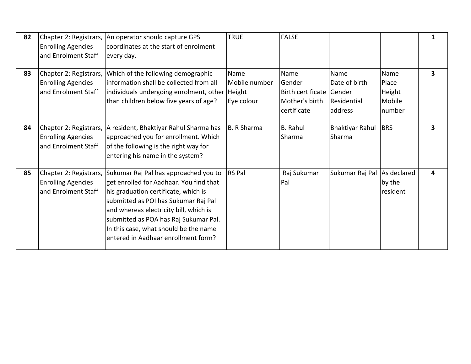| 82 | <b>Enrolling Agencies</b><br>and Enrolment Staff                           | Chapter 2: Registrars,   An operator should capture GPS<br>coordinates at the start of enrolment<br>every day.                                                                                                                                                                                                                      | <b>TRUE</b>                         | <b>FALSE</b>                                                                |                                                 |                                             | $\mathbf{1}$            |
|----|----------------------------------------------------------------------------|-------------------------------------------------------------------------------------------------------------------------------------------------------------------------------------------------------------------------------------------------------------------------------------------------------------------------------------|-------------------------------------|-----------------------------------------------------------------------------|-------------------------------------------------|---------------------------------------------|-------------------------|
| 83 | <b>Enrolling Agencies</b><br>and Enrolment Staff                           | Chapter 2: Registrars, Which of the following demographic<br>linformation shall be collected from all<br>individuals undergoing enrolment, other Height<br>than children below five years of age?                                                                                                                                   | Name<br>Mobile number<br>Eye colour | Name<br>Gender<br>Birth certificate Gender<br>Mother's birth<br>certificate | Name<br>Date of birth<br>Residential<br>address | Name<br>Place<br>Height<br>Mobile<br>number | $\overline{\mathbf{3}}$ |
| 84 | <b>Enrolling Agencies</b><br>and Enrolment Staff                           | Chapter 2: Registrars,   A resident, Bhaktiyar Rahul Sharma has<br>approached you for enrollment. Which<br>of the following is the right way for<br>entering his name in the system?                                                                                                                                                | B. R Sharma                         | <b>B.</b> Rahul<br>Sharma                                                   | <b>Bhaktiyar Rahul</b><br>Sharma                | BRS                                         | 3                       |
| 85 | Chapter 2: Registrars,<br><b>Enrolling Agencies</b><br>and Enrolment Staff | Sukumar Raj Pal has approached you to<br>get enrolled for Aadhaar. You find that<br>his graduation certificate, which is<br>submitted as POI has Sukumar Raj Pal<br>and whereas electricity bill, which is<br>submitted as POA has Raj Sukumar Pal.<br>In this case, what should be the name<br>entered in Aadhaar enrollment form? | <b>RS</b> Pal                       | Raj Sukumar<br>Pal                                                          | Sukumar Raj Pal As declared                     | by the<br>resident                          | 4                       |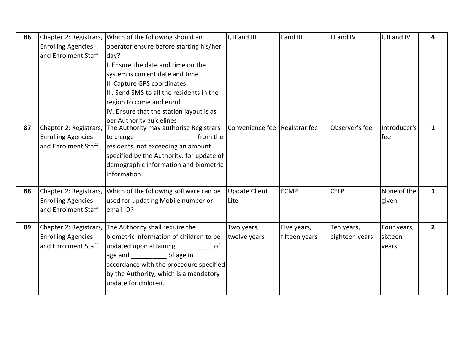| 86 | Chapter 2: Registrars,    | Which of the following should an                                                                  | I, II and III                 | I and III     | III and IV     | I, II and IV           | 4            |
|----|---------------------------|---------------------------------------------------------------------------------------------------|-------------------------------|---------------|----------------|------------------------|--------------|
|    | <b>Enrolling Agencies</b> | operator ensure before starting his/her                                                           |                               |               |                |                        |              |
|    | and Enrolment Staff       | day?                                                                                              |                               |               |                |                        |              |
|    |                           | I. Ensure the date and time on the                                                                |                               |               |                |                        |              |
|    |                           | system is current date and time                                                                   |                               |               |                |                        |              |
|    |                           | II. Capture GPS coordinates                                                                       |                               |               |                |                        |              |
|    |                           | III. Send SMS to all the residents in the                                                         |                               |               |                |                        |              |
|    |                           | region to come and enroll                                                                         |                               |               |                |                        |              |
|    |                           | IV. Ensure that the station layout is as                                                          |                               |               |                |                        |              |
|    |                           | per Authority guidelines                                                                          |                               |               |                |                        |              |
| 87 |                           | Chapter 2: Registrars, The Authority may authorise Registrars                                     | Convenience fee Registrar fee |               | Observer's fee | Introducer's           | $\mathbf{1}$ |
|    | <b>Enrolling Agencies</b> | to charge<br>from the                                                                             |                               |               |                | fee                    |              |
|    | and Enrolment Staff       | residents, not exceeding an amount                                                                |                               |               |                |                        |              |
|    |                           | specified by the Authority, for update of                                                         |                               |               |                |                        |              |
|    |                           | demographic information and biometric                                                             |                               |               |                |                        |              |
|    |                           | information.                                                                                      |                               |               |                |                        |              |
|    |                           |                                                                                                   |                               |               |                |                        |              |
| 88 | Chapter 2: Registrars,    | Which of the following software can be                                                            | <b>Update Client</b>          | <b>ECMP</b>   | <b>CELP</b>    | None of the            | $\mathbf{1}$ |
|    | <b>Enrolling Agencies</b> | used for updating Mobile number or                                                                | Lite                          |               |                | given                  |              |
|    | and Enrolment Staff       | email ID?                                                                                         |                               |               |                |                        |              |
| 89 |                           |                                                                                                   |                               |               |                |                        | $2^{\circ}$  |
|    | <b>Enrolling Agencies</b> | Chapter 2: Registrars, The Authority shall require the<br>biometric information of children to be | Two years,<br>twelve years    | Five years,   | Ten years,     | Four years,<br>sixteen |              |
|    | and Enrolment Staff       |                                                                                                   |                               | fifteen years | eighteen years |                        |              |
|    |                           | updated upon attaining<br>___________ of                                                          |                               |               |                | years                  |              |
|    |                           | age and _____________ of age in                                                                   |                               |               |                |                        |              |
|    |                           | accordance with the procedure specified                                                           |                               |               |                |                        |              |
|    |                           | by the Authority, which is a mandatory                                                            |                               |               |                |                        |              |
|    |                           | update for children.                                                                              |                               |               |                |                        |              |
|    |                           |                                                                                                   |                               |               |                |                        |              |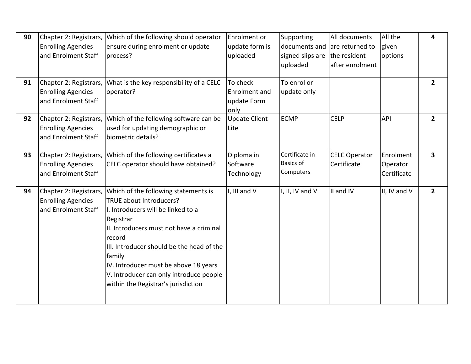| 90 | Chapter 2: Registrars,    | Which of the following should operator    | Enrolment or         | Supporting                     | All documents        | All the      | 4                       |
|----|---------------------------|-------------------------------------------|----------------------|--------------------------------|----------------------|--------------|-------------------------|
|    | <b>Enrolling Agencies</b> | ensure during enrolment or update         | update form is       | documents and lare returned to |                      | given        |                         |
|    | and Enrolment Staff       | process?                                  | uploaded             | signed slips are               | the resident         | options      |                         |
|    |                           |                                           |                      | uploaded                       | after enrolment      |              |                         |
|    |                           |                                           |                      |                                |                      |              |                         |
| 91 | Chapter 2: Registrars,    | What is the key responsibility of a CELC  | To check             | To enrol or                    |                      |              | $\mathbf{2}$            |
|    | <b>Enrolling Agencies</b> | operator?                                 | Enrolment and        | update only                    |                      |              |                         |
|    | and Enrolment Staff       |                                           | update Form          |                                |                      |              |                         |
|    |                           |                                           | only                 |                                |                      |              |                         |
| 92 | Chapter 2: Registrars,    | Which of the following software can be    | <b>Update Client</b> | <b>ECMP</b>                    | <b>CELP</b>          | <b>API</b>   | $\overline{2}$          |
|    | <b>Enrolling Agencies</b> | used for updating demographic or          | Lite                 |                                |                      |              |                         |
|    | and Enrolment Staff       | biometric details?                        |                      |                                |                      |              |                         |
|    |                           |                                           |                      |                                |                      |              |                         |
| 93 | Chapter 2: Registrars,    | Which of the following certificates a     | Diploma in           | Certificate in                 | <b>CELC Operator</b> | Enrolment    | $\overline{\mathbf{3}}$ |
|    | <b>Enrolling Agencies</b> | CELC operator should have obtained?       | Software             | <b>Basics of</b>               | Certificate          | Operator     |                         |
|    | and Enrolment Staff       |                                           | Technology           | Computers                      |                      | Certificate  |                         |
|    |                           |                                           |                      |                                |                      |              |                         |
| 94 | Chapter 2: Registrars,    | Which of the following statements is      | I, III and V         | I, II, IV and V                | II and IV            | II, IV and V | $\mathbf{2}$            |
|    | <b>Enrolling Agencies</b> | TRUE about Introducers?                   |                      |                                |                      |              |                         |
|    | and Enrolment Staff       | I. Introducers will be linked to a        |                      |                                |                      |              |                         |
|    |                           | Registrar                                 |                      |                                |                      |              |                         |
|    |                           | II. Introducers must not have a criminal  |                      |                                |                      |              |                         |
|    |                           | record                                    |                      |                                |                      |              |                         |
|    |                           | III. Introducer should be the head of the |                      |                                |                      |              |                         |
|    |                           | family                                    |                      |                                |                      |              |                         |
|    |                           | IV. Introducer must be above 18 years     |                      |                                |                      |              |                         |
|    |                           | V. Introducer can only introduce people   |                      |                                |                      |              |                         |
|    |                           | within the Registrar's jurisdiction       |                      |                                |                      |              |                         |
|    |                           |                                           |                      |                                |                      |              |                         |
|    |                           |                                           |                      |                                |                      |              |                         |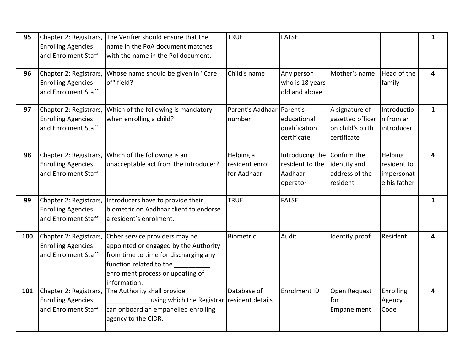| 95  | Chapter 2: Registrars,<br><b>Enrolling Agencies</b><br>and Enrolment Staff | The Verifier should ensure that the<br>name in the PoA document matches<br>with the name in the Pol document.                                                                                   | <b>TRUE</b>                                | <b>FALSE</b>                                              |                                                                       |                                                      | $\mathbf{1}$ |
|-----|----------------------------------------------------------------------------|-------------------------------------------------------------------------------------------------------------------------------------------------------------------------------------------------|--------------------------------------------|-----------------------------------------------------------|-----------------------------------------------------------------------|------------------------------------------------------|--------------|
| 96  | Chapter 2: Registrars,<br><b>Enrolling Agencies</b><br>and Enrolment Staff | Whose name should be given in "Care<br>of" field?                                                                                                                                               | Child's name                               | Any person<br>who is 18 years<br>old and above            | Mother's name                                                         | Head of the<br>family                                | 4            |
| 97  | Chapter 2: Registrars,<br><b>Enrolling Agencies</b><br>and Enrolment Staff | Which of the following is mandatory<br>when enrolling a child?                                                                                                                                  | Parent's Aadhaar Parent's<br>number        | educational<br>qualification<br>certificate               | A signature of<br>gazetted officer<br>on child's birth<br>certificate | Introductio<br>In from an<br>introducer              | $\mathbf{1}$ |
| 98  | Chapter 2: Registrars,<br><b>Enrolling Agencies</b><br>and Enrolment Staff | Which of the following is an<br>unacceptable act from the introducer?                                                                                                                           | Helping a<br>resident enrol<br>for Aadhaar | Introducing the<br>resident to the<br>Aadhaar<br>operator | Confirm the<br>identity and<br>address of the<br>resident             | Helping<br>resident to<br>impersonat<br>e his father | 4            |
| 99  | Chapter 2: Registrars,<br><b>Enrolling Agencies</b><br>and Enrolment Staff | Introducers have to provide their<br>biometric on Aadhaar client to endorse<br>a resident's enrolment.                                                                                          | <b>TRUE</b>                                | <b>FALSE</b>                                              |                                                                       |                                                      | $\mathbf{1}$ |
| 100 | Chapter 2: Registrars,<br><b>Enrolling Agencies</b><br>and Enrolment Staff | Other service providers may be<br>appointed or engaged by the Authority<br>from time to time for discharging any<br>function related to the<br>enrolment process or updating of<br>information. | Biometric                                  | Audit                                                     | Identity proof                                                        | Resident                                             | 4            |
| 101 | Chapter 2: Registrars,<br><b>Enrolling Agencies</b><br>and Enrolment Staff | The Authority shall provide<br>using which the Registrar<br>can onboard an empanelled enrolling<br>agency to the CIDR.                                                                          | Database of<br>resident details            | Enrolment ID                                              | Open Request<br>for<br>Empanelment                                    | Enrolling<br>Agency<br>Code                          | 4            |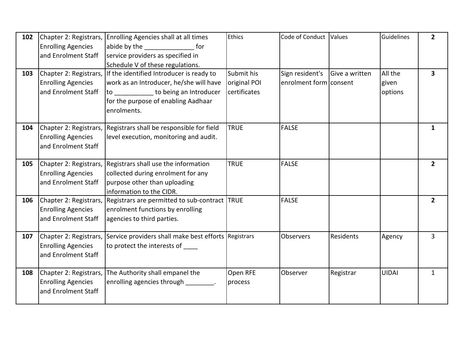| 102 |                           | Chapter 2: Registrars, Enrolling Agencies shall at all times                | Ethics       | Code of Conduct Values |                | Guidelines   | $\overline{2}$          |
|-----|---------------------------|-----------------------------------------------------------------------------|--------------|------------------------|----------------|--------------|-------------------------|
|     | <b>Enrolling Agencies</b> | abide by the the for                                                        |              |                        |                |              |                         |
|     | and Enrolment Staff       | service providers as specified in                                           |              |                        |                |              |                         |
|     |                           | Schedule V of these regulations.                                            |              |                        |                |              |                         |
| 103 |                           | Chapter 2: Registrars, If the identified Introducer is ready to             | Submit his   | Sign resident's        | Give a written | All the      | $\overline{\mathbf{3}}$ |
|     | <b>Enrolling Agencies</b> | work as an Introducer, he/she will have                                     | original POI | enrolment form consent |                | given        |                         |
|     | and Enrolment Staff       | to _____________ to being an Introducer                                     | certificates |                        |                | options      |                         |
|     |                           | for the purpose of enabling Aadhaar                                         |              |                        |                |              |                         |
|     |                           | enrolments.                                                                 |              |                        |                |              |                         |
| 104 |                           | Chapter 2: Registrars, Registrars shall be responsible for field            | <b>TRUE</b>  | <b>FALSE</b>           |                |              | $\mathbf{1}$            |
|     | <b>Enrolling Agencies</b> | level execution, monitoring and audit.                                      |              |                        |                |              |                         |
|     | and Enrolment Staff       |                                                                             |              |                        |                |              |                         |
| 105 |                           | Chapter 2: Registrars, Registrars shall use the information                 | <b>TRUE</b>  | <b>FALSE</b>           |                |              | $\overline{2}$          |
|     | <b>Enrolling Agencies</b> | collected during enrolment for any                                          |              |                        |                |              |                         |
|     | and Enrolment Staff       | purpose other than uploading                                                |              |                        |                |              |                         |
|     |                           | information to the CIDR.                                                    |              |                        |                |              |                         |
| 106 | Chapter 2: Registrars,    | Registrars are permitted to sub-contract TRUE                               |              | <b>FALSE</b>           |                |              | $\overline{2}$          |
|     | <b>Enrolling Agencies</b> | enrolment functions by enrolling                                            |              |                        |                |              |                         |
|     | and Enrolment Staff       | agencies to third parties.                                                  |              |                        |                |              |                         |
| 107 |                           | Chapter 2: Registrars, Service providers shall make best efforts Registrars |              | Observers              | Residents      | Agency       | $\overline{3}$          |
|     | <b>Enrolling Agencies</b> | to protect the interests of                                                 |              |                        |                |              |                         |
|     | and Enrolment Staff       |                                                                             |              |                        |                |              |                         |
| 108 |                           | Chapter 2: Registrars, The Authority shall empanel the                      | Open RFE     | Observer               | Registrar      | <b>UIDAI</b> | $\mathbf{1}$            |
|     | <b>Enrolling Agencies</b> | enrolling agencies through ________.                                        | process      |                        |                |              |                         |
|     | and Enrolment Staff       |                                                                             |              |                        |                |              |                         |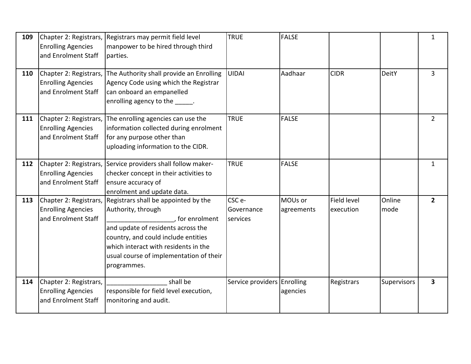| 109 | Chapter 2: Registrars,<br><b>Enrolling Agencies</b><br>and Enrolment Staff | Registrars may permit field level<br>manpower to be hired through third<br>parties.                                                                                                                                                                                                 | <b>TRUE</b>                                  | <b>FALSE</b>          |                          |                | $\mathbf{1}$   |
|-----|----------------------------------------------------------------------------|-------------------------------------------------------------------------------------------------------------------------------------------------------------------------------------------------------------------------------------------------------------------------------------|----------------------------------------------|-----------------------|--------------------------|----------------|----------------|
| 110 | Chapter 2: Registrars,<br><b>Enrolling Agencies</b><br>and Enrolment Staff | The Authority shall provide an Enrolling<br>Agency Code using which the Registrar<br>can onboard an empanelled<br>enrolling agency to the cancel                                                                                                                                    | <b>UIDAI</b>                                 | Aadhaar               | <b>CIDR</b>              | <b>DeitY</b>   | $\overline{3}$ |
| 111 | <b>Enrolling Agencies</b><br>and Enrolment Staff                           | Chapter 2: Registrars, The enrolling agencies can use the<br>information collected during enrolment<br>for any purpose other than<br>uploading information to the CIDR.                                                                                                             | <b>TRUE</b>                                  | <b>FALSE</b>          |                          |                | $\overline{2}$ |
| 112 | <b>Enrolling Agencies</b><br>and Enrolment Staff                           | Chapter 2: Registrars, Service providers shall follow maker-<br>checker concept in their activities to<br>ensure accuracy of<br>enrolment and update data.                                                                                                                          | <b>TRUE</b>                                  | <b>FALSE</b>          |                          |                | $\mathbf{1}$   |
| 113 | <b>Enrolling Agencies</b><br>and Enrolment Staff                           | Chapter 2: Registrars, Registrars shall be appointed by the<br>Authority, through<br>, for enrolment<br>and update of residents across the<br>country, and could include entities<br>which interact with residents in the<br>usual course of implementation of their<br>programmes. | CSC <sub>e</sub> -<br>Governance<br>services | MOUs or<br>agreements | Field level<br>execution | Online<br>mode | $\overline{2}$ |
| 114 | Chapter 2: Registrars,<br><b>Enrolling Agencies</b><br>and Enrolment Staff | shall be<br>responsible for field level execution,<br>monitoring and audit.                                                                                                                                                                                                         | Service providers Enrolling                  | agencies              | Registrars               | Supervisors    | $\mathbf{3}$   |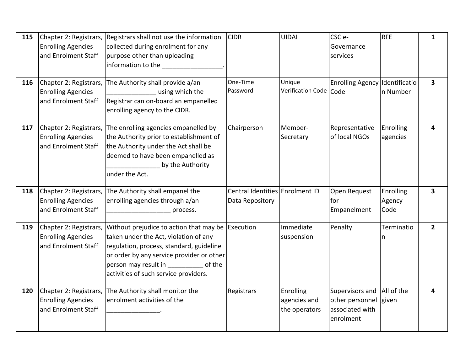| 115 | Chapter 2: Registrars,<br><b>Enrolling Agencies</b><br>and Enrolment Staff | Registrars shall not use the information<br>collected during enrolment for any<br>purpose other than uploading<br>information to the <b>contract to the contract of the set of the set of the set of the set of the set of the set o</b>                                  | <b>CIDR</b>                                        | <b>UIDAI</b>                               | CSC <sub>e</sub> -<br>Governance<br>services                                         | <b>RFE</b>                  | $\mathbf{1}$            |
|-----|----------------------------------------------------------------------------|---------------------------------------------------------------------------------------------------------------------------------------------------------------------------------------------------------------------------------------------------------------------------|----------------------------------------------------|--------------------------------------------|--------------------------------------------------------------------------------------|-----------------------------|-------------------------|
| 116 | Chapter 2: Registrars,<br><b>Enrolling Agencies</b><br>and Enrolment Staff | The Authority shall provide a/an<br>using which the<br>Registrar can on-board an empanelled<br>enrolling agency to the CIDR.                                                                                                                                              | One-Time<br>Password                               | Unique<br>Verification Code Code           | Enrolling Agency Identificatio                                                       | n Number                    | $\overline{\mathbf{3}}$ |
| 117 | Chapter 2: Registrars,<br><b>Enrolling Agencies</b><br>and Enrolment Staff | The enrolling agencies empanelled by<br>the Authority prior to establishment of<br>the Authority under the Act shall be<br>deemed to have been empanelled as<br>by the Authority<br>under the Act.                                                                        | Chairperson                                        | Member-<br>Secretary                       | Representative<br>of local NGOs                                                      | Enrolling<br>agencies       | 4                       |
| 118 | Chapter 2: Registrars,<br><b>Enrolling Agencies</b><br>and Enrolment Staff | The Authority shall empanel the<br>enrolling agencies through a/an<br>process.                                                                                                                                                                                            | Central Identities Enrolment ID<br>Data Repository |                                            | Open Request<br>for<br>Empanelment                                                   | Enrolling<br>Agency<br>Code | $\overline{\mathbf{3}}$ |
| 119 | Chapter 2: Registrars,<br><b>Enrolling Agencies</b><br>and Enrolment Staff | Without prejudice to action that may be Execution<br>taken under the Act, violation of any<br>regulation, process, standard, guideline<br>or order by any service provider or other<br>person may result in _____________ of the<br>activities of such service providers. |                                                    | Immediate<br>suspension                    | Penalty                                                                              | Terminatio<br>n             | $\overline{2}$          |
| 120 | Chapter 2: Registrars,<br><b>Enrolling Agencies</b><br>and Enrolment Staff | The Authority shall monitor the<br>enrolment activities of the                                                                                                                                                                                                            | Registrars                                         | Enrolling<br>agencies and<br>the operators | Supervisors and  All of the<br>other personnel given<br>associated with<br>enrolment |                             | 4                       |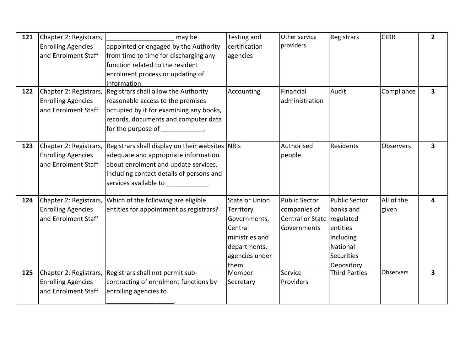| 121 | Chapter 2: Registrars,    | may be                                                                    | Testing and           | Other service              | Registrars           | <b>CIDR</b>      | $\overline{2}$          |
|-----|---------------------------|---------------------------------------------------------------------------|-----------------------|----------------------------|----------------------|------------------|-------------------------|
|     | <b>Enrolling Agencies</b> | appointed or engaged by the Authority                                     | certification         | providers                  |                      |                  |                         |
|     | and Enrolment Staff       | from time to time for discharging any                                     | agencies              |                            |                      |                  |                         |
|     |                           | function related to the resident                                          |                       |                            |                      |                  |                         |
|     |                           | enrolment process or updating of                                          |                       |                            |                      |                  |                         |
|     |                           | information.                                                              |                       |                            |                      |                  |                         |
| 122 | Chapter 2: Registrars,    | Registrars shall allow the Authority                                      | Accounting            | Financial                  | Audit                | Compliance       | $\mathbf{3}$            |
|     | <b>Enrolling Agencies</b> | reasonable access to the premises                                         |                       | administration             |                      |                  |                         |
|     | and Enrolment Staff       | occupied by it for examining any books,                                   |                       |                            |                      |                  |                         |
|     |                           | records, documents and computer data                                      |                       |                            |                      |                  |                         |
|     |                           | for the purpose of<br><b>Contract Contract Contract Contract Contract</b> |                       |                            |                      |                  |                         |
| 123 |                           | Chapter 2: Registrars, Registrars shall display on their websites NRIs    |                       | Authorised                 | <b>Residents</b>     | <b>Observers</b> | $\overline{\mathbf{3}}$ |
|     | <b>Enrolling Agencies</b> | adequate and appropriate information                                      |                       | people                     |                      |                  |                         |
|     | and Enrolment Staff       | about enrolment and update services,                                      |                       |                            |                      |                  |                         |
|     |                           | including contact details of persons and                                  |                       |                            |                      |                  |                         |
|     |                           | services available to many contracts.                                     |                       |                            |                      |                  |                         |
| 124 | Chapter 2: Registrars,    | Which of the following are eligible                                       | <b>State or Union</b> | <b>Public Sector</b>       | <b>Public Sector</b> | All of the       | 4                       |
|     | <b>Enrolling Agencies</b> | entities for appointment as registrars?                                   | Territory             | companies of               | banks and            | given            |                         |
|     | and Enrolment Staff       |                                                                           | Governments,          | Central or State regulated |                      |                  |                         |
|     |                           |                                                                           | Central               | Governments                | entities             |                  |                         |
|     |                           |                                                                           | ministries and        |                            | including            |                  |                         |
|     |                           |                                                                           | departments,          |                            | National             |                  |                         |
|     |                           |                                                                           | agencies under        |                            | <b>Securities</b>    |                  |                         |
|     |                           |                                                                           | them                  |                            | Depository           |                  |                         |
| 125 |                           | Chapter 2: Registrars, Registrars shall not permit sub-                   | Member                | Service                    | <b>Third Parties</b> | Observers        | $\mathbf{3}$            |
|     | <b>Enrolling Agencies</b> | contracting of enrolment functions by                                     | Secretary             | Providers                  |                      |                  |                         |
|     | and Enrolment Staff       | enrolling agencies to                                                     |                       |                            |                      |                  |                         |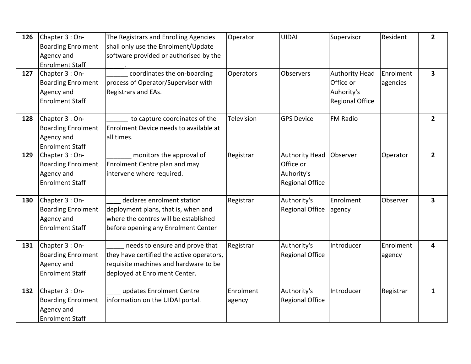| 126 | Chapter 3 : On-           | The Registrars and Enrolling Agencies     | Operator   | <b>UIDAI</b>           | Supervisor             | Resident  | $\overline{2}$          |
|-----|---------------------------|-------------------------------------------|------------|------------------------|------------------------|-----------|-------------------------|
|     | <b>Boarding Enrolment</b> | shall only use the Enrolment/Update       |            |                        |                        |           |                         |
|     | Agency and                | software provided or authorised by the    |            |                        |                        |           |                         |
|     | <b>Enrolment Staff</b>    |                                           |            |                        |                        |           |                         |
| 127 | Chapter 3 : On-           | coordinates the on-boarding               | Operators  | Observers              | <b>Authority Head</b>  | Enrolment | $\overline{\mathbf{3}}$ |
|     | <b>Boarding Enrolment</b> | process of Operator/Supervisor with       |            |                        | Office or              | agencies  |                         |
|     | Agency and                | Registrars and EAs.                       |            |                        | Auhority's             |           |                         |
|     | <b>Enrolment Staff</b>    |                                           |            |                        | <b>Regional Office</b> |           |                         |
| 128 | Chapter 3 : On-           | to capture coordinates of the             | Television | <b>GPS Device</b>      | FM Radio               |           | $\overline{2}$          |
|     | <b>Boarding Enrolment</b> | Enrolment Device needs to available at    |            |                        |                        |           |                         |
|     | Agency and                | all times.                                |            |                        |                        |           |                         |
|     | <b>Enrolment Staff</b>    |                                           |            |                        |                        |           |                         |
| 129 | Chapter 3 : On-           | monitors the approval of                  | Registrar  | <b>Authority Head</b>  | Observer               | Operator  | $2^{\circ}$             |
|     | <b>Boarding Enrolment</b> | Enrolment Centre plan and may             |            | Office or              |                        |           |                         |
|     | Agency and                | intervene where required.                 |            | Auhority's             |                        |           |                         |
|     | <b>Enrolment Staff</b>    |                                           |            | <b>Regional Office</b> |                        |           |                         |
|     |                           |                                           |            |                        |                        |           |                         |
| 130 | Chapter 3 : On-           | declares enrolment station                | Registrar  | Authority's            | Enrolment              | Observer  | 3                       |
|     | <b>Boarding Enrolment</b> | deployment plans, that is, when and       |            | <b>Regional Office</b> | agency                 |           |                         |
|     | Agency and                | where the centres will be established     |            |                        |                        |           |                         |
|     | <b>Enrolment Staff</b>    | before opening any Enrolment Center       |            |                        |                        |           |                         |
|     |                           |                                           |            |                        |                        |           |                         |
| 131 | Chapter 3 : On-           | needs to ensure and prove that            | Registrar  | Authority's            | Introducer             | Enrolment | 4                       |
|     | <b>Boarding Enrolment</b> | they have certified the active operators, |            | <b>Regional Office</b> |                        | agency    |                         |
|     | Agency and                | requisite machines and hardware to be     |            |                        |                        |           |                         |
|     | <b>Enrolment Staff</b>    | deployed at Enrolment Center.             |            |                        |                        |           |                         |
| 132 | Chapter 3 : On-           | updates Enrolment Centre                  | Enrolment  | Authority's            | Introducer             | Registrar | $\mathbf{1}$            |
|     | <b>Boarding Enrolment</b> | information on the UIDAI portal.          | agency     | <b>Regional Office</b> |                        |           |                         |
|     | Agency and                |                                           |            |                        |                        |           |                         |
|     | <b>Enrolment Staff</b>    |                                           |            |                        |                        |           |                         |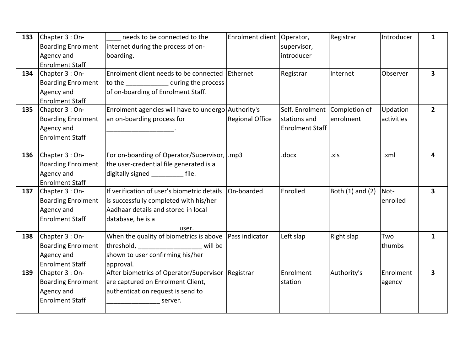| 133 | Chapter 3 : On-           | needs to be connected to the                        | Enrolment client       | Operator,                     | Registrar        | Introducer | 1                       |
|-----|---------------------------|-----------------------------------------------------|------------------------|-------------------------------|------------------|------------|-------------------------|
|     | <b>Boarding Enrolment</b> | internet during the process of on-                  |                        | supervisor,                   |                  |            |                         |
|     | Agency and                | boarding.                                           |                        | introducer                    |                  |            |                         |
|     | <b>Enrolment Staff</b>    |                                                     |                        |                               |                  |            |                         |
| 134 | Chapter 3 : On-           | Enrolment client needs to be connected              | Ethernet               | Registrar                     | Internet         | Observer   | $\overline{\mathbf{3}}$ |
|     | <b>Boarding Enrolment</b> | to the _______________ during the process           |                        |                               |                  |            |                         |
|     | Agency and                | of on-boarding of Enrolment Staff.                  |                        |                               |                  |            |                         |
|     | <b>Enrolment Staff</b>    |                                                     |                        |                               |                  |            |                         |
| 135 | Chapter 3 : On-           | Enrolment agencies will have to undergo Authority's |                        | Self, Enrolment Completion of |                  | Updation   | 2 <sup>1</sup>          |
|     | <b>Boarding Enrolment</b> | an on-boarding process for                          | <b>Regional Office</b> | stations and                  | enrolment        | activities |                         |
|     | Agency and                |                                                     |                        | <b>Enrolment Staff</b>        |                  |            |                         |
|     | <b>Enrolment Staff</b>    |                                                     |                        |                               |                  |            |                         |
|     |                           |                                                     |                        |                               |                  |            |                         |
| 136 | Chapter 3 : On-           | For on-boarding of Operator/Supervisor,  .mp3       |                        | .docx                         | .xls             | .xml       | 4                       |
|     | <b>Boarding Enrolment</b> | the user-credential file generated is a             |                        |                               |                  |            |                         |
|     | Agency and                | digitally signed file.                              |                        |                               |                  |            |                         |
|     | <b>Enrolment Staff</b>    |                                                     |                        |                               |                  |            |                         |
| 137 | Chapter 3 : On-           | If verification of user's biometric details         | On-boarded             | Enrolled                      | Both (1) and (2) | Not-       | 3                       |
|     | <b>Boarding Enrolment</b> | is successfully completed with his/her              |                        |                               |                  | enrolled   |                         |
|     | Agency and                | Aadhaar details and stored in local                 |                        |                               |                  |            |                         |
|     | <b>Enrolment Staff</b>    | database, he is a                                   |                        |                               |                  |            |                         |
|     |                           | user.                                               |                        |                               |                  |            |                         |
| 138 | Chapter 3 : On-           | When the quality of biometrics is above             | Pass indicator         | Left slap                     | Right slap       | Two        | $\mathbf{1}$            |
|     | <b>Boarding Enrolment</b> | will be                                             |                        |                               |                  | thumbs     |                         |
|     | Agency and                | shown to user confirming his/her                    |                        |                               |                  |            |                         |
|     | <b>Enrolment Staff</b>    | approval.                                           |                        |                               |                  |            |                         |
| 139 | Chapter 3 : On-           | After biometrics of Operator/Supervisor             | Registrar              | Enrolment                     | Authority's      | Enrolment  | 3                       |
|     | <b>Boarding Enrolment</b> | are captured on Enrolment Client,                   |                        | station                       |                  | agency     |                         |
|     | Agency and                | authentication request is send to                   |                        |                               |                  |            |                         |
|     | <b>Enrolment Staff</b>    | server.                                             |                        |                               |                  |            |                         |
|     |                           |                                                     |                        |                               |                  |            |                         |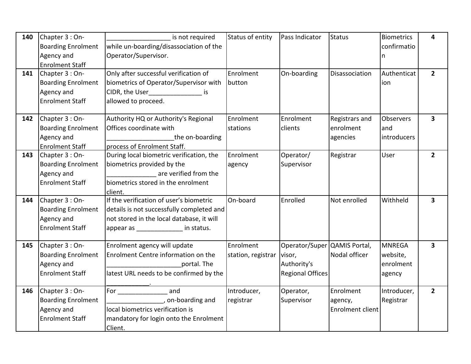| 140 | Chapter 3 : On-           | is not required                           | Status of entity   | Pass Indicator               | <b>Status</b>           | Biometrics    | 4                       |
|-----|---------------------------|-------------------------------------------|--------------------|------------------------------|-------------------------|---------------|-------------------------|
|     | <b>Boarding Enrolment</b> | while un-boarding/disassociation of the   |                    |                              |                         | confirmatio   |                         |
|     | Agency and                | Operator/Supervisor.                      |                    |                              |                         | n             |                         |
|     | <b>Enrolment Staff</b>    |                                           |                    |                              |                         |               |                         |
| 141 | Chapter 3 : On-           | Only after successful verification of     | Enrolment          | On-boarding                  | Disassociation          | Authenticat   | $\overline{2}$          |
|     | <b>Boarding Enrolment</b> | biometrics of Operator/Supervisor with    | button             |                              |                         | ion           |                         |
|     | Agency and                | CIDR, the User_____________________ is    |                    |                              |                         |               |                         |
|     | <b>Enrolment Staff</b>    | allowed to proceed.                       |                    |                              |                         |               |                         |
| 142 | Chapter 3 : On-           | Authority HQ or Authority's Regional      | Enrolment          | Enrolment                    | Registrars and          | Observers     | $\overline{\mathbf{3}}$ |
|     | <b>Boarding Enrolment</b> | Offices coordinate with                   | stations           | clients                      | enrolment               | and           |                         |
|     | Agency and                | the on-boarding                           |                    |                              | agencies                | introducers   |                         |
|     | <b>Enrolment Staff</b>    | process of Enrolment Staff.               |                    |                              |                         |               |                         |
| 143 | Chapter 3 : On-           | During local biometric verification, the  | Enrolment          | Operator/                    | Registrar               | User          | $\overline{2}$          |
|     | <b>Boarding Enrolment</b> | biometrics provided by the                | agency             | Supervisor                   |                         |               |                         |
|     | Agency and                | are verified from the                     |                    |                              |                         |               |                         |
|     | <b>Enrolment Staff</b>    | biometrics stored in the enrolment        |                    |                              |                         |               |                         |
|     |                           | client.                                   |                    |                              |                         |               |                         |
| 144 | Chapter 3 : On-           | If the verification of user's biometric   | On-board           | Enrolled                     | Not enrolled            | Withheld      | $\overline{\mathbf{3}}$ |
|     | <b>Boarding Enrolment</b> | details is not successfully completed and |                    |                              |                         |               |                         |
|     | Agency and                | not stored in the local database, it will |                    |                              |                         |               |                         |
|     | <b>Enrolment Staff</b>    | appear as _____________ in status.        |                    |                              |                         |               |                         |
| 145 | Chapter 3 : On-           | Enrolment agency will update              | Enrolment          | Operator/Super QAMIS Portal, |                         | <b>MNREGA</b> | $\overline{\mathbf{3}}$ |
|     | <b>Boarding Enrolment</b> | Enrolment Centre information on the       | station, registrar | visor,                       | Nodal officer           | website,      |                         |
|     | Agency and                | portal. The                               |                    | Authority's                  |                         | enrolment     |                         |
|     | <b>Enrolment Staff</b>    | latest URL needs to be confirmed by the   |                    | <b>Regional Offices</b>      |                         | agency        |                         |
| 146 | Chapter 3 : On-           | and                                       | Introducer,        | Operator,                    | Enrolment               | Introducer,   | $2^{\circ}$             |
|     | <b>Boarding Enrolment</b> | on-boarding and                           | registrar          | Supervisor                   | agency,                 | Registrar     |                         |
|     | Agency and                | local biometrics verification is          |                    |                              | <b>Enrolment client</b> |               |                         |
|     | <b>Enrolment Staff</b>    | mandatory for login onto the Enrolment    |                    |                              |                         |               |                         |
|     |                           | Client.                                   |                    |                              |                         |               |                         |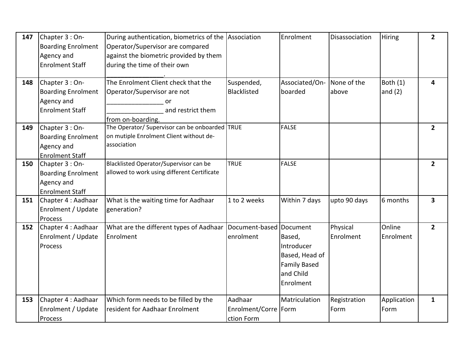| 147 | Chapter 3 : On-<br><b>Boarding Enrolment</b><br>Agency and<br><b>Enrolment Staff</b> | During authentication, biometrics of the Association<br>Operator/Supervisor are compared<br>against the biometric provided by them<br>during the time of their own |                                                 | Enrolment                                                                                           | Disassociation        | <b>Hiring</b>         | $\mathbf{2}$            |
|-----|--------------------------------------------------------------------------------------|--------------------------------------------------------------------------------------------------------------------------------------------------------------------|-------------------------------------------------|-----------------------------------------------------------------------------------------------------|-----------------------|-----------------------|-------------------------|
| 148 | Chapter 3 : On-<br><b>Boarding Enrolment</b><br>Agency and<br><b>Enrolment Staff</b> | The Enrolment Client check that the<br>Operator/Supervisor are not<br>or<br>and restrict them<br>from on-boarding.                                                 | Suspended,<br>Blacklisted                       | Associated/On-<br>boarded                                                                           | None of the<br>above  | Both (1)<br>and $(2)$ | 4                       |
| 149 | Chapter 3 : On-<br><b>Boarding Enrolment</b><br>Agency and<br><b>Enrolment Staff</b> | The Operator/ Supervisor can be onboarded TRUE<br>on mutiple Enrolment Client without de-<br>association                                                           |                                                 | <b>FALSE</b>                                                                                        |                       |                       | $\overline{2}$          |
| 150 | Chapter 3 : On-<br><b>Boarding Enrolment</b><br>Agency and<br><b>Enrolment Staff</b> | Blacklisted Operator/Supervisor can be<br>allowed to work using different Certificate                                                                              | <b>TRUE</b>                                     | <b>FALSE</b>                                                                                        |                       |                       | $\overline{2}$          |
| 151 | Chapter 4 : Aadhaar<br>Enrolment / Update<br>Process                                 | What is the waiting time for Aadhaar<br>generation?                                                                                                                | 1 to 2 weeks                                    | Within 7 days                                                                                       | upto 90 days          | 6 months              | $\overline{\mathbf{3}}$ |
| 152 | Chapter 4 : Aadhaar<br>Enrolment / Update<br>Process                                 | What are the different types of Aadhaar<br>Enrolment                                                                                                               | Document-based<br>enrolment                     | Document<br>Based,<br>Introducer<br>Based, Head of<br><b>Family Based</b><br>and Child<br>Enrolment | Physical<br>Enrolment | Online<br>Enrolment   | $\overline{2}$          |
| 153 | Chapter 4 : Aadhaar<br>Enrolment / Update<br>Process                                 | Which form needs to be filled by the<br>resident for Aadhaar Enrolment                                                                                             | Aadhaar<br>Enrolment/Corre   Form<br>ction Form | Matriculation                                                                                       | Registration<br>Form  | Application<br>Form   | $\mathbf{1}$            |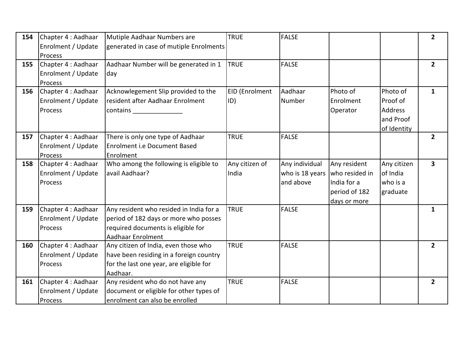| 154 | Chapter 4 : Aadhaar | Mutiple Aadhaar Numbers are                | <b>TRUE</b>    | <b>FALSE</b>    |                |                | $\mathbf{2}$            |
|-----|---------------------|--------------------------------------------|----------------|-----------------|----------------|----------------|-------------------------|
|     | Enrolment / Update  | generated in case of mutiple Enrolments    |                |                 |                |                |                         |
|     | Process             |                                            |                |                 |                |                |                         |
| 155 | Chapter 4 : Aadhaar | Aadhaar Number will be generated in 1      | <b>TRUE</b>    | <b>FALSE</b>    |                |                | $\overline{2}$          |
|     | Enrolment / Update  | day                                        |                |                 |                |                |                         |
|     | Process             |                                            |                |                 |                |                |                         |
| 156 | Chapter 4 : Aadhaar | Acknowlegement Slip provided to the        | EID (Enrolment | Aadhaar         | Photo of       | Photo of       | $\mathbf{1}$            |
|     | Enrolment / Update  | resident after Aadhaar Enrolment           | ID)            | Number          | Enrolment      | Proof of       |                         |
|     | Process             | contains and the contains and the contains |                |                 | Operator       | <b>Address</b> |                         |
|     |                     |                                            |                |                 |                | and Proof      |                         |
|     |                     |                                            |                |                 |                | of Identity    |                         |
| 157 | Chapter 4 : Aadhaar | There is only one type of Aadhaar          | <b>TRUE</b>    | <b>FALSE</b>    |                |                | $\overline{2}$          |
|     | Enrolment / Update  | <b>Enrolment i.e Document Based</b>        |                |                 |                |                |                         |
|     | Process             | Enrolment                                  |                |                 |                |                |                         |
| 158 | Chapter 4 : Aadhaar | Who among the following is eligible to     | Any citizen of | Any individual  | Any resident   | Any citizen    | $\overline{\mathbf{3}}$ |
|     | Enrolment / Update  | avail Aadhaar?                             | India          | who is 18 years | who resided in | of India       |                         |
|     | Process             |                                            |                | and above       | India for a    | who is a       |                         |
|     |                     |                                            |                |                 | period of 182  | graduate       |                         |
|     |                     |                                            |                |                 | days or more   |                |                         |
| 159 | Chapter 4 : Aadhaar | Any resident who resided in India for a    | <b>TRUE</b>    | <b>FALSE</b>    |                |                | $\mathbf{1}$            |
|     | Enrolment / Update  | period of 182 days or more who posses      |                |                 |                |                |                         |
|     | Process             | required documents is eligible for         |                |                 |                |                |                         |
|     |                     | Aadhaar Enrolment                          |                |                 |                |                |                         |
| 160 | Chapter 4 : Aadhaar | Any citizen of India, even those who       | <b>TRUE</b>    | <b>FALSE</b>    |                |                | $\overline{2}$          |
|     | Enrolment / Update  | have been residing in a foreign country    |                |                 |                |                |                         |
|     | Process             | for the last one year, are eligible for    |                |                 |                |                |                         |
|     |                     | Aadhaar.                                   |                |                 |                |                |                         |
| 161 | Chapter 4 : Aadhaar | Any resident who do not have any           | <b>TRUE</b>    | <b>FALSE</b>    |                |                | $\overline{2}$          |
|     | Enrolment / Update  | document or eligible for other types of    |                |                 |                |                |                         |
|     | Process             | enrolment can also be enrolled             |                |                 |                |                |                         |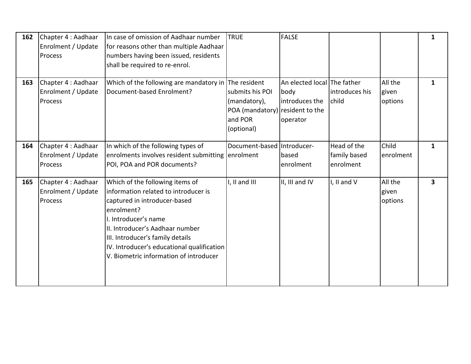| 162 | Chapter 4 : Aadhaar<br>Enrolment / Update<br>Process | In case of omission of Aadhaar number<br>for reasons other than multiple Aadhaar<br>numbers having been issued, residents<br>shall be required to re-enrol.                                                                                                                                                  | <b>TRUE</b>                                                                                 | <b>FALSE</b>                                                      |                                          |                             | $\mathbf{1}$ |
|-----|------------------------------------------------------|--------------------------------------------------------------------------------------------------------------------------------------------------------------------------------------------------------------------------------------------------------------------------------------------------------------|---------------------------------------------------------------------------------------------|-------------------------------------------------------------------|------------------------------------------|-----------------------------|--------------|
| 163 | Chapter 4 : Aadhaar<br>Enrolment / Update<br>Process | Which of the following are mandatory in The resident<br>Document-based Enrolment?                                                                                                                                                                                                                            | submits his POI<br>(mandatory),<br>POA (mandatory) resident to the<br>and POR<br>(optional) | An elected local The father<br>body<br>introduces the<br>operator | introduces his<br>child                  | All the<br>given<br>options | 1            |
| 164 | Chapter 4 : Aadhaar<br>Enrolment / Update<br>Process | In which of the following types of<br>enrolments involves resident submitting<br>POI, POA and POR documents?                                                                                                                                                                                                 | Document-based Introducer-<br>enrolment                                                     | based<br>enrolment                                                | Head of the<br>family based<br>enrolment | Child<br>enrolment          | $\mathbf{1}$ |
| 165 | Chapter 4 : Aadhaar<br>Enrolment / Update<br>Process | Which of the following items of<br>information related to introducer is<br>captured in introducer-based<br>enrolment?<br>I. Introducer's name<br>II. Introducer's Aadhaar number<br>III. Introducer's family details<br>IV. Introducer's educational qualification<br>V. Biometric information of introducer | I, II and III                                                                               | II, III and IV                                                    | I, II and V                              | All the<br>given<br>options | 3            |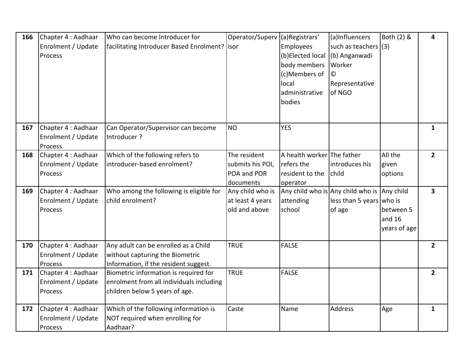| 166 | Chapter 4 : Aadhaar<br>Enrolment / Update<br>Process | Who can become Introducer for<br>facilitating Introducer Based Enrolment?   isor                                    | Operator/Superv                                       | (a)Registrars'<br>Employees<br>(b)Elected local             | (a)Influencers<br>such as teachers (3)<br>(b) Anganwadi                           | Both (2) &                          | 4                       |
|-----|------------------------------------------------------|---------------------------------------------------------------------------------------------------------------------|-------------------------------------------------------|-------------------------------------------------------------|-----------------------------------------------------------------------------------|-------------------------------------|-------------------------|
|     |                                                      |                                                                                                                     |                                                       | body members<br>(c)Members of                               | Worker<br>$\odot$                                                                 |                                     |                         |
|     |                                                      |                                                                                                                     |                                                       | local<br>administrative<br>bodies                           | Representative<br>of NGO                                                          |                                     |                         |
| 167 | Chapter 4 : Aadhaar<br>Enrolment / Update<br>Process | Can Operator/Supervisor can become<br>Introducer?                                                                   | <b>NO</b>                                             | <b>YES</b>                                                  |                                                                                   |                                     | $\mathbf{1}$            |
| 168 | Chapter 4 : Aadhaar<br>Enrolment / Update<br>Process | Which of the following refers to<br>introducer-based enrolment?                                                     | The resident<br>submits his POI,<br>POA and POR       | A health worker The father<br>refers the<br>resident to the | introduces his<br>child                                                           | All the<br>given<br>options         | $\overline{2}$          |
|     |                                                      |                                                                                                                     | documents                                             | operator                                                    |                                                                                   |                                     |                         |
| 169 | Chapter 4 : Aadhaar<br>Enrolment / Update<br>Process | Who among the following is eligible for<br>child enrolment?                                                         | Any child who is<br>at least 4 years<br>old and above | attending<br>school                                         | Any child who is Any child who is Any child<br>less than 5 years who is<br>of age | between 5<br>and 16<br>years of age | $\overline{\mathbf{3}}$ |
| 170 | Chapter 4 : Aadhaar<br>Enrolment / Update<br>Process | Any adult can be enrolled as a Child<br>without capturing the Biometric<br>Information, if the resident suggest.    | <b>TRUE</b>                                           | <b>FALSE</b>                                                |                                                                                   |                                     | $\mathbf{2}$            |
| 171 | Chapter 4 : Aadhaar<br>Enrolment / Update<br>Process | Biometric information is required for<br>enrolment from all individuals including<br>children below 5 years of age. | <b>TRUE</b>                                           | <b>FALSE</b>                                                |                                                                                   |                                     | $\overline{2}$          |
| 172 | Chapter 4 : Aadhaar<br>Enrolment / Update<br>Process | Which of the following information is<br>NOT required when enrolling for<br>Aadhaar?                                | Caste                                                 | Name                                                        | Address                                                                           | Age                                 | $\mathbf{1}$            |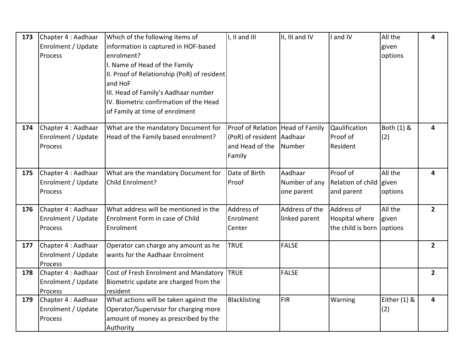| 173 | Chapter 4 : Aadhaar<br>Enrolment / Update<br>Process | Which of the following items of<br>information is captured in HOF-based<br>enrolment?<br>I. Name of Head of the Family<br>II. Proof of Relationship (PoR) of resident<br>and HoF<br>III. Head of Family's Aadhaar number<br>IV. Biometric confirmation of the Head<br>of Family at time of enrolment | I, II and III                                                                              | II, III and IV                         | and IV                                                           | All the<br>given<br>options | 4              |
|-----|------------------------------------------------------|------------------------------------------------------------------------------------------------------------------------------------------------------------------------------------------------------------------------------------------------------------------------------------------------------|--------------------------------------------------------------------------------------------|----------------------------------------|------------------------------------------------------------------|-----------------------------|----------------|
| 174 | Chapter 4 : Aadhaar<br>Enrolment / Update<br>Process | What are the mandatory Document for<br>Head of the Family based enrolment?                                                                                                                                                                                                                           | Proof of Relation Head of Family<br>(PoR) of resident Aadhaar<br>and Head of the<br>Family | Number                                 | Qaulification<br>Proof of<br>Resident                            | Both (1) &<br>(2)           | 4              |
| 175 | Chapter 4 : Aadhaar<br>Enrolment / Update<br>Process | What are the mandatory Document for<br>Child Enrolment?                                                                                                                                                                                                                                              | Date of Birth<br>Proof                                                                     | Aadhaar<br>Number of any<br>one parent | Proof of<br>Relation of child given<br>and parent                | All the<br>options          | 4              |
| 176 | Chapter 4 : Aadhaar<br>Enrolment / Update<br>Process | What address will be mentioned in the<br>Enrolment Form in case of Child<br>Enrolment                                                                                                                                                                                                                | Address of<br>Enrolment<br>Center                                                          | Address of the<br>linked parent        | Address of<br><b>Hospital where</b><br>the child is born options | All the<br>given            | $\overline{2}$ |
| 177 | Chapter 4 : Aadhaar<br>Enrolment / Update<br>Process | Operator can charge any amount as he<br>wants for the Aadhaar Enrolment                                                                                                                                                                                                                              | <b>TRUE</b>                                                                                | <b>FALSE</b>                           |                                                                  |                             | $\mathbf{2}$   |
| 178 | Chapter 4 : Aadhaar<br>Enrolment / Update<br>Process | Cost of Fresh Enrolment and Mandatory<br>Biometric update are charged from the<br>resident                                                                                                                                                                                                           | <b>TRUE</b>                                                                                | <b>FALSE</b>                           |                                                                  |                             | $\overline{2}$ |
| 179 | Chapter 4 : Aadhaar<br>Enrolment / Update<br>Process | What actions will be taken against the<br>Operator/Supervisor for charging more<br>amount of money as prescribed by the<br>Authority                                                                                                                                                                 | <b>Blacklisting</b>                                                                        | FIR                                    | Warning                                                          | Either (1) &<br>(2)         | 4              |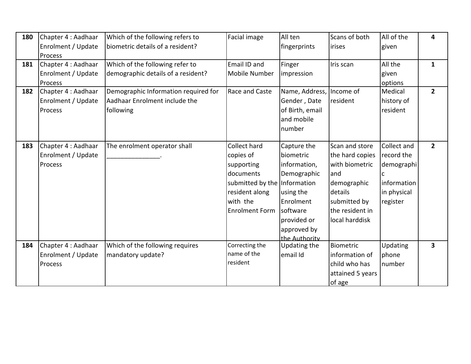| 180 | Chapter 4 : Aadhaar<br>Enrolment / Update<br>Process | Which of the following refers to<br>biometric details of a resident?               | Facial image                                                                                                                                | All ten<br>fingerprints                                                                                                                             | Scans of both<br>irises                                                                                                                   | All of the<br>given                                                               | 4                       |
|-----|------------------------------------------------------|------------------------------------------------------------------------------------|---------------------------------------------------------------------------------------------------------------------------------------------|-----------------------------------------------------------------------------------------------------------------------------------------------------|-------------------------------------------------------------------------------------------------------------------------------------------|-----------------------------------------------------------------------------------|-------------------------|
| 181 | Chapter 4 : Aadhaar<br>Enrolment / Update<br>Process | Which of the following refer to<br>demographic details of a resident?              | Email ID and<br><b>Mobile Number</b>                                                                                                        | Finger<br>impression                                                                                                                                | Iris scan                                                                                                                                 | All the<br>given<br>options                                                       | $\mathbf{1}$            |
| 182 | Chapter 4 : Aadhaar<br>Enrolment / Update<br>Process | Demographic Information required for<br>Aadhaar Enrolment include the<br>following | Race and Caste                                                                                                                              | Name, Address, Income of<br>Gender, Date<br>of Birth, email<br>and mobile<br>number                                                                 | resident                                                                                                                                  | Medical<br>history of<br>resident                                                 | 2 <sup>1</sup>          |
| 183 | Chapter 4 : Aadhaar<br>Enrolment / Update<br>Process | The enrolment operator shall                                                       | Collect hard<br>copies of<br>supporting<br>documents<br>submitted by the Information<br>resident along<br>with the<br><b>Enrolment Form</b> | Capture the<br>biometric<br>information,<br>Demographic<br>using the<br>Enrolment<br><b>software</b><br>provided or<br>approved by<br>the Authority | Scan and store<br>the hard copies<br>with biometric<br>and<br>demographic<br>details<br>submitted by<br>the resident in<br>local harddisk | Collect and<br>record the<br>demographi<br>information<br>in physical<br>register | 2 <sup>1</sup>          |
| 184 | Chapter 4 : Aadhaar<br>Enrolment / Update<br>Process | Which of the following requires<br>mandatory update?                               | Correcting the<br>name of the<br>resident                                                                                                   | Updating the<br>email Id                                                                                                                            | Biometric<br>information of<br>child who has<br>attained 5 years<br>of age                                                                | Updating<br>phone<br>number                                                       | $\overline{\mathbf{3}}$ |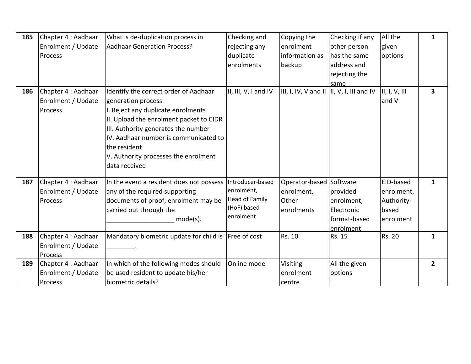| 185 | Chapter 4 : Aadhaar | What is de-duplication process in        | Checking and          | Copying the                                | Checking if any | All the       | 1              |
|-----|---------------------|------------------------------------------|-----------------------|--------------------------------------------|-----------------|---------------|----------------|
|     | Enrolment / Update  | <b>Aadhaar Generation Process?</b>       | rejecting any         | enrolment                                  | other person    | given         |                |
|     | Process             |                                          | duplicate             | information as                             | has the same    | options       |                |
|     |                     |                                          | enrolments            | backup                                     | address and     |               |                |
|     |                     |                                          |                       |                                            |                 |               |                |
|     |                     |                                          |                       |                                            | rejecting the   |               |                |
| 186 | Chapter 4 : Aadhaar | Identify the correct order of Aadhaar    | II, III, V, I and IV  | III, I, IV, V and II  II, V, I, III and IV | same            | II, I, V, III | 3              |
|     | Enrolment / Update  | generation process.                      |                       |                                            |                 | and V         |                |
|     |                     |                                          |                       |                                            |                 |               |                |
|     | Process             | I. Reject any duplicate enrolments       |                       |                                            |                 |               |                |
|     |                     | II. Upload the enrolment packet to CIDR  |                       |                                            |                 |               |                |
|     |                     | III. Authority generates the number      |                       |                                            |                 |               |                |
|     |                     | IV. Aadhaar number is communicated to    |                       |                                            |                 |               |                |
|     |                     | the resident                             |                       |                                            |                 |               |                |
|     |                     | V. Authority processes the enrolment     |                       |                                            |                 |               |                |
|     |                     | data received                            |                       |                                            |                 |               |                |
|     |                     |                                          |                       |                                            |                 |               |                |
| 187 | Chapter 4 : Aadhaar | In the event a resident does not possess | Introducer-based      | Operator-based Software                    |                 | EID-based     | $\mathbf{1}$   |
|     | Enrolment / Update  | any of the required supporting           | enrolment,            | enrolment,                                 | provided        | enrolment,    |                |
|     | Process             | documents of proof, enrolment may be     | <b>Head of Family</b> | Other                                      | enrolment,      | Authority-    |                |
|     |                     | carried out through the                  | (HoF) based           | enrolments                                 | Electronic      | based         |                |
|     |                     | $mode(s)$ .                              | enrolment             |                                            | format-based    | enrolment     |                |
|     |                     |                                          |                       |                                            | enrolment       |               |                |
| 188 | Chapter 4 : Aadhaar | Mandatory biometric update for child is  | Free of cost          | Rs. 10                                     | Rs. 15          | <b>Rs. 20</b> | 1              |
|     | Enrolment / Update  |                                          |                       |                                            |                 |               |                |
|     | Process             |                                          |                       |                                            |                 |               |                |
| 189 | Chapter 4 : Aadhaar | In which of the following modes should   | Online mode           | Visiting                                   | All the given   |               | 2 <sup>1</sup> |
|     | Enrolment / Update  | be used resident to update his/her       |                       | enrolment                                  | options         |               |                |
|     | Process             | biometric details?                       |                       | centre                                     |                 |               |                |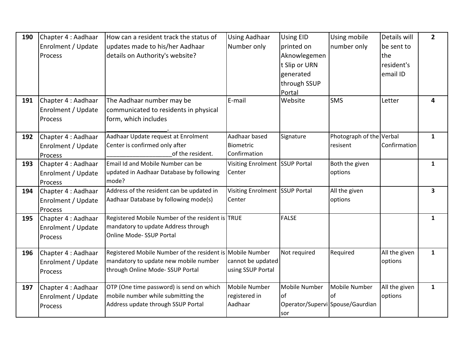| 190 | Chapter 4 : Aadhaar | How can a resident track the status of                          | <b>Using Aadhaar</b>           | <b>Using EID</b> | Using mobile                     | Details will  | $\mathbf{2}$ |
|-----|---------------------|-----------------------------------------------------------------|--------------------------------|------------------|----------------------------------|---------------|--------------|
|     | Enrolment / Update  | updates made to his/her Aadhaar                                 | Number only                    | printed on       | number only                      | be sent to    |              |
|     | Process             | details on Authority's website?                                 |                                | Aknowlegemen     |                                  | the           |              |
|     |                     |                                                                 |                                | t Slip or URN    |                                  | resident's    |              |
|     |                     |                                                                 |                                | generated        |                                  | email ID      |              |
|     |                     |                                                                 |                                | through SSUP     |                                  |               |              |
|     |                     |                                                                 |                                | Portal           |                                  |               |              |
| 191 | Chapter 4 : Aadhaar | The Aadhaar number may be                                       | E-mail                         | Website          | <b>SMS</b>                       | Letter        | 4            |
|     | Enrolment / Update  | communicated to residents in physical                           |                                |                  |                                  |               |              |
|     | Process             | form, which includes                                            |                                |                  |                                  |               |              |
|     |                     |                                                                 |                                |                  |                                  |               |              |
| 192 | Chapter 4 : Aadhaar | Aadhaar Update request at Enrolment                             | Aadhaar based                  | Signature        | Photograph of the Verbal         |               | $\mathbf{1}$ |
|     | Enrolment / Update  | Center is confirmed only after                                  | Biometric                      |                  | resisent                         | Confirmation  |              |
|     | Process             | of the resident.                                                | Confirmation                   |                  |                                  |               |              |
| 193 | Chapter 4 : Aadhaar | Email Id and Mobile Number can be                               | Visiting Enrolment SSUP Portal |                  | Both the given                   |               | $\mathbf{1}$ |
|     | Enrolment / Update  | updated in Aadhaar Database by following                        | Center                         |                  | options                          |               |              |
|     | Process             | mode?                                                           |                                |                  |                                  |               |              |
| 194 | Chapter 4 : Aadhaar | Address of the resident can be updated in                       | Visiting Enrolment SSUP Portal |                  | All the given                    |               | 3            |
|     | Enrolment / Update  | Aadhaar Database by following mode(s)                           | Center                         |                  | options                          |               |              |
|     | Process             |                                                                 |                                |                  |                                  |               |              |
| 195 | Chapter 4 : Aadhaar | Registered Mobile Number of the resident is TRUE                |                                | <b>FALSE</b>     |                                  |               | $\mathbf{1}$ |
|     | Enrolment / Update  | mandatory to update Address through<br>Online Mode- SSUP Portal |                                |                  |                                  |               |              |
|     | Process             |                                                                 |                                |                  |                                  |               |              |
| 196 | Chapter 4 : Aadhaar | Registered Mobile Number of the resident is Mobile Number       |                                | Not required     | Required                         | All the given | $\mathbf{1}$ |
|     | Enrolment / Update  | mandatory to update new mobile number                           | cannot be updated              |                  |                                  | options       |              |
|     | Process             | through Online Mode-SSUP Portal                                 | using SSUP Portal              |                  |                                  |               |              |
|     |                     |                                                                 |                                |                  |                                  |               |              |
| 197 | Chapter 4 : Aadhaar | OTP (One time password) is send on which                        | Mobile Number                  | Mobile Number    | Mobile Number                    | All the given | $\mathbf{1}$ |
|     | Enrolment / Update  | mobile number while submitting the                              | registered in                  | of               | of                               | options       |              |
|     | Process             | Address update through SSUP Portal                              | Aadhaar                        |                  | Operator/Supervi Spouse/Gaurdian |               |              |
|     |                     |                                                                 |                                | sor              |                                  |               |              |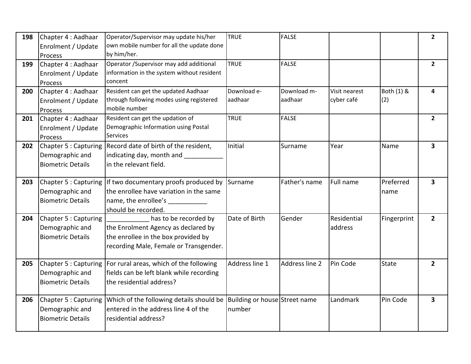| 198 | Chapter 4 : Aadhaar<br>Enrolment / Update                            | Operator/Supervisor may update his/her<br>own mobile number for all the update done                                                                    | <b>TRUE</b>                             | <b>FALSE</b>           |                             |                   | $\overline{2}$          |
|-----|----------------------------------------------------------------------|--------------------------------------------------------------------------------------------------------------------------------------------------------|-----------------------------------------|------------------------|-----------------------------|-------------------|-------------------------|
|     | Process                                                              | by him/her.                                                                                                                                            |                                         |                        |                             |                   |                         |
| 199 | Chapter 4 : Aadhaar<br>Enrolment / Update<br>Process                 | Operator / Supervisor may add additional<br>information in the system without resident<br>concent                                                      | <b>TRUE</b>                             | <b>FALSE</b>           |                             |                   | $\overline{2}$          |
| 200 | Chapter 4 : Aadhaar<br>Enrolment / Update<br>Process                 | Resident can get the updated Aadhaar<br>through following modes using registered<br>mobile number                                                      | Download e-<br>aadhaar                  | Download m-<br>aadhaar | Visit nearest<br>cyber café | Both (1) &<br>(2) | 4                       |
| 201 | Chapter 4 : Aadhaar<br>Enrolment / Update<br>Process                 | Resident can get the updation of<br>Demographic Information using Postal<br><b>Services</b>                                                            | <b>TRUE</b>                             | FALSE                  |                             |                   | $\overline{2}$          |
| 202 | Chapter 5 : Capturing<br>Demographic and<br><b>Biometric Details</b> | Record date of birth of the resident,<br>indicating day, month and _____<br>in the relevant field.                                                     | Initial                                 | Surname                | Year                        | Name              | $\overline{\mathbf{3}}$ |
| 203 | Demographic and<br><b>Biometric Details</b>                          | Chapter 5 : Capturing lif two documentary proofs produced by<br>the enrollee have variation in the same<br>name, the enrollee's<br>should be recorded. | Surname                                 | Father's name          | Full name                   | Preferred<br>name | $\overline{\mathbf{3}}$ |
| 204 | Chapter 5 : Capturing<br>Demographic and<br><b>Biometric Details</b> | has to be recorded by<br>the Enrolment Agency as declared by<br>the enrollee in the box provided by<br>recording Male, Female or Transgender.          | Date of Birth                           | Gender                 | Residential<br>address      | Fingerprint       | $\overline{2}$          |
| 205 | Chapter 5 : Capturing<br>Demographic and<br><b>Biometric Details</b> | For rural areas, which of the following<br>fields can be left blank while recording<br>the residential address?                                        | Address line 1                          | Address line 2         | Pin Code                    | State             | $\overline{2}$          |
| 206 | Chapter 5 : Capturing<br>Demographic and<br><b>Biometric Details</b> | Which of the following details should be<br>entered in the address line 4 of the<br>residential address?                                               | Building or house Street name<br>number |                        | Landmark                    | Pin Code          | 3                       |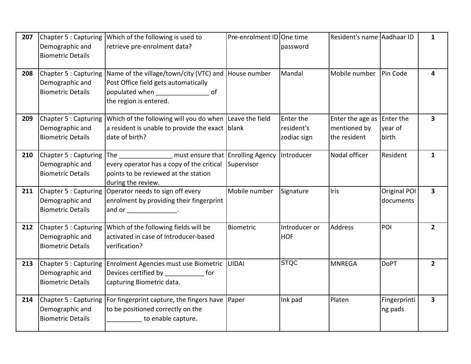| 207 | Chapter 5 : Capturing                                                | Which of the following is used to                                                                                                                                  | Pre-enrolment ID One time |                                        | Resident's name Aadhaar ID                       |                               | $\mathbf{1}$            |
|-----|----------------------------------------------------------------------|--------------------------------------------------------------------------------------------------------------------------------------------------------------------|---------------------------|----------------------------------------|--------------------------------------------------|-------------------------------|-------------------------|
|     | Demographic and<br><b>Biometric Details</b>                          | retrieve pre-enrolment data?                                                                                                                                       |                           | password                               |                                                  |                               |                         |
| 208 | Chapter 5 : Capturing<br>Demographic and<br><b>Biometric Details</b> | Name of the village/town/city (VTC) and House number<br>Post Office field gets automatically<br>populated when _________________ of<br>the region is entered.      |                           | Mandal                                 | Mobile number                                    | Pin Code                      | $\overline{\mathbf{4}}$ |
| 209 | Chapter 5 : Capturing<br>Demographic and<br><b>Biometric Details</b> | Which of the following will you do when Leave the field<br>a resident is unable to provide the exact blank<br>date of birth?                                       |                           | Enter the<br>resident's<br>zodiac sign | Enter the age as<br>mentioned by<br>the resident | Enter the<br>year of<br>birth | $\mathbf{3}$            |
| 210 | Chapter 5 : Capturing<br>Demographic and<br><b>Biometric Details</b> | The _________________ must ensure that Enrolling Agency<br>every operator has a copy of the critical<br>points to be reviewed at the station<br>during the review. | Supervisor                | Introducer                             | Nodal officer                                    | Resident                      | $\mathbf{1}$            |
| 211 | Chapter 5 : Capturing<br>Demographic and<br><b>Biometric Details</b> | Operator needs to sign off every<br>enrolment by providing their fingerprint<br>and or ___________________.                                                        | Mobile number             | Signature                              | <b>Iris</b>                                      | Original POI<br>documents     | $\overline{\mathbf{3}}$ |
| 212 | Chapter 5 : Capturing<br>Demographic and<br><b>Biometric Details</b> | Which of the following fields will be<br>activated in case of Introducer-based<br>verification?                                                                    | Biometric                 | Introducer or<br><b>HOF</b>            | <b>Address</b>                                   | POI                           | 2 <sup>1</sup>          |
| 213 | Chapter 5 : Capturing<br>Demographic and<br><b>Biometric Details</b> | Enrolment Agencies must use Biometric<br>Devices certified by ________________ for<br>capturing Biometric data.                                                    | UIDAI                     | <b>STQC</b>                            | <b>MNREGA</b>                                    | <b>DoPT</b>                   | $2^{\circ}$             |
| 214 | Chapter 5 : Capturing<br>Demographic and<br><b>Biometric Details</b> | For fingerprint capture, the fingers have Paper<br>to be positioned correctly on the<br>to enable capture.                                                         |                           | Ink pad                                | Platen                                           | Fingerprinti<br>ng pads       | $\overline{\mathbf{3}}$ |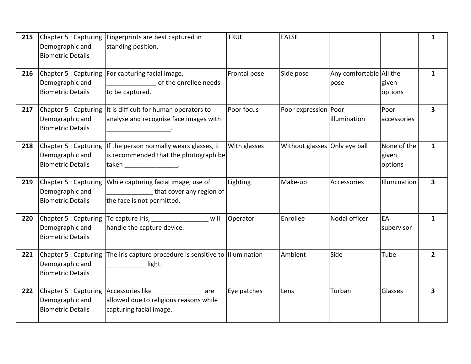| 215 | Chapter 5 : Capturing<br>Demographic and<br><b>Biometric Details</b> | Fingerprints are best captured in<br>standing position.                                                        | <b>TRUE</b>  | <b>FALSE</b>                  |                                 |                                 | 1                       |
|-----|----------------------------------------------------------------------|----------------------------------------------------------------------------------------------------------------|--------------|-------------------------------|---------------------------------|---------------------------------|-------------------------|
| 216 | Chapter 5 : Capturing<br>Demographic and<br><b>Biometric Details</b> | For capturing facial image,<br>of the enrollee needs<br>to be captured.                                        | Frontal pose | Side pose                     | Any comfortable All the<br>pose | given<br>options                | $\mathbf{1}$            |
| 217 | Chapter 5 : Capturing<br>Demographic and<br><b>Biometric Details</b> | It is difficult for human operators to<br>analyse and recognise face images with                               | Poor focus   | Poor expression   Poor        | illumination                    | Poor<br>accessories             | $\overline{\mathbf{3}}$ |
| 218 | Chapter 5 : Capturing<br>Demographic and<br><b>Biometric Details</b> | If the person normally wears glasses, it<br>is recommended that the photograph be<br>taken __________________. | With glasses | Without glasses Only eye ball |                                 | None of the<br>given<br>options | $\mathbf{1}$            |
| 219 | Chapter 5 : Capturing<br>Demographic and<br><b>Biometric Details</b> | While capturing facial image, use of<br>that cover any region of<br>the face is not permitted.                 | Lighting     | Make-up                       | Accessories                     | Illumination                    | $\overline{\mathbf{3}}$ |
| 220 | Chapter 5 : Capturing<br>Demographic and<br><b>Biometric Details</b> | To capture iris, Manuelette Contains<br>will<br>handle the capture device.                                     | Operator     | Enrollee                      | Nodal officer                   | EA<br>supervisor                | $\mathbf{1}$            |
| 221 | Chapter 5 : Capturing<br>Demographic and<br><b>Biometric Details</b> | The iris capture procedure is sensitive to Illumination<br>light.                                              |              | Ambient                       | Side                            | Tube                            | $\overline{2}$          |
| 222 | Chapter 5 : Capturing<br>Demographic and<br><b>Biometric Details</b> | Accessories like _______________ are<br>allowed due to religious reasons while<br>capturing facial image.      | Eye patches  | Lens                          | Turban                          | Glasses                         | $\overline{\mathbf{3}}$ |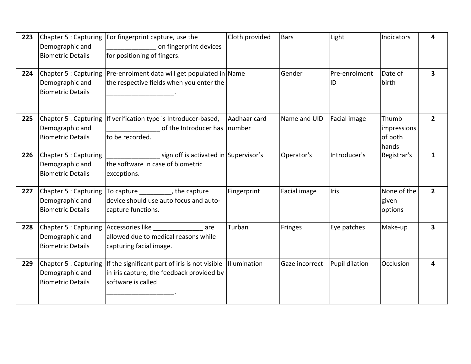| 223 | Chapter 5 : Capturing<br>Demographic and<br><b>Biometric Details</b> | For fingerprint capture, use the<br>on fingerprint devices<br>for positioning of fingers.                         | Cloth provided | <b>Bars</b>    | Light               | Indicators                               | 4              |
|-----|----------------------------------------------------------------------|-------------------------------------------------------------------------------------------------------------------|----------------|----------------|---------------------|------------------------------------------|----------------|
| 224 | Demographic and<br><b>Biometric Details</b>                          | Chapter 5 : Capturing Pre-enrolment data will get populated in Name<br>the respective fields when you enter the   |                | Gender         | Pre-enrolment<br>ID | Date of<br>birth                         | $\mathbf{3}$   |
| 225 | Chapter 5 : Capturing<br>Demographic and<br><b>Biometric Details</b> | If verification type is Introducer-based,<br>of the Introducer has Inumber<br>to be recorded.                     | Aadhaar card   | Name and UID   | Facial image        | Thumb<br>impressions<br>of both<br>hands | $\overline{2}$ |
| 226 | Chapter 5 : Capturing<br>Demographic and<br><b>Biometric Details</b> | sign off is activated in Supervisor's<br>the software in case of biometric<br>exceptions.                         |                | Operator's     | Introducer's        | Registrar's                              | 1              |
| 227 | Chapter 5 : Capturing<br>Demographic and<br><b>Biometric Details</b> | To capture __________, the capture<br>device should use auto focus and auto-<br>capture functions.                | Fingerprint    | Facial image   | Iris                | None of the<br>given<br>options          | $\overline{2}$ |
| 228 | Chapter 5 : Capturing<br>Demographic and<br><b>Biometric Details</b> | Accessories like <b>Accessories</b><br>are<br>allowed due to medical reasons while<br>capturing facial image.     | Turban         | <b>Fringes</b> | Eye patches         | Make-up                                  | 3              |
| 229 | Chapter 5 : Capturing<br>Demographic and<br><b>Biometric Details</b> | If the significant part of iris is not visible<br>in iris capture, the feedback provided by<br>software is called | Illumination   | Gaze incorrect | Pupil dilation      | Occlusion                                | 4              |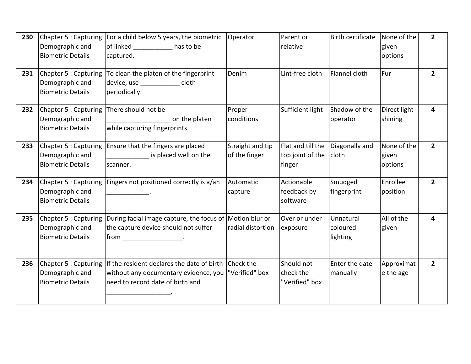| 230 | Demographic and<br><b>Biometric Details</b>                          | Chapter 5 : Capturing   For a child below 5 years, the biometric<br>of linked<br><b>Example 1</b> has to be<br>captured.                                                                                                                                                                                                                                                                                                                                                                                                                                                                                                                                                                                                        | Operator                            | Parent or<br>relative                           | <b>Birth certificate</b>          | None of the<br>given<br>options | $2^{\circ}$    |
|-----|----------------------------------------------------------------------|---------------------------------------------------------------------------------------------------------------------------------------------------------------------------------------------------------------------------------------------------------------------------------------------------------------------------------------------------------------------------------------------------------------------------------------------------------------------------------------------------------------------------------------------------------------------------------------------------------------------------------------------------------------------------------------------------------------------------------|-------------------------------------|-------------------------------------------------|-----------------------------------|---------------------------------|----------------|
| 231 | Chapter 5 : Capturing<br>Demographic and<br><b>Biometric Details</b> | To clean the platen of the fingerprint<br>device, use ______________ cloth<br>periodically.                                                                                                                                                                                                                                                                                                                                                                                                                                                                                                                                                                                                                                     | Denim                               | Lint-free cloth                                 | Flannel cloth                     | Fur                             | 2 <sup>1</sup> |
| 232 | Chapter 5 : Capturing<br>Demographic and<br><b>Biometric Details</b> | There should not be<br>on the platen<br>while capturing fingerprints.                                                                                                                                                                                                                                                                                                                                                                                                                                                                                                                                                                                                                                                           | Proper<br>conditions                | Sufficient light                                | Shadow of the<br>operator         | Direct light<br>shining         | 4              |
| 233 | Chapter 5 : Capturing<br>Demographic and<br><b>Biometric Details</b> | Ensure that the fingers are placed<br>is placed well on the<br>scanner.                                                                                                                                                                                                                                                                                                                                                                                                                                                                                                                                                                                                                                                         | Straight and tip<br>of the finger   | Flat and till the<br>top joint of the<br>finger | Diagonally and<br>cloth           | None of the<br>given<br>options | $2^{\circ}$    |
| 234 | Chapter 5 : Capturing<br>Demographic and<br><b>Biometric Details</b> | Fingers not positioned correctly is a/an                                                                                                                                                                                                                                                                                                                                                                                                                                                                                                                                                                                                                                                                                        | Automatic<br>capture                | Actionable<br>feedback by<br>software           | Smudged<br>fingerprint            | Enrollee<br>position            | $2^{\circ}$    |
| 235 | Chapter 5 : Capturing<br>Demographic and<br><b>Biometric Details</b> | During facial image capture, the focus of<br>the capture device should not suffer<br>$[from \underline{\hspace{1cm}} \underline{\hspace{1cm}} \underline{\hspace{1cm}} \underline{\hspace{1cm}} \underline{\hspace{1cm}} \underline{\hspace{1cm}} \underline{\hspace{1cm}} \underline{\hspace{1cm}} \underline{\hspace{1cm}} \underline{\hspace{1cm}} \underline{\hspace{1cm}} \underline{\hspace{1cm}} \underline{\hspace{1cm}} \underline{\hspace{1cm}} \underline{\hspace{1cm}} \underline{\hspace{1cm}} \underline{\hspace{1cm}} \underline{\hspace{1cm}} \underline{\hspace{1cm}} \underline{\hspace{1cm}} \underline{\hspace{1cm}} \underline{\hspace{1cm}} \underline{\hspace{1cm}} \underline{\hspace{1cm}} \underline$ | Motion blur or<br>radial distortion | Over or under<br>exposure                       | Unnatural<br>coloured<br>lighting | All of the<br>given             | 4              |
| 236 | Chapter 5 : Capturing<br>Demographic and<br><b>Biometric Details</b> | If the resident declares the date of birth<br>without any documentary evidence, you<br>need to record date of birth and                                                                                                                                                                                                                                                                                                                                                                                                                                                                                                                                                                                                         | <b>Check the</b><br>"Verified" box  | Should not<br>check the<br>"Verified" box       | Enter the date<br>manually        | Approximat<br>e the age         | $2^{\circ}$    |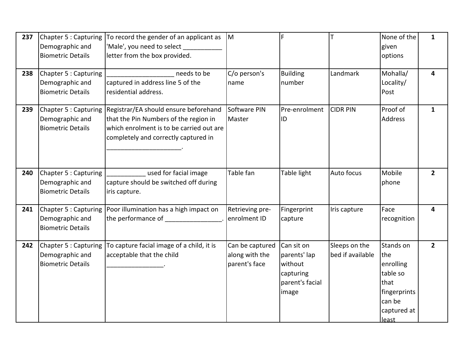| 237 | Chapter 5 : Capturing<br>Demographic and<br><b>Biometric Details</b> | To record the gender of an applicant as $\vert M \vert$<br>'Male', you need to select<br>letter from the box provided.                                             |                                                    | F                                                                              | lT                                | None of the<br>given<br>options                                                                     | $\mathbf{1}$   |
|-----|----------------------------------------------------------------------|--------------------------------------------------------------------------------------------------------------------------------------------------------------------|----------------------------------------------------|--------------------------------------------------------------------------------|-----------------------------------|-----------------------------------------------------------------------------------------------------|----------------|
| 238 | Chapter 5 : Capturing<br>Demographic and<br><b>Biometric Details</b> | needs to be<br>captured in address line 5 of the<br>residential address.                                                                                           | C/o person's<br>name                               | <b>Building</b><br>number                                                      | Landmark                          | Mohalla/<br>Locality/<br>Post                                                                       | 4              |
| 239 | Chapter 5 : Capturing<br>Demographic and<br><b>Biometric Details</b> | Registrar/EA should ensure beforehand<br>that the Pin Numbers of the region in<br>which enrolment is to be carried out are<br>completely and correctly captured in | Software PIN<br>Master                             | Pre-enrolment<br>ID                                                            | <b>CIDR PIN</b>                   | Proof of<br><b>Address</b>                                                                          | $\mathbf{1}$   |
| 240 | Chapter 5 : Capturing<br>Demographic and<br><b>Biometric Details</b> | used for facial image<br>capture should be switched off during<br>iris capture.                                                                                    | Table fan                                          | Table light                                                                    | Auto focus                        | Mobile<br>phone                                                                                     | $\overline{2}$ |
| 241 | Chapter 5 : Capturing<br>Demographic and<br><b>Biometric Details</b> | Poor illumination has a high impact on<br>the performance of ________________.                                                                                     | Retrieving pre-<br>enrolment ID                    | Fingerprint<br>capture                                                         | Iris capture                      | Face<br>recognition                                                                                 | 4              |
| 242 | Chapter 5 : Capturing<br>Demographic and<br><b>Biometric Details</b> | To capture facial image of a child, it is<br>acceptable that the child                                                                                             | Can be captured<br>along with the<br>parent's face | Can sit on<br>parents' lap<br>without<br>capturing<br>parent's facial<br>image | Sleeps on the<br>bed if available | Stands on<br>the<br>enrolling<br>table so<br>that<br>fingerprints<br>can be<br>captured at<br>least | $\overline{2}$ |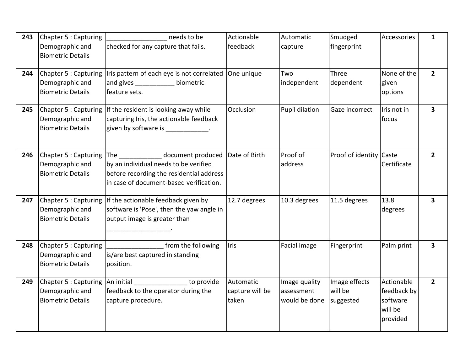| 243 | Chapter 5 : Capturing<br>Demographic and<br><b>Biometric Details</b> | needs to be<br>checked for any capture that fails.                                                                                                    | Actionable<br>feedback                | Automatic<br>capture                         | Smudged<br>fingerprint                | Accessories                                                  | $\mathbf{1}$            |
|-----|----------------------------------------------------------------------|-------------------------------------------------------------------------------------------------------------------------------------------------------|---------------------------------------|----------------------------------------------|---------------------------------------|--------------------------------------------------------------|-------------------------|
| 244 | Chapter 5 : Capturing<br>Demographic and<br><b>Biometric Details</b> | Iris pattern of each eye is not correlated<br>and gives _____________ biometric<br>feature sets.                                                      | One unique                            | Two<br>independent                           | Three<br>dependent                    | None of the<br>given<br>options                              | $2^{\circ}$             |
| 245 | Chapter 5 : Capturing<br>Demographic and<br><b>Biometric Details</b> | If the resident is looking away while<br>capturing Iris, the actionable feedback<br>given by software is ____________.                                | Occlusion                             | Pupil dilation                               | Gaze incorrect                        | Iris not in<br>focus                                         | 3                       |
| 246 | Chapter 5 : Capturing<br>Demographic and<br><b>Biometric Details</b> | The document produced<br>by an individual needs to be verified<br>before recording the residential address<br>in case of document-based verification. | Date of Birth                         | Proof of<br>address                          | Proof of identity Caste               | Certificate                                                  | $\overline{2}$          |
| 247 | Chapter 5 : Capturing<br>Demographic and<br><b>Biometric Details</b> | If the actionable feedback given by<br>software is 'Pose', then the yaw angle in<br>output image is greater than                                      | 12.7 degrees                          | 10.3 degrees                                 | 11.5 degrees                          | 13.8<br>degrees                                              | 3                       |
| 248 | Chapter 5 : Capturing<br>Demographic and<br><b>Biometric Details</b> | from the following<br>is/are best captured in standing<br>position.                                                                                   | Iris                                  | Facial image                                 | Fingerprint                           | Palm print                                                   | $\overline{\mathbf{3}}$ |
| 249 | Chapter 5 : Capturing<br>Demographic and<br><b>Biometric Details</b> | An initial<br>to provide<br>feedback to the operator during the<br>capture procedure.                                                                 | Automatic<br>capture will be<br>taken | Image quality<br>assessment<br>would be done | Image effects<br>will be<br>suggested | Actionable<br>feedback by<br>software<br>will be<br>provided | $2^{\circ}$             |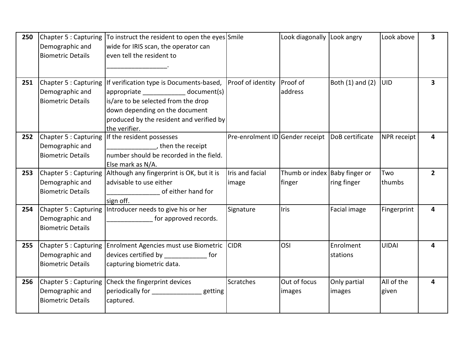| 250 | Demographic and<br><b>Biometric Details</b>                          | Chapter 5 : Capturing   To instruct the resident to open the eyes Smile<br>wide for IRIS scan, the operator can<br>leven tell the resident to                                                                             |                                                   | Look diagonally Look angry              |                        | Look above          | $\overline{\mathbf{3}}$ |
|-----|----------------------------------------------------------------------|---------------------------------------------------------------------------------------------------------------------------------------------------------------------------------------------------------------------------|---------------------------------------------------|-----------------------------------------|------------------------|---------------------|-------------------------|
| 251 | Chapter 5 : Capturing<br>Demographic and<br><b>Biometric Details</b> | If verification type is Documents-based,<br>appropriate ______________ document(s)<br>lis/are to be selected from the drop<br>down depending on the document<br>produced by the resident and verified by<br>the verifier. | Proof of identity                                 | Proof of<br>address                     | Both (1) and (2)       | <b>UID</b>          | $\overline{\mathbf{3}}$ |
| 252 | Chapter 5 : Capturing<br>Demographic and<br><b>Biometric Details</b> | If the resident possesses<br>then the receipt<br>Inumber should be recorded in the field.<br>Else mark as N/A.                                                                                                            | Pre-enrolment ID Gender receipt   DoB certificate |                                         |                        | NPR receipt         | 4                       |
| 253 | Demographic and<br><b>Biometric Details</b>                          | Chapter 5 : Capturing Although any fingerprint is OK, but it is<br>advisable to use either<br>of either hand for<br>sign off.                                                                                             | Iris and facial<br>image                          | Thumb or index Baby finger or<br>finger | ring finger            | Two<br>thumbs       | $2^{\circ}$             |
| 254 | Chapter 5 : Capturing<br>Demographic and<br><b>Biometric Details</b> | Introducer needs to give his or her<br>for approved records.                                                                                                                                                              | Signature                                         | Iris                                    | Facial image           | Fingerprint         | 4                       |
| 255 | Chapter 5 : Capturing<br>Demographic and<br><b>Biometric Details</b> | Enrolment Agencies must use Biometric<br>devices certified by ________________ for<br>capturing biometric data.                                                                                                           | <b>CIDR</b>                                       | OSI                                     | Enrolment<br>stations  | <b>UIDAI</b>        | 4                       |
| 256 | Demographic and<br><b>Biometric Details</b>                          | Chapter 5 : Capturing Check the fingerprint devices<br>periodically for ________________getting<br>captured.                                                                                                              | Scratches                                         | Out of focus<br>images                  | Only partial<br>images | All of the<br>given | 4                       |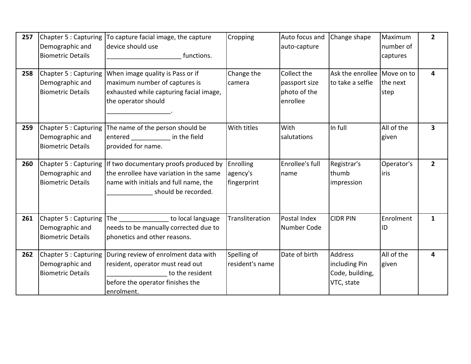| 257 | Chapter 5 : Capturing<br>Demographic and<br><b>Biometric Details</b> | To capture facial image, the capture<br>device should use<br>functions.                                                                          | Cropping                             | Auto focus and<br>auto-capture                           | Change shape                                                     | Maximum<br>number of<br>captures | $\overline{2}$ |
|-----|----------------------------------------------------------------------|--------------------------------------------------------------------------------------------------------------------------------------------------|--------------------------------------|----------------------------------------------------------|------------------------------------------------------------------|----------------------------------|----------------|
| 258 | Chapter 5 : Capturing<br>Demographic and<br><b>Biometric Details</b> | When image quality is Pass or if<br>maximum number of captures is<br>exhausted while capturing facial image,<br>the operator should              | Change the<br>camera                 | Collect the<br>passport size<br>photo of the<br>enrollee | Ask the enrollee Move on to<br>to take a selfie                  | the next<br>step                 | 4              |
| 259 | Chapter 5 : Capturing<br>Demographic and<br><b>Biometric Details</b> | The name of the person should be<br>entered __________<br>in the field<br>provided for name.                                                     | With titles                          | With<br>salutations                                      | In full                                                          | All of the<br>given              | 3              |
| 260 | Chapter 5 : Capturing<br>Demographic and<br><b>Biometric Details</b> | If two documentary proofs produced by<br>the enrollee have variation in the same<br>name with initials and full name, the<br>should be recorded. | Enrolling<br>agency's<br>fingerprint | Enrollee's full<br>name                                  | Registrar's<br>thumb<br>impression                               | Operator's<br>liris              | $\overline{2}$ |
| 261 | Chapter 5 : Capturing<br>Demographic and<br><b>Biometric Details</b> | <b>Example 10</b> to local language<br>The<br>needs to be manually corrected due to<br>phonetics and other reasons.                              | Transliteration                      | Postal Index<br>Number Code                              | <b>CIDR PIN</b>                                                  | Enrolment<br>ID                  | $\mathbf{1}$   |
| 262 | Chapter 5 : Capturing<br>Demographic and<br><b>Biometric Details</b> | During review of enrolment data with<br>resident, operator must read out<br>to the resident<br>before the operator finishes the<br>enrolment.    | Spelling of<br>resident's name       | Date of birth                                            | <b>Address</b><br>including Pin<br>Code, building,<br>VTC, state | All of the<br>given              | 4              |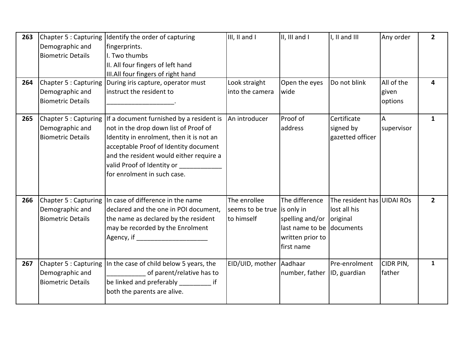| 263<br>264 | Demographic and<br><b>Biometric Details</b><br>Chapter 5 : Capturing | Chapter 5 : Capturing Identify the order of capturing<br>fingerprints.<br>I. Two thumbs<br>II. All four fingers of left hand<br>III.All four fingers of right hand<br>During iris capture, operator must                                                                       | III, II and I<br>Look straight                            | III, III and I<br>Open the eyes                                                        | I, II and III<br>Do not blink                                       | Any order<br>All of the | $\mathbf{2}$<br>4 |
|------------|----------------------------------------------------------------------|--------------------------------------------------------------------------------------------------------------------------------------------------------------------------------------------------------------------------------------------------------------------------------|-----------------------------------------------------------|----------------------------------------------------------------------------------------|---------------------------------------------------------------------|-------------------------|-------------------|
|            | Demographic and<br><b>Biometric Details</b>                          | instruct the resident to                                                                                                                                                                                                                                                       | into the camera                                           | wide                                                                                   |                                                                     | given<br>options        |                   |
| 265        | Chapter 5 : Capturing<br>Demographic and<br><b>Biometric Details</b> | If a document furnished by a resident is<br>not in the drop down list of Proof of<br>Identity in enrolment, then it is not an<br>acceptable Proof of Identity document<br>and the resident would either require a<br>valid Proof of Identity or<br>for enrolment in such case. | An introducer                                             | Proof of<br>address                                                                    | Certificate<br>signed by<br>gazetted officer                        | A<br>supervisor         | $\mathbf{1}$      |
| 266        | Chapter 5 : Capturing<br>Demographic and<br><b>Biometric Details</b> | In case of difference in the name<br>declared and the one in POI document,<br>the name as declared by the resident<br>may be recorded by the Enrolment<br>Agency, if ________________________                                                                                  | The enrollee<br>seems to be true is only in<br>to himself | The difference<br>spelling and/or<br>last name to be<br>written prior to<br>first name | The resident has UIDAI ROs<br>lost all his<br>original<br>documents |                         | 2 <sup>1</sup>    |
| 267        | Chapter 5 : Capturing<br>Demographic and<br><b>Biometric Details</b> | In the case of child below 5 years, the<br>of parent/relative has to<br>be linked and preferably ___________ if<br>both the parents are alive.                                                                                                                                 | EID/UID, mother Aadhaar                                   | number, father                                                                         | Pre-enrolment<br>ID, guardian                                       | CIDR PIN,<br>father     | $\mathbf{1}$      |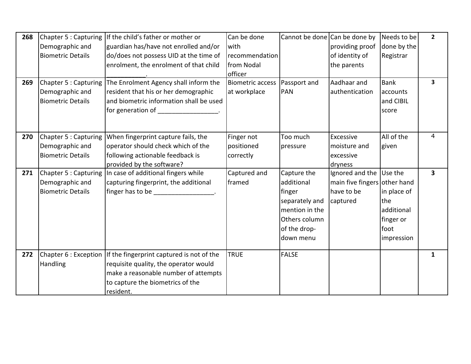| 268<br>269 | Chapter 5 : Capturing<br>Demographic and<br><b>Biometric Details</b><br>Chapter 5 : Capturing<br>Demographic and<br><b>Biometric Details</b> | If the child's father or mother or<br>guardian has/have not enrolled and/or<br>do/does not possess UID at the time of<br>enrolment, the enrolment of that child<br>The Enrolment Agency shall inform the<br>resident that his or her demographic<br>and biometric information shall be used<br>for generation of _________________. | Can be done<br>with<br>recommendation<br>from Nodal<br>officer<br><b>Biometric access</b><br>at workplace | Cannot be done Can be done by<br>Passport and<br><b>PAN</b>                                                           | providing proof<br>of identity of<br>the parents<br>Aadhaar and<br>authentication | Needs to be<br>done by the<br>Registrar<br><b>Bank</b><br>accounts<br>and CIBIL<br>score | $\overline{2}$<br>3 |
|------------|----------------------------------------------------------------------------------------------------------------------------------------------|-------------------------------------------------------------------------------------------------------------------------------------------------------------------------------------------------------------------------------------------------------------------------------------------------------------------------------------|-----------------------------------------------------------------------------------------------------------|-----------------------------------------------------------------------------------------------------------------------|-----------------------------------------------------------------------------------|------------------------------------------------------------------------------------------|---------------------|
| 270        | Chapter 5 : Capturing<br>Demographic and<br><b>Biometric Details</b>                                                                         | When fingerprint capture fails, the<br>operator should check which of the<br>following actionable feedback is<br>provided by the software?                                                                                                                                                                                          | Finger not<br>positioned<br>correctly                                                                     | Too much<br>pressure                                                                                                  | Excessive<br>moisture and<br>excessive<br>dryness                                 | All of the<br>given                                                                      | $\overline{4}$      |
| 271        | Chapter 5 : Capturing<br>Demographic and<br><b>Biometric Details</b>                                                                         | In case of additional fingers while<br>capturing fingerprint, the additional<br>finger has to be the control of the control of the control of the control of the control of the control of the                                                                                                                                      | Captured and<br>framed                                                                                    | Capture the<br>additional<br>finger<br>separately and<br>mention in the<br>Others column<br>of the drop-<br>down menu | Ignored and the<br>main five fingers other hand<br>have to be<br>captured         | Use the<br>in place of<br>the<br>additional<br>finger or<br>foot<br>impression           | 3                   |
| 272        | Handling                                                                                                                                     | Chapter 6 : Exception If the fingerprint captured is not of the<br>requisite quality, the operator would<br>make a reasonable number of attempts<br>to capture the biometrics of the<br>resident.                                                                                                                                   | <b>TRUE</b>                                                                                               | <b>FALSE</b>                                                                                                          |                                                                                   |                                                                                          | 1                   |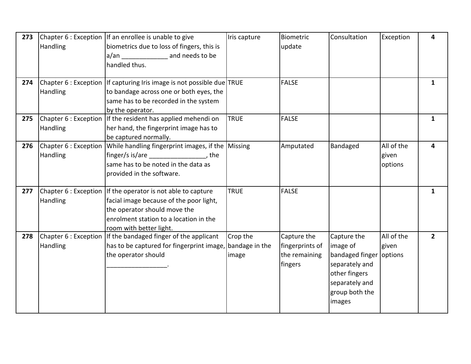| 273 | Handling | Chapter 6 : Exception   If an enrollee is unable to give<br>biometrics due to loss of fingers, this is<br>a/an and needs to be<br>handled thus.                                                               | Iris capture      | Biometric<br>update                                        | Consultation                                                                                                                        | Exception                      | 4              |
|-----|----------|---------------------------------------------------------------------------------------------------------------------------------------------------------------------------------------------------------------|-------------------|------------------------------------------------------------|-------------------------------------------------------------------------------------------------------------------------------------|--------------------------------|----------------|
| 274 | Handling | Chapter 6 : Exception lif capturing Iris image is not possible due TRUE<br>to bandage across one or both eyes, the<br>same has to be recorded in the system<br>by the operator.                               |                   | <b>FALSE</b>                                               |                                                                                                                                     |                                | $\mathbf{1}$   |
| 275 | Handling | Chapter 6 : Exception   If the resident has applied mehendi on<br>her hand, the fingerprint image has to<br>be captured normally.                                                                             | <b>TRUE</b>       | <b>FALSE</b>                                               |                                                                                                                                     |                                | 1              |
| 276 | Handling | Chapter 6 : Exception While handling fingerprint images, if the Missing<br>finger/s is/are ___________________, the<br>same has to be noted in the data as<br>provided in the software.                       |                   | Amputated                                                  | Bandaged                                                                                                                            | All of the<br>given<br>options | 4              |
| 277 | Handling | Chapter 6 : Exception lif the operator is not able to capture<br>facial image because of the poor light,<br>the operator should move the<br>enrolment station to a location in the<br>room with better light. | <b>TRUE</b>       | <b>FALSE</b>                                               |                                                                                                                                     |                                | $\mathbf{1}$   |
| 278 | Handling | Chapter 6 : Exception If the bandaged finger of the applicant<br>has to be captured for fingerprint image, bandage in the<br>the operator should                                                              | Crop the<br>image | Capture the<br>fingerprints of<br>the remaining<br>fingers | Capture the<br>image of<br>bandaged finger options<br>separately and<br>other fingers<br>separately and<br>group both the<br>images | All of the<br>given            | $\overline{2}$ |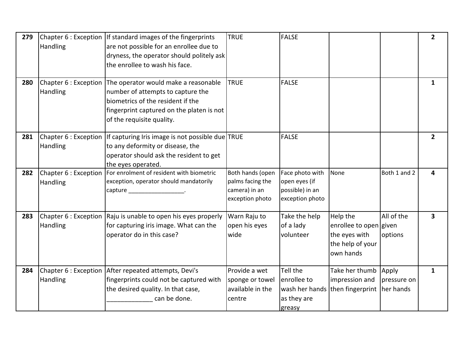| 279 | Handling                          | Chapter 6 : Exception If standard images of the fingerprints<br>are not possible for an enrollee due to<br>dryness, the operator should politely ask<br>the enrollee to wash his face.                         | <b>TRUE</b>                                                              | <b>FALSE</b>                                                           |                                                                                      |                       | $\overline{2}$ |
|-----|-----------------------------------|----------------------------------------------------------------------------------------------------------------------------------------------------------------------------------------------------------------|--------------------------------------------------------------------------|------------------------------------------------------------------------|--------------------------------------------------------------------------------------|-----------------------|----------------|
| 280 | Handling                          | Chapter 6 : Exception The operator would make a reasonable<br>number of attempts to capture the<br>biometrics of the resident if the<br>fingerprint captured on the platen is not<br>of the requisite quality. | <b>TRUE</b>                                                              | <b>FALSE</b>                                                           |                                                                                      |                       | 1              |
| 281 | Handling                          | Chapter 6 : Exception   If capturing Iris image is not possible due TRUE<br>to any deformity or disease, the<br>operator should ask the resident to get<br>the eyes operated.                                  |                                                                          | <b>FALSE</b>                                                           |                                                                                      |                       | $\overline{2}$ |
| 282 | Chapter 6 : Exception<br>Handling | For enrolment of resident with biometric<br>exception, operator should mandatorily<br>capture expansion of the capture of the state of the state of the state of the state of the state of the state           | Both hands (open<br>palms facing the<br>camera) in an<br>exception photo | Face photo with<br>open eyes (if<br>possible) in an<br>exception photo | None                                                                                 | Both 1 and 2          | 4              |
| 283 | Chapter 6 : Exception<br>Handling | Raju is unable to open his eyes properly<br>for capturing iris image. What can the<br>operator do in this case?                                                                                                | Warn Raju to<br>open his eyes<br>wide                                    | Take the help<br>of a lady<br>volunteer                                | Help the<br>enrollee to open given<br>the eyes with<br>the help of your<br>own hands | All of the<br>options | 3              |
| 284 | Handling                          | Chapter 6 : Exception After repeated attempts, Devi's<br>fingerprints could not be captured with<br>the desired quality. In that case,<br>can be done.                                                         | Provide a wet<br>sponge or towel<br>available in the<br>centre           | Tell the<br>enrollee to<br>as they are<br>greasy                       | Take her thumb<br>impression and<br>wash her hands then fingerprint her hands        | Apply<br>pressure on  | $\mathbf{1}$   |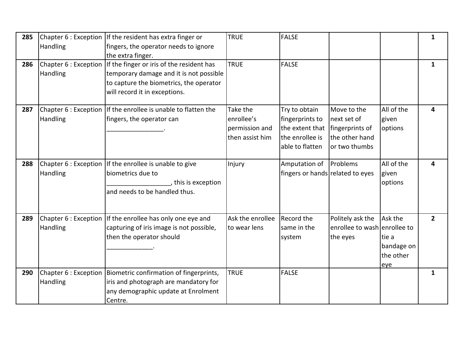| 285 | <b>Handling</b>                          | Chapter 6 : Exception lif the resident has extra finger or<br>fingers, the operator needs to ignore<br>the extra finger.                                         | <b>TRUE</b>                                                 | <b>FALSE</b>                                                                              |                                                                                  |                                                    | $\mathbf{1}$            |
|-----|------------------------------------------|------------------------------------------------------------------------------------------------------------------------------------------------------------------|-------------------------------------------------------------|-------------------------------------------------------------------------------------------|----------------------------------------------------------------------------------|----------------------------------------------------|-------------------------|
| 286 | Chapter 6 : Exception<br><b>Handling</b> | If the finger or iris of the resident has<br>temporary damage and it is not possible<br>to capture the biometrics, the operator<br>will record it in exceptions. | <b>TRUE</b>                                                 | <b>FALSE</b>                                                                              |                                                                                  |                                                    | $\mathbf{1}$            |
| 287 | <b>Handling</b>                          | Chapter 6 : Exception   If the enrollee is unable to flatten the<br>fingers, the operator can                                                                    | Take the<br>enrollee's<br>permission and<br>then assist him | Try to obtain<br>fingerprints to<br>the extent that<br>the enrollee is<br>able to flatten | Move to the<br>next set of<br>fingerprints of<br>the other hand<br>or two thumbs | All of the<br>given<br>options                     | $\overline{\mathbf{4}}$ |
| 288 | Handling                                 | Chapter 6 : Exception lif the enrollee is unable to give<br>biometrics due to<br>, this is exception<br>and needs to be handled thus.                            | Injury                                                      | Amputation of<br>fingers or hands related to eyes                                         | Problems                                                                         | All of the<br>given<br>options                     | 4                       |
| 289 | Handling                                 | Chapter 6 : Exception If the enrollee has only one eye and<br>capturing of iris image is not possible,<br>then the operator should                               | Ask the enrollee<br>to wear lens                            | Record the<br>same in the<br>system                                                       | Politely ask the<br>enrollee to wash enrollee to<br>the eyes                     | Ask the<br>tie a<br>bandage on<br>the other<br>eye | $\overline{2}$          |
| 290 | Chapter 6 : Exception<br>Handling        | Biometric confirmation of fingerprints,<br>iris and photograph are mandatory for<br>any demographic update at Enrolment<br>Centre.                               | <b>TRUE</b>                                                 | <b>FALSE</b>                                                                              |                                                                                  |                                                    | 1                       |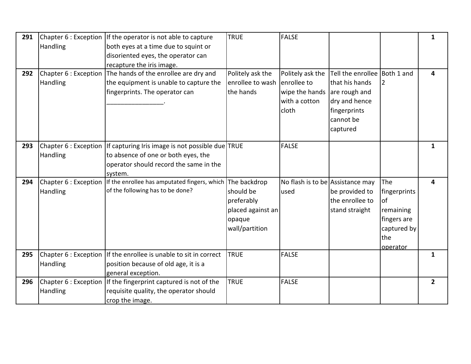| 291 | Chapter 6 : Exception | If the operator is not able to capture           | <b>TRUE</b>       | <b>FALSE</b>                     |                              |                | $\mathbf{1}$            |
|-----|-----------------------|--------------------------------------------------|-------------------|----------------------------------|------------------------------|----------------|-------------------------|
|     | Handling              | both eyes at a time due to squint or             |                   |                                  |                              |                |                         |
|     |                       | disoriented eyes, the operator can               |                   |                                  |                              |                |                         |
|     |                       | recapture the iris image.                        |                   |                                  |                              |                |                         |
| 292 | Chapter 6 : Exception | The hands of the enrollee are dry and            | Politely ask the  | Politely ask the                 | Tell the enrollee Both 1 and |                | $\overline{\mathbf{4}}$ |
|     | Handling              | the equipment is unable to capture the           | enrollee to wash  | enrollee to                      | that his hands               | $\overline{2}$ |                         |
|     |                       | fingerprints. The operator can                   | the hands         | wipe the hands are rough and     |                              |                |                         |
|     |                       |                                                  |                   | with a cotton                    | dry and hence                |                |                         |
|     |                       |                                                  |                   | cloth                            | fingerprints                 |                |                         |
|     |                       |                                                  |                   |                                  | cannot be                    |                |                         |
|     |                       |                                                  |                   |                                  | captured                     |                |                         |
| 293 | Chapter 6 : Exception | If capturing Iris image is not possible due TRUE |                   | <b>FALSE</b>                     |                              |                | 1                       |
|     | Handling              | to absence of one or both eyes, the              |                   |                                  |                              |                |                         |
|     |                       | operator should record the same in the           |                   |                                  |                              |                |                         |
|     |                       | system.                                          |                   |                                  |                              |                |                         |
| 294 | Chapter 6 : Exception | If the enrollee has amputated fingers, which     | The backdrop      | No flash is to be Assistance may |                              | The            | 4                       |
|     | Handling              | of the following has to be done?                 | should be         | used                             | be provided to               | fingerprints   |                         |
|     |                       |                                                  | preferably        |                                  | the enrollee to              | of             |                         |
|     |                       |                                                  | placed against an |                                  | stand straight               | remaining      |                         |
|     |                       |                                                  | opaque            |                                  |                              | fingers are    |                         |
|     |                       |                                                  | wall/partition    |                                  |                              | captured by    |                         |
|     |                       |                                                  |                   |                                  |                              | the            |                         |
|     |                       |                                                  |                   |                                  |                              | operator       |                         |
| 295 | Chapter 6 : Exception | If the enrollee is unable to sit in correct      | <b>TRUE</b>       | <b>FALSE</b>                     |                              |                | $\mathbf{1}$            |
|     | <b>Handling</b>       | position because of old age, it is a             |                   |                                  |                              |                |                         |
|     |                       | general exception.                               |                   |                                  |                              |                |                         |
| 296 | Chapter 6 : Exception | If the fingerprint captured is not of the        | <b>TRUE</b>       | <b>FALSE</b>                     |                              |                | $2^{\circ}$             |
|     | Handling              | requisite quality, the operator should           |                   |                                  |                              |                |                         |
|     |                       | crop the image.                                  |                   |                                  |                              |                |                         |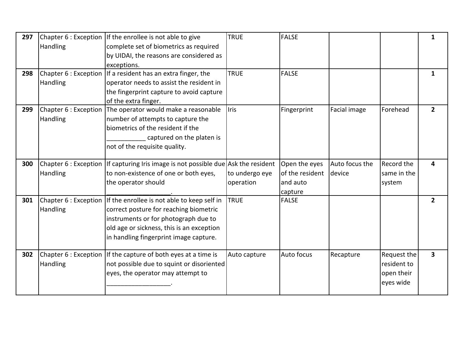| 297 | Handling                          | Chapter 6 : Exception If the enrollee is not able to give<br>complete set of biometrics as required<br>by UIDAI, the reasons are considered as                                                                                              | <b>TRUE</b>                 | <b>FALSE</b>                                            |                          |                                                       | $\mathbf{1}$            |
|-----|-----------------------------------|---------------------------------------------------------------------------------------------------------------------------------------------------------------------------------------------------------------------------------------------|-----------------------------|---------------------------------------------------------|--------------------------|-------------------------------------------------------|-------------------------|
|     |                                   | exceptions.                                                                                                                                                                                                                                 |                             |                                                         |                          |                                                       |                         |
| 298 | Handling                          | Chapter 6 : Exception   If a resident has an extra finger, the<br>operator needs to assist the resident in<br>the fingerprint capture to avoid capture<br>of the extra finger.                                                              | <b>TRUE</b>                 | <b>FALSE</b>                                            |                          |                                                       | $\mathbf{1}$            |
| 299 | Chapter 6 : Exception<br>Handling | The operator would make a reasonable<br>number of attempts to capture the<br>biometrics of the resident if the<br>captured on the platen is<br>not of the requisite quality.                                                                | <b>Iris</b>                 | Fingerprint                                             | Facial image             | Forehead                                              | $\mathbf{2}$            |
| 300 | Handling                          | Chapter 6 : Exception   If capturing Iris image is not possible due $\Delta s$ the resident<br>to non-existence of one or both eyes,<br>the operator should                                                                                 | to undergo eye<br>operation | Open the eyes<br>of the resident<br>and auto<br>capture | Auto focus the<br>device | <b>Record the</b><br>same in the<br>system            | 4                       |
| 301 | Handling                          | Chapter 6 : Exception lif the enrollee is not able to keep self in<br>correct posture for reaching biometric<br>instruments or for photograph due to<br>old age or sickness, this is an exception<br>in handling fingerprint image capture. | <b>TRUE</b>                 | <b>FALSE</b>                                            |                          |                                                       | $\overline{2}$          |
| 302 | Handling                          | Chapter 6 : Exception If the capture of both eyes at a time is<br>not possible due to squint or disoriented<br>eyes, the operator may attempt to                                                                                            | Auto capture                | Auto focus                                              | Recapture                | Request the<br>resident to<br>open their<br>eyes wide | $\overline{\mathbf{3}}$ |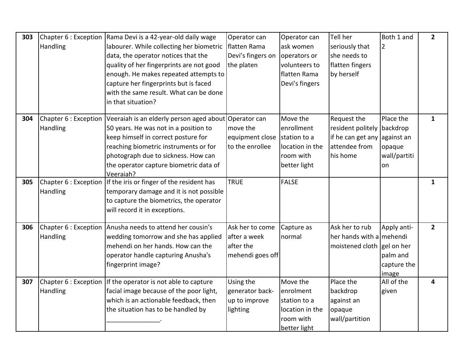| 303 |          | Chapter 6 : Exception Rama Devi is a 42-year-old daily wage                 | Operator can      | Operator can    | Tell her                     | Both 1 and     | $\overline{2}$ |
|-----|----------|-----------------------------------------------------------------------------|-------------------|-----------------|------------------------------|----------------|----------------|
|     | Handling | labourer. While collecting her biometric                                    | flatten Rama      | ask women       | seriously that               | $\overline{2}$ |                |
|     |          | data, the operator notices that the                                         | Devi's fingers on | operators or    | she needs to                 |                |                |
|     |          | quality of her fingerprints are not good                                    | the platen        | volunteers to   | flatten fingers              |                |                |
|     |          | enough. He makes repeated attempts to                                       |                   | flatten Rama    | by herself                   |                |                |
|     |          | capture her fingerprints but is faced                                       |                   | Devi's fingers  |                              |                |                |
|     |          | with the same result. What can be done                                      |                   |                 |                              |                |                |
|     |          | in that situation?                                                          |                   |                 |                              |                |                |
| 304 |          | Chapter 6 : Exception Veeraiah is an elderly person aged about Operator can |                   | Move the        | Request the                  | Place the      | $\mathbf{1}$   |
|     | Handling | 50 years. He was not in a position to                                       | move the          | enrollment      | resident politely            | backdrop       |                |
|     |          | keep himself in correct posture for                                         | equipment close   | station to a    | if he can get any against an |                |                |
|     |          | reaching biometric instruments or for                                       | to the enrollee   | location in the | attendee from                | opaque         |                |
|     |          | photograph due to sickness. How can                                         |                   | room with       | his home                     | wall/partiti   |                |
|     |          | the operator capture biometric data of                                      |                   | better light    |                              | on             |                |
|     |          | Veeraiah?                                                                   |                   |                 |                              |                |                |
| 305 |          | Chapter 6 : Exception   If the iris or finger of the resident has           | <b>TRUE</b>       | <b>FALSE</b>    |                              |                | $\mathbf{1}$   |
|     | Handling | temporary damage and it is not possible                                     |                   |                 |                              |                |                |
|     |          | to capture the biometrics, the operator                                     |                   |                 |                              |                |                |
|     |          | will record it in exceptions.                                               |                   |                 |                              |                |                |
| 306 |          | Chapter 6 : Exception   Anusha needs to attend her cousin's                 | Ask her to come   | Capture as      | Ask her to rub               | Apply anti-    | $2^{\circ}$    |
|     | Handling | wedding tomorrow and she has applied                                        | after a week      | normal          | her hands with a mehendi     |                |                |
|     |          | mehendi on her hands. How can the                                           | after the         |                 | moistened cloth gel on her   |                |                |
|     |          | operator handle capturing Anusha's                                          | mehendi goes off  |                 |                              | palm and       |                |
|     |          | fingerprint image?                                                          |                   |                 |                              | capture the    |                |
|     |          |                                                                             |                   |                 |                              | image          |                |
| 307 |          | Chapter 6 : Exception lif the operator is not able to capture               | Using the         | Move the        | Place the                    | All of the     | 4              |
|     | Handling | facial image because of the poor light,                                     | generator back-   | enrolment       | backdrop                     | given          |                |
|     |          | which is an actionable feedback, then                                       | up to improve     | station to a    | against an                   |                |                |
|     |          | the situation has to be handled by                                          | lighting          | location in the | opaque                       |                |                |
|     |          |                                                                             |                   | room with       | wall/partition               |                |                |
|     |          |                                                                             |                   | better light    |                              |                |                |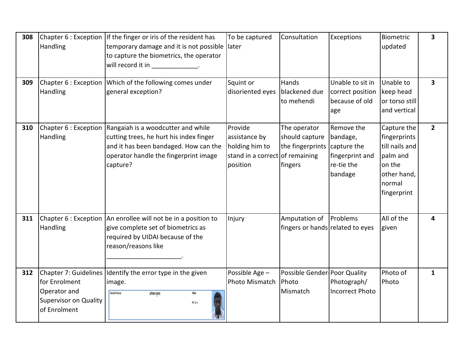| 308 | Handling                                                                                               | Chapter 6 : Exception   If the finger or iris of the resident has<br>temporary damage and it is not possible later<br>to capture the biometrics, the operator<br>will record it in the set of the set of the set of the set of the set of the set of the set of the set of the s | To be captured                                                                            | Consultation                                                  | Exceptions                                                                        | Biometric<br>updated                                                                                        | 3              |
|-----|--------------------------------------------------------------------------------------------------------|----------------------------------------------------------------------------------------------------------------------------------------------------------------------------------------------------------------------------------------------------------------------------------|-------------------------------------------------------------------------------------------|---------------------------------------------------------------|-----------------------------------------------------------------------------------|-------------------------------------------------------------------------------------------------------------|----------------|
| 309 | Chapter 6 : Exception<br>Handling                                                                      | Which of the following comes under<br>general exception?                                                                                                                                                                                                                         | Squint or<br>disoriented eyes                                                             | Hands<br>blackened due<br>to mehendi                          | Unable to sit in<br>correct position<br>because of old<br>age                     | Unable to<br>keep head<br>or torso still<br>and vertical                                                    | 3              |
| 310 | <b>Handling</b>                                                                                        | Chapter 6 : Exception   Rangaiah is a woodcutter and while<br>cutting trees, he hurt his index finger<br>and it has been bandaged. How can the<br>operator handle the fingerprint image<br>capture?                                                                              | Provide<br>assistance by<br>holding him to<br>stand in a correct of remaining<br>position | The operator<br>should capture<br>the fingerprints<br>fingers | Remove the<br>bandage,<br>capture the<br>fingerprint and<br>re-tie the<br>bandage | Capture the<br>fingerprints<br>till nails and<br>palm and<br>on the<br>other hand,<br>normal<br>fingerprint | $\overline{2}$ |
| 311 | Chapter 6 : Exception<br>Handling                                                                      | An enrollee will not be in a position to<br>give complete set of biometrics as<br>required by UIDAI because of the<br>reason/reasons like                                                                                                                                        | Injury                                                                                    | Amputation of<br>fingers or hands related to eyes             | Problems                                                                          | All of the<br>given                                                                                         | 4              |
| 312 | Chapter 7: Guidelines<br>for Enrolment<br>Operator and<br><b>Supervisor on Quality</b><br>of Enrolment | Identify the error type in the given<br>image.<br>Avinash Kumar<br>अविनाश कुमार<br>Male<br>40 yrs.                                                                                                                                                                               | Possible Age -<br>Photo Mismatch                                                          | Possible Gender Poor Quality<br>Photo<br>Mismatch             | Photograph/<br><b>Incorrect Photo</b>                                             | Photo of<br>Photo                                                                                           | $\mathbf{1}$   |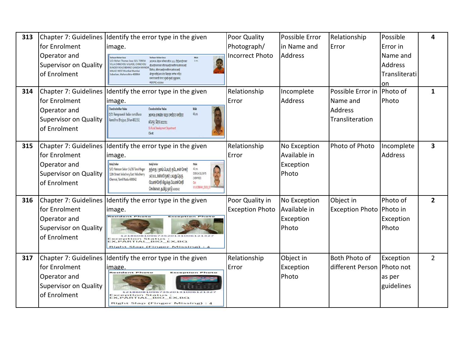| 313 | for Enrolment                                                                                          | Chapter 7: Guidelines Identify the error type in the given<br>image.                                                                                                                                                                                                                                                                                                                                                       | Poor Quality<br>Photograph/               | Possible Error<br>in Name and                      | Relationship<br>Error                                                       | Possible<br>Error in                        | 4                       |
|-----|--------------------------------------------------------------------------------------------------------|----------------------------------------------------------------------------------------------------------------------------------------------------------------------------------------------------------------------------------------------------------------------------------------------------------------------------------------------------------------------------------------------------------------------------|-------------------------------------------|----------------------------------------------------|-----------------------------------------------------------------------------|---------------------------------------------|-------------------------|
|     | Operator and<br><b>Supervisor on Quality</b><br>of Enrolment                                           | Teshaun Rohan Souz<br>S/O: Rohan Thomas Souz 323, TERESA<br>1 yrs.<br>आत्मज: रोहन थॉमस सौज़ 323, टीईआरईएसए<br>VILLA CHINCHOLI VILLAGE, CHINCHOLI<br>वीआईएलएलए सीएचआईएनसीएचओएलआई<br><b>BUNDER ROAD BEHIND GANESH MANDIR</b><br>विलेज, सीएचआईएनसीएचओएलआ!<br><b>MALAD WEST Mumbai Mumbai</b><br>वीयुएनडीईआर रोड विहाइंड गणेश मंदिर<br>Suburban, Maharashtra-400064<br>एमएएलएडी वेस्ट मुंबई मुंबई सुबुरबान,<br>महाराष्ट-400064 | <b>Incorrect Photo</b>                    | <b>Address</b>                                     |                                                                             | Name and<br>Address<br>Transliterati<br>on. |                         |
| 314 | Chapter 7: Guidelines<br>for Enrolment<br>Operator and<br><b>Supervisor on Quality</b><br>of Enrolment | Identify the error type in the given<br>image.<br>Chandrashekhar Yadav<br>Chandrashekhar Yadav<br>D/O Rampravesh Yadav ramdihara<br>43 yrs.<br>आत्मज: रामप्रवेश यादव रामडीहरा रमडीहरा<br>Ramdihra Bhojpur, Bihar-802351<br>भोजपुर, बिहार-802351<br>EA:Rural Development Department<br>Client:                                                                                                                              | Relationship<br>Error                     | Incomplete<br>Address                              | Possible Error in Photo of<br>Name and<br><b>Address</b><br>Transliteration | Photo                                       | $\mathbf{1}$            |
| 315 | Chapter 7: Guidelines<br>for Enrolment<br>Operator and<br>Supervisor on Quality<br>of Enrolment        | Identify the error type in the given<br>image.<br><b>Balaji Seka</b><br><b>Balaji Sekar</b><br>Male<br>S/O: Natesan Sekar 1A/36 Tansi Nagar<br>தந்தை / தாய் பெயர்: நடேசன் சேகர்<br>42 yrs.<br>DOB:14/11/1975<br>12th Street Velachery East Velacherry<br>167/36 டான்ஸி நகர் 12வது தெரு<br>(VERIFIED)<br>Chennai, Tamil Nadu-600042<br>வேளச்சேரி கிழக்கு வேளச்சேரி<br>Opt<br>Id:UCOBANK_0329<br>சென்னை, தமிழ் நாடு-600042   | Relationship<br>Error                     | No Exception<br>Available in<br>Exception<br>Photo | Photo of Photo                                                              | Incomplete<br><b>Address</b>                | $\overline{\mathbf{3}}$ |
| 316 | Chapter 7: Guidelines<br>for Enrolment<br>Operator and<br><b>Supervisor on Quality</b><br>of Enrolment | Identify the error type in the given<br>image.<br>Exception Phot<br>860810967352013100612132<br>eption Status :<br>ARTIAL BIO EX, BQ<br><b>Right Slap (Finger Missing):</b>                                                                                                                                                                                                                                                | Poor Quality in<br><b>Exception Photo</b> | No Exception<br>Available in<br>Exception<br>Photo | Object in<br>Exception Photo Photo in                                       | Photo of<br>Exception<br>Photo              | $\overline{2}$          |
| 317 | Chapter 7: Guidelines<br>for Enrolment<br>Operator and<br><b>Supervisor on Quality</b><br>of Enrolment | Identify the error type in the given<br>image.<br><b>Resident Photo</b><br><b>Exception Photo</b><br>121860810967352013100612132<br><b>Exception Status</b><br>EX, PARTIAL_BIO_EX, BQ<br>Right Slap (Finger Missing) : 4                                                                                                                                                                                                   | Relationship<br>Error                     | Object in<br>Exception<br>Photo                    | <b>Both Photo of</b><br>different Person   Photo not                        | Exception<br>as per<br>guidelines           | $\overline{2}$          |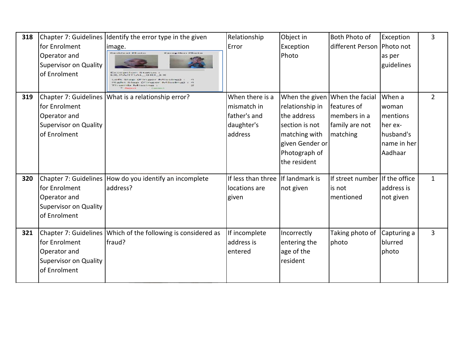| 318 | for Enrolment<br>Operator and<br><b>Supervisor on Quality</b><br>of Enrolment | Chapter 7: Guidelines Identify the error type in the given<br>image.<br><b>Resident Photo</b><br><b>Exception Photo</b><br>ption Status:<br><b>HTTAL BIO EX</b><br>ap (Finger Missing)<br>Slop (Finger Missing)<br>urnb Missing : | Relationship<br>Error                                                   | Object in<br>Exception<br>Photo                                                                                                         | Both Photo of<br>different Person   Photo not                                | Exception<br>as per<br>guidelines                                              | 3              |
|-----|-------------------------------------------------------------------------------|-----------------------------------------------------------------------------------------------------------------------------------------------------------------------------------------------------------------------------------|-------------------------------------------------------------------------|-----------------------------------------------------------------------------------------------------------------------------------------|------------------------------------------------------------------------------|--------------------------------------------------------------------------------|----------------|
| 319 | for Enrolment<br>Operator and<br><b>Supervisor on Quality</b><br>of Enrolment | Chapter 7: Guidelines   What is a relationship error?                                                                                                                                                                             | When there is a<br>mismatch in<br>father's and<br>daughter's<br>address | When the given<br>relationship in<br>the address<br>section is not<br>matching with<br>given Gender or<br>Photograph of<br>the resident | When the facial<br>features of<br>members in a<br>family are not<br>matching | When a<br>woman<br>mentions<br>her ex-<br>husband's<br>Iname in her<br>Aadhaar | $\overline{2}$ |
| 320 | for Enrolment<br>Operator and<br><b>Supervisor on Quality</b><br>of Enrolment | Chapter 7: Guidelines How do you identify an incomplete<br>laddress?                                                                                                                                                              | If less than three<br>locations are<br>given                            | If landmark is<br>not given                                                                                                             | If street number If the office<br>is not<br>mentioned                        | address is<br>not given                                                        | $\mathbf{1}$   |
| 321 | for Enrolment<br>Operator and<br><b>Supervisor on Quality</b><br>of Enrolment | Chapter 7: Guidelines   Which of the following is considered as<br>lfraud?                                                                                                                                                        | If incomplete<br>address is<br>entered                                  | Incorrectly<br>entering the<br>age of the<br>resident                                                                                   | Taking photo of<br>photo                                                     | Capturing a<br>blurred<br>photo                                                | 3              |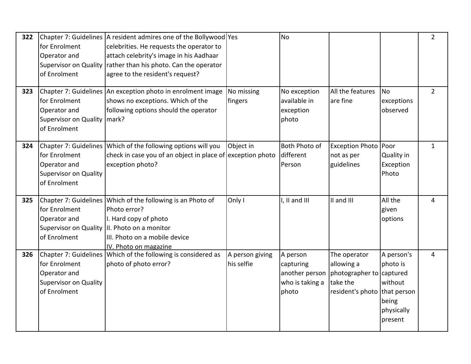| 322 | for Enrolment<br>Operator and<br><b>Supervisor on Quality</b><br>of Enrolment  | Chapter 7: Guidelines   A resident admires one of the Bollywood Yes<br>celebrities. He requests the operator to<br>attach celebrity's image in his Aadhaar<br>rather than his photo. Can the operator<br>agree to the resident's request? |                               | <b>No</b>                                                           |                                                                                                    |                                                                     | $\overline{2}$ |
|-----|--------------------------------------------------------------------------------|-------------------------------------------------------------------------------------------------------------------------------------------------------------------------------------------------------------------------------------------|-------------------------------|---------------------------------------------------------------------|----------------------------------------------------------------------------------------------------|---------------------------------------------------------------------|----------------|
| 323 | for Enrolment<br>Operator and<br>Supervisor on Quality   mark?<br>of Enrolment | Chapter 7: Guidelines An exception photo in enrolment image<br>shows no exceptions. Which of the<br>following options should the operator                                                                                                 | No missing<br>fingers         | No exception<br>available in<br>exception<br>photo                  | All the features<br>are fine                                                                       | No<br>exceptions<br>observed                                        | $\overline{2}$ |
| 324 | for Enrolment<br>Operator and<br>Supervisor on Quality<br>of Enrolment         | Chapter 7: Guidelines Which of the following options will you<br>check in case you of an object in place of exception photo<br>exception photo?                                                                                           | Object in                     | Both Photo of<br>different<br>Person                                | Exception Photo Poor<br>not as per<br>guidelines                                                   | Quality in<br>Exception<br>Photo                                    | $\mathbf{1}$   |
| 325 | for Enrolment<br>Operator and<br><b>Supervisor on Quality</b><br>of Enrolment  | Chapter 7: Guidelines Which of the following is an Photo of<br>Photo error?<br>I. Hard copy of photo<br>II. Photo on a monitor<br>III. Photo on a mobile device<br>IV. Photo on magazine                                                  | Only I                        | I, II and III                                                       | II and III                                                                                         | All the<br>given<br>options                                         | 4              |
| 326 | for Enrolment<br>Operator and<br><b>Supervisor on Quality</b><br>of Enrolment  | Chapter 7: Guidelines Which of the following is considered as<br>photo of photo error?                                                                                                                                                    | A person giving<br>his selfie | A person<br>capturing<br>another person<br>who is taking a<br>photo | The operator<br>allowing a<br>photographer to captured<br>take the<br>resident's photo that person | A person's<br>photo is<br>without<br>being<br>physically<br>present | 4              |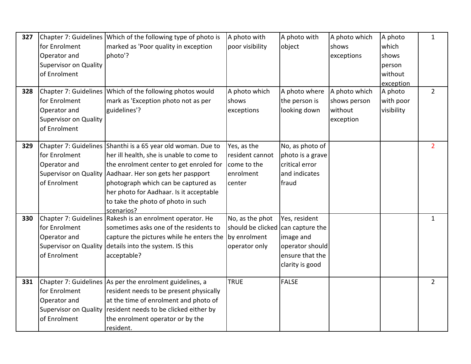| 327<br>328 | for Enrolment<br>Operator and<br><b>Supervisor on Quality</b><br>of Enrolment                          | Chapter 7: Guidelines Which of the following type of photo is<br>marked as 'Poor quality in exception<br>photo'?<br>Chapter 7: Guidelines Which of the following photos would                                                                                                                                                   | A photo with<br>poor visibility<br>A photo which                      | A photo with<br>object<br>A photo where                                                                | A photo which<br>shows<br>exceptions<br>A photo which | A photo<br>which<br>shows<br>person<br>without<br>exception<br>A photo | $\mathbf{1}$<br>$2^{\circ}$ |
|------------|--------------------------------------------------------------------------------------------------------|---------------------------------------------------------------------------------------------------------------------------------------------------------------------------------------------------------------------------------------------------------------------------------------------------------------------------------|-----------------------------------------------------------------------|--------------------------------------------------------------------------------------------------------|-------------------------------------------------------|------------------------------------------------------------------------|-----------------------------|
|            | for Enrolment<br>Operator and<br><b>Supervisor on Quality</b><br>of Enrolment                          | mark as 'Exception photo not as per<br>guidelines'?                                                                                                                                                                                                                                                                             | shows<br>exceptions                                                   | the person is<br>looking down                                                                          | shows person<br>without<br>exception                  | with poor<br>visibility                                                |                             |
| 329        | for Enrolment<br>Operator and<br><b>Supervisor on Quality</b><br>of Enrolment                          | Chapter 7: Guidelines Shanthi is a 65 year old woman. Due to<br>her ill health, she is unable to come to<br>the enrolment center to get enroled for<br>Aadhaar. Her son gets her paspport<br>photograph which can be captured as<br>her photo for Aadhaar. Is it acceptable<br>to take the photo of photo in such<br>scenarios? | Yes, as the<br>resident cannot<br>come to the<br>enrolment<br>center  | No, as photo of<br>photo is a grave<br>critical error<br>and indicates<br>fraud                        |                                                       |                                                                        | $\overline{2}$              |
| 330        | for Enrolment<br>Operator and<br><b>Supervisor on Quality</b><br>of Enrolment                          | Chapter 7: Guidelines Rakesh is an enrolment operator. He<br>sometimes asks one of the residents to<br>capture the pictures while he enters the<br>details into the system. IS this<br>acceptable?                                                                                                                              | No, as the phot<br>should be clicked<br>by enrolment<br>operator only | Yes, resident<br>can capture the<br>image and<br>operator should<br>ensure that the<br>clarity is good |                                                       |                                                                        | $\mathbf{1}$                |
| 331        | Chapter 7: Guidelines<br>for Enrolment<br>Operator and<br><b>Supervisor on Quality</b><br>of Enrolment | As per the enrolment guidelines, a<br>resident needs to be present physically<br>at the time of enrolment and photo of<br>resident needs to be clicked either by<br>the enrolment operator or by the<br>resident.                                                                                                               | <b>TRUE</b>                                                           | <b>FALSE</b>                                                                                           |                                                       |                                                                        | $\overline{2}$              |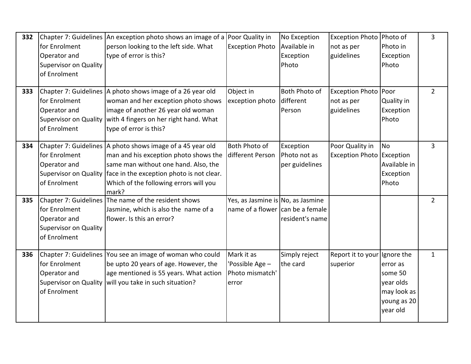| 332 | for Enrolment<br>Operator and<br><b>Supervisor on Quality</b><br>of Enrolment | Chapter 7: Guidelines An exception photo shows an image of a Poor Quality in<br>person looking to the left side. What<br>type of error is this?                                                                                                                   | <b>Exception Photo</b>                                                | No Exception<br>Available in<br>Exception<br>Photo | Exception Photo Photo of<br>not as per<br>guidelines | Photo in<br>Exception<br>Photo                                                           | 3              |
|-----|-------------------------------------------------------------------------------|-------------------------------------------------------------------------------------------------------------------------------------------------------------------------------------------------------------------------------------------------------------------|-----------------------------------------------------------------------|----------------------------------------------------|------------------------------------------------------|------------------------------------------------------------------------------------------|----------------|
| 333 | for Enrolment<br>Operator and<br>of Enrolment                                 | Chapter 7: Guidelines A photo shows image of a 26 year old<br>woman and her exception photo shows<br>image of another 26 year old woman<br>Supervisor on Quality   with 4 fingers on her right hand. What<br>type of error is this?                               | Object in<br>exception photo                                          | Both Photo of<br>different<br>Person               | <b>Exception Photo</b><br>not as per<br>guidelines   | Poor<br>Quality in<br>Exception<br>Photo                                                 | $\overline{2}$ |
| 334 | for Enrolment<br>Operator and<br>of Enrolment                                 | Chapter 7: Guidelines A photo shows image of a 45 year old<br>man and his exception photo shows the<br>same man without one hand. Also, the<br>Supervisor on Quality face in the exception photo is not clear.<br>Which of the following errors will you<br>mark? | <b>Both Photo of</b><br>different Person                              | Exception<br>Photo not as<br>per guidelines        | Poor Quality in<br><b>Exception Photo Exception</b>  | No<br>Available in<br>Exception<br>Photo                                                 | $\overline{3}$ |
| 335 | for Enrolment<br>Operator and<br><b>Supervisor on Quality</b><br>of Enrolment | Chapter 7: Guidelines The name of the resident shows<br>Jasmine, which is also the name of a<br>flower. Is this an error?                                                                                                                                         | Yes, as Jasmine is No, as Jasmine<br>name of a flower can be a female | resident's name                                    |                                                      |                                                                                          | $\overline{2}$ |
| 336 | for Enrolment<br>Operator and<br>of Enrolment                                 | Chapter 7: Guidelines You see an image of woman who could<br>be upto 20 years of age. However, the<br>age mentioned is 55 years. What action<br>Supervisor on Quality   will you take in such situation?                                                          | Mark it as<br>'Possible Age -<br>Photo mismatch'<br>error             | Simply reject<br>the card                          | Report it to your<br>superior                        | Ignore the<br>error as<br>some 50<br>year olds<br>may look as<br>young as 20<br>year old | $\mathbf{1}$   |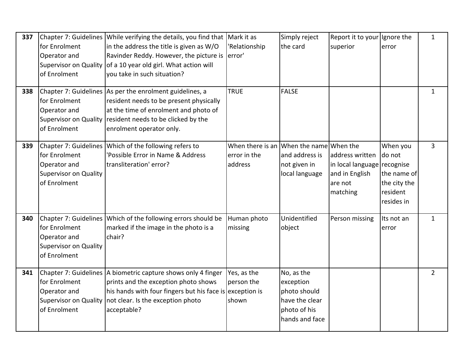| 337 | for Enrolment<br>Operator and<br><b>Supervisor on Quality</b><br>of Enrolment                          | Chapter 7: Guidelines While verifying the details, you find that<br>in the address the title is given as W/O<br>Ravinder Reddy. However, the picture is<br>of a 10 year old girl. What action will<br>you take in such situation? | Mark it as<br>'Relationship<br>error'                              | Simply reject<br>the card                                                                   | Report it to your Ignore the<br>superior                                                | error                                                                       | $\mathbf{1}$   |
|-----|--------------------------------------------------------------------------------------------------------|-----------------------------------------------------------------------------------------------------------------------------------------------------------------------------------------------------------------------------------|--------------------------------------------------------------------|---------------------------------------------------------------------------------------------|-----------------------------------------------------------------------------------------|-----------------------------------------------------------------------------|----------------|
| 338 | for Enrolment<br>Operator and<br><b>Supervisor on Quality</b><br>of Enrolment                          | Chapter 7: Guidelines As per the enrolment guidelines, a<br>resident needs to be present physically<br>at the time of enrolment and photo of<br>resident needs to be clicked by the<br>enrolment operator only.                   | <b>TRUE</b>                                                        | <b>FALSE</b>                                                                                |                                                                                         |                                                                             | $\mathbf{1}$   |
| 339 | for Enrolment<br>Operator and<br><b>Supervisor on Quality</b><br>of Enrolment                          | Chapter 7: Guidelines Which of the following refers to<br>'Possible Error in Name & Address<br>transliteration' error?                                                                                                            | When there is an When the name When the<br>error in the<br>address | and address is<br>not given in<br>local language                                            | address written<br>in local language recognise<br>and in English<br>are not<br>matching | When you<br>do not<br>the name of<br>the city the<br>resident<br>resides in | $\overline{3}$ |
| 340 | for Enrolment<br>Operator and<br><b>Supervisor on Quality</b><br>of Enrolment                          | Chapter 7: Guidelines Which of the following errors should be<br>marked if the image in the photo is a<br>chair?                                                                                                                  | Human photo<br>missing                                             | Unidentified<br>object                                                                      | Person missing                                                                          | Its not an<br>error                                                         | $\mathbf{1}$   |
| 341 | Chapter 7: Guidelines<br>for Enrolment<br>Operator and<br><b>Supervisor on Quality</b><br>of Enrolment | A biometric capture shows only 4 finger<br>prints and the exception photo shows<br>his hands with four fingers but his face is exception is<br>not clear. Is the exception photo<br>acceptable?                                   | Yes, as the<br>person the<br>shown                                 | No, as the<br>exception<br>photo should<br>have the clear<br>photo of his<br>hands and face |                                                                                         |                                                                             | $\overline{2}$ |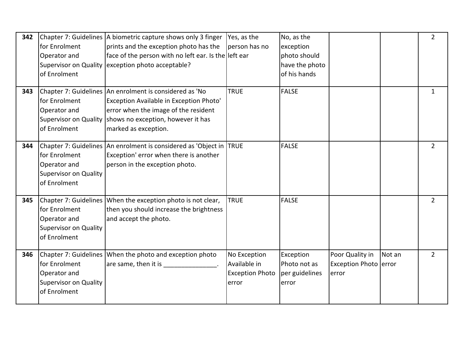| 342 | for Enrolment<br>Operator and<br>of Enrolment                                 | Chapter 7: Guidelines A biometric capture shows only 3 finger<br>prints and the exception photo has the<br>face of the person with no left ear. Is the left ear<br>Supervisor on Quality exception photo acceptable?           | Yes, as the<br>person has no                                    | No, as the<br>exception<br>photo should<br>have the photo<br>of his hands |                                                   |        | $\overline{2}$ |
|-----|-------------------------------------------------------------------------------|--------------------------------------------------------------------------------------------------------------------------------------------------------------------------------------------------------------------------------|-----------------------------------------------------------------|---------------------------------------------------------------------------|---------------------------------------------------|--------|----------------|
| 343 | for Enrolment<br>Operator and<br>of Enrolment                                 | Chapter 7: Guidelines An enrolment is considered as 'No<br>Exception Available in Exception Photo'<br>error when the image of the resident<br>Supervisor on Quality shows no exception, however it has<br>marked as exception. | <b>TRUE</b>                                                     | <b>FALSE</b>                                                              |                                                   |        | $\mathbf{1}$   |
| 344 | for Enrolment<br>Operator and<br><b>Supervisor on Quality</b><br>of Enrolment | Chapter 7: Guidelines An enrolment is considered as 'Object in TRUE<br>Exception' error when there is another<br>person in the exception photo.                                                                                |                                                                 | <b>FALSE</b>                                                              |                                                   |        | $\overline{2}$ |
| 345 | for Enrolment<br>Operator and<br><b>Supervisor on Quality</b><br>of Enrolment | Chapter 7: Guidelines When the exception photo is not clear,<br>then you should increase the brightness<br>and accept the photo.                                                                                               | <b>TRUE</b>                                                     | <b>FALSE</b>                                                              |                                                   |        | $\overline{2}$ |
| 346 | for Enrolment<br>Operator and<br><b>Supervisor on Quality</b><br>of Enrolment | Chapter 7: Guidelines When the photo and exception photo<br>are same, then it is the same of the same of the same of the same of the same of the same of the same of the s                                                     | No Exception<br>Available in<br><b>Exception Photo</b><br>error | Exception<br>Photo not as<br>per guidelines<br>error                      | Poor Quality in<br>Exception Photo error<br>error | Not an | $\overline{2}$ |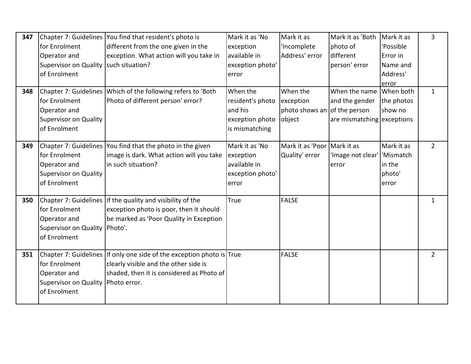| 347 |                                         | Chapter 7: Guidelines You find that resident's photo is               | Mark it as 'No   | Mark it as                   | Mark it as 'Both           | Mark it as | 3              |
|-----|-----------------------------------------|-----------------------------------------------------------------------|------------------|------------------------------|----------------------------|------------|----------------|
|     | for Enrolment                           | different from the one given in the                                   | exception        | 'Incomplete                  | photo of                   | 'Possible  |                |
|     | Operator and                            | exception. What action will you take in                               | available in     | Address' error               | different                  | Error in   |                |
|     | Supervisor on Quality   such situation? |                                                                       | exception photo' |                              | person' error              | Name and   |                |
|     | of Enrolment                            |                                                                       | error            |                              |                            | Address'   |                |
|     |                                         |                                                                       |                  |                              |                            | error      |                |
| 348 |                                         | Chapter 7: Guidelines Which of the following refers to 'Both          | When the         | When the                     | When the name When both    |            | $\mathbf{1}$   |
|     | for Enrolment                           | Photo of different person' error?                                     | resident's photo | exception                    | and the gender             | the photos |                |
|     | Operator and                            |                                                                       | and his          | photo shows an of the person |                            | show no    |                |
|     | <b>Supervisor on Quality</b>            |                                                                       | exception photo  | object                       | are mismatching exceptions |            |                |
|     | of Enrolment                            |                                                                       | is mismatching   |                              |                            |            |                |
|     |                                         |                                                                       |                  |                              |                            |            |                |
| 349 |                                         | Chapter 7: Guidelines   You find that the photo in the given          | Mark it as 'No   | Mark it as 'Poor Mark it as  |                            | Mark it as | $\overline{2}$ |
|     | for Enrolment                           | image is dark. What action will you take                              | exception        | Quality' error               | 'Image not clear'          | 'Mismatch  |                |
|     | Operator and                            | lin such situation?                                                   | available in     |                              | error                      | in the     |                |
|     | <b>Supervisor on Quality</b>            |                                                                       | exception photo' |                              |                            | photo'     |                |
|     | of Enrolment                            |                                                                       | error            |                              |                            | error      |                |
|     |                                         |                                                                       |                  |                              |                            |            |                |
| 350 |                                         | Chapter 7: Guidelines If the quality and visibility of the            | <b>True</b>      | <b>FALSE</b>                 |                            |            | 1              |
|     | for Enrolment                           | exception photo is poor, then it should                               |                  |                              |                            |            |                |
|     | Operator and                            | be marked as 'Poor Quality in Exception                               |                  |                              |                            |            |                |
|     | <b>Supervisor on Quality</b>            | Photo'.                                                               |                  |                              |                            |            |                |
|     | of Enrolment                            |                                                                       |                  |                              |                            |            |                |
| 351 |                                         | Chapter 7: Guidelines If only one side of the exception photo is True |                  | <b>FALSE</b>                 |                            |            | $\overline{2}$ |
|     | for Enrolment                           | clearly visible and the other side is                                 |                  |                              |                            |            |                |
|     | Operator and                            | shaded, then it is considered as Photo of                             |                  |                              |                            |            |                |
|     | <b>Supervisor on Quality</b>            | Photo error.                                                          |                  |                              |                            |            |                |
|     | of Enrolment                            |                                                                       |                  |                              |                            |            |                |
|     |                                         |                                                                       |                  |                              |                            |            |                |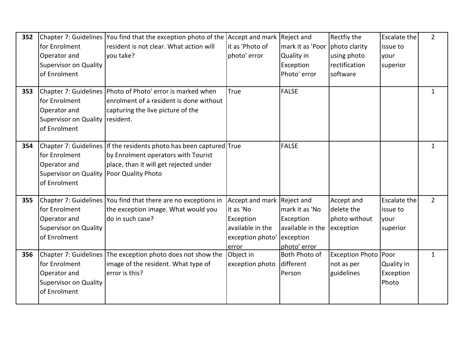| 352 | for Enrolment<br>Operator and<br><b>Supervisor on Quality</b><br>of Enrolment               | Chapter 7: Guidelines You find that the exception photo of the Accept and mark Reject and<br>resident is not clear. What action will<br>you take?         | it as 'Photo of<br>photo' error                                                                       | mark it as 'Poor<br>Quality in<br>Exception<br>Photo' error                  | Rectfiy the<br>photo clarity<br>using photo<br>rectification<br>software | <b>Escalate the</b><br>issue to<br>your<br>superior | $\overline{2}$ |
|-----|---------------------------------------------------------------------------------------------|-----------------------------------------------------------------------------------------------------------------------------------------------------------|-------------------------------------------------------------------------------------------------------|------------------------------------------------------------------------------|--------------------------------------------------------------------------|-----------------------------------------------------|----------------|
| 353 | for Enrolment<br>Operator and<br><b>Supervisor on Quality</b><br>of Enrolment               | Chapter 7: Guidelines   Photo of Photo' error is marked when<br>enrolment of a resident is done without<br>capturing the live picture of the<br>resident. | True                                                                                                  | <b>FALSE</b>                                                                 |                                                                          |                                                     | 1              |
| 354 | for Enrolment<br>Operator and<br>Supervisor on Quality   Poor Quality Photo<br>of Enrolment | Chapter 7: Guidelines If the residents photo has been captured True<br>by Enrolment operators with Tourist<br>place, than it will get rejected under      |                                                                                                       | <b>FALSE</b>                                                                 |                                                                          |                                                     | $\mathbf{1}$   |
| 355 | for Enrolment<br>Operator and<br><b>Supervisor on Quality</b><br>of Enrolment               | Chapter 7: Guidelines You find that there are no exceptions in<br>the exception image. What would you<br>do in such case?                                 | Accept and mark Reject and<br>it as 'No<br>Exception<br>available in the<br>exception photo'<br>error | mark it as 'No<br>Exception<br>available in the<br>exception<br>photo' error | Accept and<br>delete the<br>photo without<br>exception                   | <b>Escalate the</b><br>issue to<br>your<br>superior | $2^{\circ}$    |
| 356 | for Enrolment<br>Operator and<br><b>Supervisor on Quality</b><br>of Enrolment               | Chapter 7: Guidelines The exception photo does not show the<br>image of the resident. What type of<br>error is this?                                      | Object in<br>exception photo                                                                          | Both Photo of<br>different<br>Person                                         | Exception Photo Poor<br>not as per<br>guidelines                         | <b>Quality in</b><br>Exception<br>Photo             | $\mathbf{1}$   |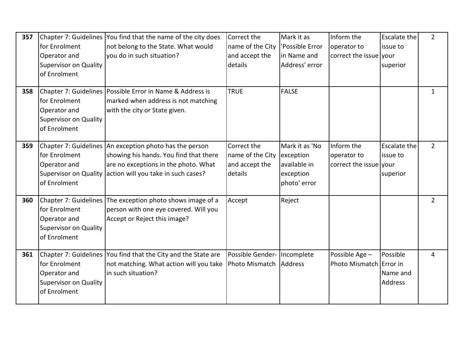| 357 | for Enrolment<br>Operator and<br><b>Supervisor on Quality</b><br>of Enrolment | Chapter 7: Guidelines You find that the name of the city does<br>not belong to the State. What would<br>you do in such situation?                                                                      | Correct the<br>name of the City<br>and accept the<br>details | Mark it as<br>'Possible Error<br>in Name and<br>Address' error           | Inform the<br>operator to<br>correct the issue your | <b>Escalate the</b><br>issue to<br>superior | $\overline{2}$ |
|-----|-------------------------------------------------------------------------------|--------------------------------------------------------------------------------------------------------------------------------------------------------------------------------------------------------|--------------------------------------------------------------|--------------------------------------------------------------------------|-----------------------------------------------------|---------------------------------------------|----------------|
| 358 | for Enrolment<br>Operator and<br><b>Supervisor on Quality</b><br>of Enrolment | Chapter 7: Guidelines Possible Error in Name & Address is<br>marked when address is not matching<br>with the city or State given.                                                                      | <b>TRUE</b>                                                  | <b>FALSE</b>                                                             |                                                     |                                             | $\mathbf{1}$   |
| 359 | for Enrolment<br>Operator and<br>of Enrolment                                 | Chapter 7: Guidelines An exception photo has the person<br>showing his hands. You find that there<br>are no exceptions in the photo. What<br>Supervisor on Quality action will you take in such cases? | Correct the<br>name of the City<br>and accept the<br>details | Mark it as 'No<br>exception<br>available in<br>exception<br>photo' error | Inform the<br>operator to<br>correct the issue your | <b>Escalate the</b><br>issue to<br>superior | $2^{\circ}$    |
| 360 | for Enrolment<br>Operator and<br><b>Supervisor on Quality</b><br>of Enrolment | Chapter 7: Guidelines The exception photo shows image of a<br>person with one eye covered. Will you<br>Accept or Reject this image?                                                                    | Accept                                                       | Reject                                                                   |                                                     |                                             | $\overline{2}$ |
| 361 | for Enrolment<br>Operator and<br><b>Supervisor on Quality</b><br>of Enrolment | Chapter 7: Guidelines You find that the City and the State are<br>not matching. What action will you take<br>in such situation?                                                                        | Possible Gender- Incomplete<br>Photo Mismatch                | Address                                                                  | Possible Age -<br>Photo Mismatch Error in           | Possible<br>Name and<br><b>Address</b>      | 4              |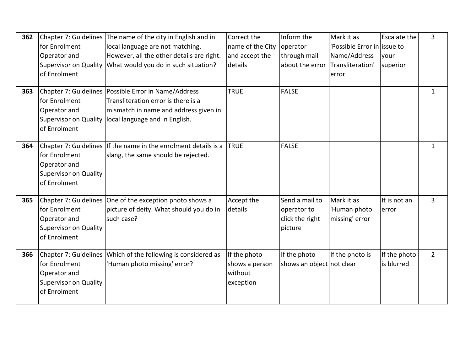| 362 |                              | Chapter 7: Guidelines The name of the city in English and in    | Correct the      | Inform the                | Mark it as                   | <b>Escalate the</b> | 3              |
|-----|------------------------------|-----------------------------------------------------------------|------------------|---------------------------|------------------------------|---------------------|----------------|
|     | for Enrolment                | local language are not matching.                                | name of the City | operator                  | 'Possible Error in lissue to |                     |                |
|     | Operator and                 | However, all the other details are right.                       | and accept the   | through mail              | Name/Address                 | your                |                |
|     |                              | Supervisor on Quality What would you do in such situation?      | details          | about the error           | Transliteration'             | superior            |                |
|     | of Enrolment                 |                                                                 |                  |                           | error                        |                     |                |
|     |                              |                                                                 |                  |                           |                              |                     |                |
| 363 |                              | Chapter 7: Guidelines Possible Error in Name/Address            | <b>TRUE</b>      | <b>FALSE</b>              |                              |                     | $\mathbf{1}$   |
|     | for Enrolment                | Transliteration error is there is a                             |                  |                           |                              |                     |                |
|     | Operator and                 | mismatch in name and address given in                           |                  |                           |                              |                     |                |
|     | <b>Supervisor on Quality</b> | local language and in English.                                  |                  |                           |                              |                     |                |
|     | of Enrolment                 |                                                                 |                  |                           |                              |                     |                |
|     |                              |                                                                 |                  |                           |                              |                     |                |
| 364 |                              | Chapter 7: Guidelines If the name in the enrolment details is a | <b>TRUE</b>      | <b>FALSE</b>              |                              |                     | $\mathbf{1}$   |
|     | for Enrolment                | slang, the same should be rejected.                             |                  |                           |                              |                     |                |
|     | Operator and                 |                                                                 |                  |                           |                              |                     |                |
|     | <b>Supervisor on Quality</b> |                                                                 |                  |                           |                              |                     |                |
|     | of Enrolment                 |                                                                 |                  |                           |                              |                     |                |
|     |                              |                                                                 |                  |                           |                              |                     |                |
| 365 |                              | Chapter 7: Guidelines One of the exception photo shows a        | Accept the       | Send a mail to            | Mark it as                   | It is not an        | $\overline{3}$ |
|     | for Enrolment                | picture of deity. What should you do in                         | details          | operator to               | 'Human photo                 | error               |                |
|     | Operator and                 | such case?                                                      |                  | click the right           | missing' error               |                     |                |
|     | <b>Supervisor on Quality</b> |                                                                 |                  | picture                   |                              |                     |                |
|     | of Enrolment                 |                                                                 |                  |                           |                              |                     |                |
| 366 |                              | Chapter 7: Guidelines Which of the following is considered as   | If the photo     | If the photo              | If the photo is              | If the photo        | $\overline{2}$ |
|     | for Enrolment                | 'Human photo missing' error?                                    | shows a person   | shows an object not clear |                              | is blurred          |                |
|     | Operator and                 |                                                                 | without          |                           |                              |                     |                |
|     | <b>Supervisor on Quality</b> |                                                                 | exception        |                           |                              |                     |                |
|     | of Enrolment                 |                                                                 |                  |                           |                              |                     |                |
|     |                              |                                                                 |                  |                           |                              |                     |                |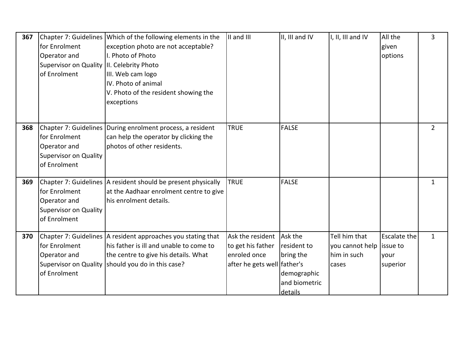| 367 |                                            | Chapter 7: Guidelines Which of the following elements in the    | II and III                  | II, III and IV | I, II, III and IV         | All the             | $\overline{3}$ |
|-----|--------------------------------------------|-----------------------------------------------------------------|-----------------------------|----------------|---------------------------|---------------------|----------------|
|     | for Enrolment                              | exception photo are not acceptable?                             |                             |                |                           | given               |                |
|     | Operator and                               | I. Photo of Photo                                               |                             |                |                           | options             |                |
|     | Supervisor on Quality III. Celebrity Photo |                                                                 |                             |                |                           |                     |                |
|     | of Enrolment                               | III. Web cam logo                                               |                             |                |                           |                     |                |
|     |                                            | IV. Photo of animal                                             |                             |                |                           |                     |                |
|     |                                            | V. Photo of the resident showing the                            |                             |                |                           |                     |                |
|     |                                            | exceptions                                                      |                             |                |                           |                     |                |
|     |                                            |                                                                 |                             |                |                           |                     |                |
|     |                                            |                                                                 |                             |                |                           |                     |                |
| 368 |                                            | Chapter 7: Guidelines During enrolment process, a resident      | <b>TRUE</b>                 | <b>FALSE</b>   |                           |                     | $\overline{2}$ |
|     | for Enrolment                              | can help the operator by clicking the                           |                             |                |                           |                     |                |
|     | Operator and                               | photos of other residents.                                      |                             |                |                           |                     |                |
|     | <b>Supervisor on Quality</b>               |                                                                 |                             |                |                           |                     |                |
|     | of Enrolment                               |                                                                 |                             |                |                           |                     |                |
|     |                                            |                                                                 |                             |                |                           |                     |                |
| 369 |                                            | Chapter 7: Guidelines   A resident should be present physically | <b>TRUE</b>                 | <b>FALSE</b>   |                           |                     | 1              |
|     | for Enrolment                              | at the Aadhaar enrolment centre to give                         |                             |                |                           |                     |                |
|     | Operator and                               | his enrolment details.                                          |                             |                |                           |                     |                |
|     | <b>Supervisor on Quality</b>               |                                                                 |                             |                |                           |                     |                |
|     | of Enrolment                               |                                                                 |                             |                |                           |                     |                |
| 370 |                                            | Chapter 7: Guidelines A resident approaches you stating that    | Ask the resident            | Ask the        | Tell him that             | <b>Escalate the</b> | $\mathbf{1}$   |
|     | for Enrolment                              | his father is ill and unable to come to                         | to get his father           | resident to    | you cannot help lissue to |                     |                |
|     | Operator and                               | the centre to give his details. What                            | enroled once                | bring the      | him in such               |                     |                |
|     |                                            | Supervisor on Quality should you do in this case?               |                             |                |                           | your                |                |
|     | of Enrolment                               |                                                                 | after he gets well father's |                | cases                     | superior            |                |
|     |                                            |                                                                 |                             | demographic    |                           |                     |                |
|     |                                            |                                                                 |                             | and biometric  |                           |                     |                |
|     |                                            |                                                                 |                             | details        |                           |                     |                |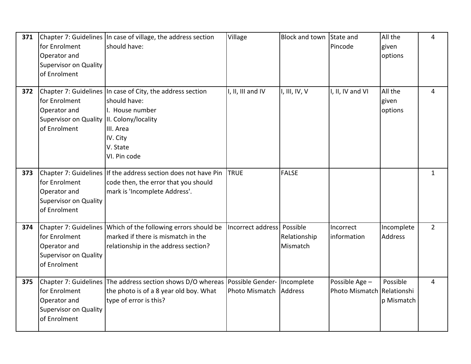| 371 | for Enrolment<br>Operator and<br><b>Supervisor on Quality</b><br>of Enrolment               | Chapter 7: Guidelines In case of village, the address section<br>should have:                                                                               | Village                      | <b>Block and town</b>    | State and<br>Pincode                         | All the<br>given<br>options | 4              |
|-----|---------------------------------------------------------------------------------------------|-------------------------------------------------------------------------------------------------------------------------------------------------------------|------------------------------|--------------------------|----------------------------------------------|-----------------------------|----------------|
| 372 | for Enrolment<br>Operator and<br>Supervisor on Quality III. Colony/locality<br>of Enrolment | Chapter 7: Guidelines In case of City, the address section<br>should have:<br>I. House number<br>III. Area<br>IV. City<br>V. State<br>VI. Pin code          | I, II, III and IV            | I, III, IV, $V$          | I, II, IV and VI                             | All the<br>given<br>options | 4              |
| 373 | for Enrolment<br>Operator and<br><b>Supervisor on Quality</b><br>of Enrolment               | Chapter 7: Guidelines If the address section does not have Pin<br>code then, the error that you should<br>mark is 'Incomplete Address'.                     | <b>TRUE</b>                  | <b>FALSE</b>             |                                              |                             | $\mathbf{1}$   |
| 374 | for Enrolment<br>Operator and<br>Supervisor on Quality<br>of Enrolment                      | Chapter 7: Guidelines Which of the following errors should be<br>marked if there is mismatch in the<br>relationship in the address section?                 | Incorrect address   Possible | Relationship<br>Mismatch | Incorrect<br>information                     | Incomplete<br>Address       | $\overline{2}$ |
| 375 | for Enrolment<br>Operator and<br>Supervisor on Quality<br>of Enrolment                      | Chapter 7: Guidelines The address section shows D/O whereas Possible Gender- Incomplete<br>the photo is of a 8 year old boy. What<br>type of error is this? | Photo Mismatch               | Address                  | Possible Age -<br>Photo Mismatch Relationshi | Possible<br>p Mismatch      | 4              |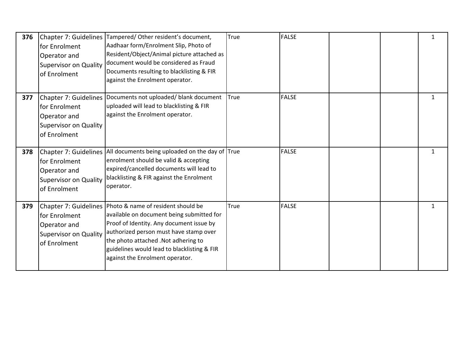| 376 | for Enrolment<br>Operator and<br><b>Supervisor on Quality</b><br>of Enrolment  | Chapter 7: Guidelines Tampered/ Other resident's document,<br>Aadhaar form/Enrolment Slip, Photo of<br>Resident/Object/Animal picture attached as<br>document would be considered as Fraud<br>Documents resulting to blacklisting & FIR<br>against the Enrolment operator.                                             | True | <b>FALSE</b> |  | $\mathbf{1}$ |
|-----|--------------------------------------------------------------------------------|------------------------------------------------------------------------------------------------------------------------------------------------------------------------------------------------------------------------------------------------------------------------------------------------------------------------|------|--------------|--|--------------|
| 377 | lfor Enrolment<br>Operator and<br><b>Supervisor on Quality</b><br>of Enrolment | Chapter 7: Guidelines Documents not uploaded/ blank document<br>uploaded will lead to blacklisting & FIR<br>against the Enrolment operator.                                                                                                                                                                            | True | <b>FALSE</b> |  | $\mathbf{1}$ |
| 378 | for Enrolment<br>Operator and<br><b>Supervisor on Quality</b><br>of Enrolment  | Chapter 7: Guidelines All documents being uploaded on the day of True<br>enrolment should be valid & accepting<br>expired/cancelled documents will lead to<br>blacklisting & FIR against the Enrolment<br>operator.                                                                                                    |      | <b>FALSE</b> |  | $\mathbf{1}$ |
| 379 | for Enrolment<br>Operator and<br><b>Supervisor on Quality</b><br>of Enrolment  | Chapter 7: Guidelines   Photo & name of resident should be<br>available on document being submitted for<br>Proof of Identity. Any document issue by<br>authorized person must have stamp over<br>the photo attached .Not adhering to<br>guidelines would lead to blacklisting & FIR<br>against the Enrolment operator. | True | <b>FALSE</b> |  | $\mathbf{1}$ |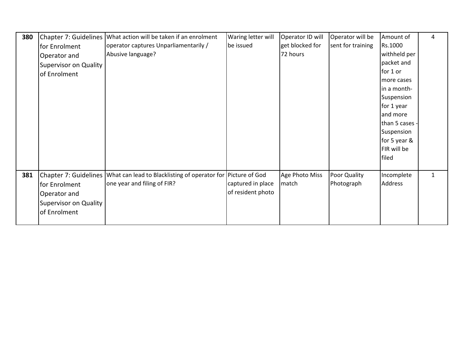| 380 |                              | Chapter 7: Guidelines   What action will be taken if an enrolment | Waring letter will | Operator ID will | Operator will be  | Amount of      | 4            |
|-----|------------------------------|-------------------------------------------------------------------|--------------------|------------------|-------------------|----------------|--------------|
|     | for Enrolment                | operator captures Unparliamentarily /                             | be issued          | get blocked for  | sent for training | Rs.1000        |              |
|     | Operator and                 | Abusive language?                                                 |                    | 72 hours         |                   | withheld per   |              |
|     | Supervisor on Quality        |                                                                   |                    |                  |                   | packet and     |              |
|     | of Enrolment                 |                                                                   |                    |                  |                   | for 1 or       |              |
|     |                              |                                                                   |                    |                  |                   | more cases     |              |
|     |                              |                                                                   |                    |                  |                   | in a month-    |              |
|     |                              |                                                                   |                    |                  |                   | Suspension     |              |
|     |                              |                                                                   |                    |                  |                   | for 1 year     |              |
|     |                              |                                                                   |                    |                  |                   | and more       |              |
|     |                              |                                                                   |                    |                  |                   | than 5 cases - |              |
|     |                              |                                                                   |                    |                  |                   | Suspension     |              |
|     |                              |                                                                   |                    |                  |                   | for 5 year &   |              |
|     |                              |                                                                   |                    |                  |                   | FIR will be    |              |
|     |                              |                                                                   |                    |                  |                   | filed          |              |
|     |                              |                                                                   |                    |                  |                   |                |              |
| 381 | Chapter 7: Guidelines        | What can lead to Blacklisting of operator for Picture of God      |                    | Age Photo Miss   | Poor Quality      | Incomplete     | $\mathbf{1}$ |
|     | for Enrolment                | one year and filing of FIR?                                       | captured in place  | match            | Photograph        | Address        |              |
|     | Operator and                 |                                                                   | of resident photo  |                  |                   |                |              |
|     | <b>Supervisor on Quality</b> |                                                                   |                    |                  |                   |                |              |
|     | of Enrolment                 |                                                                   |                    |                  |                   |                |              |
|     |                              |                                                                   |                    |                  |                   |                |              |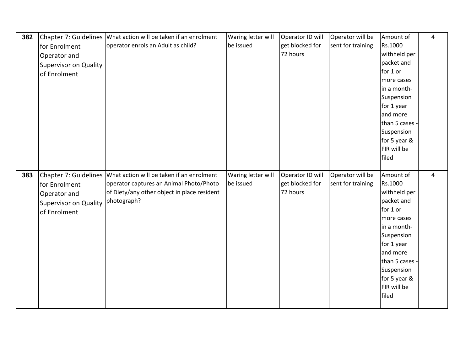| 382 | Chapter 7: Guidelines        | What action will be taken if an enrolment                                                                    | Waring letter will              | Operator ID will                    | Operator will be                      | Amount of                   | $\overline{4}$ |
|-----|------------------------------|--------------------------------------------------------------------------------------------------------------|---------------------------------|-------------------------------------|---------------------------------------|-----------------------------|----------------|
|     | for Enrolment                | operator enrols an Adult as child?                                                                           | be issued                       | get blocked for                     | sent for training                     | Rs.1000                     |                |
|     | Operator and                 |                                                                                                              |                                 | 72 hours                            |                                       | withheld per                |                |
|     | <b>Supervisor on Quality</b> |                                                                                                              |                                 |                                     |                                       | packet and                  |                |
|     | of Enrolment                 |                                                                                                              |                                 |                                     |                                       | for 1 or                    |                |
|     |                              |                                                                                                              |                                 |                                     |                                       | more cases                  |                |
|     |                              |                                                                                                              |                                 |                                     |                                       | in a month-                 |                |
|     |                              |                                                                                                              |                                 |                                     |                                       | Suspension                  |                |
|     |                              |                                                                                                              |                                 |                                     |                                       | for 1 year                  |                |
|     |                              |                                                                                                              |                                 |                                     |                                       | and more                    |                |
|     |                              |                                                                                                              |                                 |                                     |                                       | than 5 cases                |                |
|     |                              |                                                                                                              |                                 |                                     |                                       | Suspension                  |                |
|     |                              |                                                                                                              |                                 |                                     |                                       | for 5 year &<br>FIR will be |                |
|     |                              |                                                                                                              |                                 |                                     |                                       | filed                       |                |
|     |                              |                                                                                                              |                                 |                                     |                                       |                             |                |
|     |                              |                                                                                                              |                                 |                                     |                                       |                             |                |
|     |                              |                                                                                                              |                                 |                                     |                                       |                             | 4              |
| 383 | for Enrolment                | Chapter 7: Guidelines   What action will be taken if an enrolment<br>operator captures an Animal Photo/Photo | Waring letter will<br>be issued | Operator ID will<br>get blocked for | Operator will be<br>sent for training | Amount of<br>Rs.1000        |                |
|     |                              | of Diety/any other object in place resident                                                                  |                                 | 72 hours                            |                                       | withheld per                |                |
|     | Operator and                 | photograph?                                                                                                  |                                 |                                     |                                       | packet and                  |                |
|     | <b>Supervisor on Quality</b> |                                                                                                              |                                 |                                     |                                       | for 1 or                    |                |
|     | of Enrolment                 |                                                                                                              |                                 |                                     |                                       | more cases                  |                |
|     |                              |                                                                                                              |                                 |                                     |                                       | in a month-                 |                |
|     |                              |                                                                                                              |                                 |                                     |                                       | Suspension                  |                |
|     |                              |                                                                                                              |                                 |                                     |                                       | for 1 year                  |                |
|     |                              |                                                                                                              |                                 |                                     |                                       | and more                    |                |
|     |                              |                                                                                                              |                                 |                                     |                                       | than 5 cases -              |                |
|     |                              |                                                                                                              |                                 |                                     |                                       | Suspension                  |                |
|     |                              |                                                                                                              |                                 |                                     |                                       | for 5 year &                |                |
|     |                              |                                                                                                              |                                 |                                     |                                       | FIR will be                 |                |
|     |                              |                                                                                                              |                                 |                                     |                                       | filed                       |                |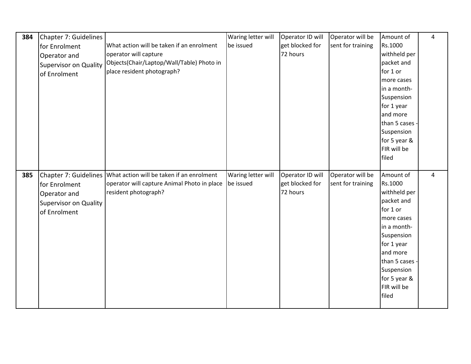| 384 | Chapter 7: Guidelines        |                                                                   | Waring letter will | Operator ID will | Operator will be  | Amount of    | $\overline{\mathbf{4}}$ |
|-----|------------------------------|-------------------------------------------------------------------|--------------------|------------------|-------------------|--------------|-------------------------|
|     |                              | What action will be taken if an enrolment                         |                    |                  |                   |              |                         |
|     | for Enrolment                |                                                                   | be issued          | get blocked for  | sent for training | Rs.1000      |                         |
|     | Operator and                 | operator will capture                                             |                    | 72 hours         |                   | withheld per |                         |
|     | <b>Supervisor on Quality</b> | Objects(Chair/Laptop/Wall/Table) Photo in                         |                    |                  |                   | packet and   |                         |
|     | of Enrolment                 | place resident photograph?                                        |                    |                  |                   | for 1 or     |                         |
|     |                              |                                                                   |                    |                  |                   | more cases   |                         |
|     |                              |                                                                   |                    |                  |                   | in a month-  |                         |
|     |                              |                                                                   |                    |                  |                   | Suspension   |                         |
|     |                              |                                                                   |                    |                  |                   | for 1 year   |                         |
|     |                              |                                                                   |                    |                  |                   | and more     |                         |
|     |                              |                                                                   |                    |                  |                   | than 5 cases |                         |
|     |                              |                                                                   |                    |                  |                   | Suspension   |                         |
|     |                              |                                                                   |                    |                  |                   | for 5 year & |                         |
|     |                              |                                                                   |                    |                  |                   | FIR will be  |                         |
|     |                              |                                                                   |                    |                  |                   | filed        |                         |
|     |                              |                                                                   |                    |                  |                   |              |                         |
|     |                              |                                                                   |                    |                  |                   |              |                         |
| 385 |                              | Chapter 7: Guidelines   What action will be taken if an enrolment | Waring letter will | Operator ID will | Operator will be  | Amount of    | 4                       |
|     | for Enrolment                | operator will capture Animal Photo in place                       | be issued          | get blocked for  | sent for training | Rs.1000      |                         |
|     | Operator and                 | resident photograph?                                              |                    | 72 hours         |                   | withheld per |                         |
|     |                              |                                                                   |                    |                  |                   | packet and   |                         |
|     | <b>Supervisor on Quality</b> |                                                                   |                    |                  |                   | for 1 or     |                         |
|     | of Enrolment                 |                                                                   |                    |                  |                   | more cases   |                         |
|     |                              |                                                                   |                    |                  |                   | in a month-  |                         |
|     |                              |                                                                   |                    |                  |                   | Suspension   |                         |
|     |                              |                                                                   |                    |                  |                   | for 1 year   |                         |
|     |                              |                                                                   |                    |                  |                   | and more     |                         |
|     |                              |                                                                   |                    |                  |                   | than 5 cases |                         |
|     |                              |                                                                   |                    |                  |                   | Suspension   |                         |
|     |                              |                                                                   |                    |                  |                   | for 5 year & |                         |
|     |                              |                                                                   |                    |                  |                   | FIR will be  |                         |
|     |                              |                                                                   |                    |                  |                   | filed        |                         |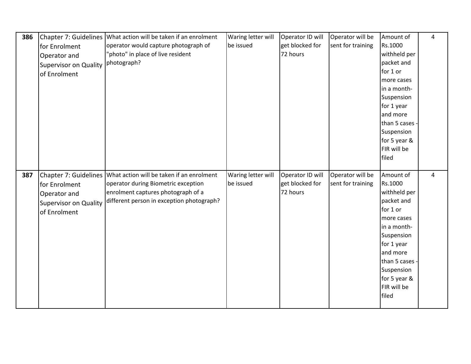| 386 | Chapter 7: Guidelines        | What action will be taken if an enrolment                         | Waring letter will | Operator ID will | Operator will be  | Amount of      | $\overline{4}$ |
|-----|------------------------------|-------------------------------------------------------------------|--------------------|------------------|-------------------|----------------|----------------|
|     | for Enrolment                | operator would capture photograph of                              | be issued          | get blocked for  | sent for training | Rs.1000        |                |
|     | Operator and                 | "photo" in place of live resident                                 |                    | 72 hours         |                   | withheld per   |                |
|     | <b>Supervisor on Quality</b> | photograph?                                                       |                    |                  |                   | packet and     |                |
|     | of Enrolment                 |                                                                   |                    |                  |                   | for 1 or       |                |
|     |                              |                                                                   |                    |                  |                   | more cases     |                |
|     |                              |                                                                   |                    |                  |                   | in a month-    |                |
|     |                              |                                                                   |                    |                  |                   | Suspension     |                |
|     |                              |                                                                   |                    |                  |                   | for 1 year     |                |
|     |                              |                                                                   |                    |                  |                   | and more       |                |
|     |                              |                                                                   |                    |                  |                   | than 5 cases - |                |
|     |                              |                                                                   |                    |                  |                   | Suspension     |                |
|     |                              |                                                                   |                    |                  |                   | for 5 year &   |                |
|     |                              |                                                                   |                    |                  |                   | FIR will be    |                |
|     |                              |                                                                   |                    |                  |                   | filed          |                |
|     |                              |                                                                   |                    |                  |                   |                |                |
|     |                              |                                                                   |                    |                  |                   |                |                |
| 387 |                              | Chapter 7: Guidelines   What action will be taken if an enrolment | Waring letter will | Operator ID will | Operator will be  | Amount of      | $\overline{4}$ |
|     | for Enrolment                | operator during Biometric exception                               | be issued          | get blocked for  | sent for training | Rs.1000        |                |
|     | Operator and                 | enrolment captures photograph of a                                |                    | 72 hours         |                   | withheld per   |                |
|     |                              | different person in exception photograph?                         |                    |                  |                   | packet and     |                |
|     | <b>Supervisor on Quality</b> |                                                                   |                    |                  |                   | for 1 or       |                |
|     | of Enrolment                 |                                                                   |                    |                  |                   | more cases     |                |
|     |                              |                                                                   |                    |                  |                   | in a month-    |                |
|     |                              |                                                                   |                    |                  |                   | Suspension     |                |
|     |                              |                                                                   |                    |                  |                   | for 1 year     |                |
|     |                              |                                                                   |                    |                  |                   | and more       |                |
|     |                              |                                                                   |                    |                  |                   | than 5 cases   |                |
|     |                              |                                                                   |                    |                  |                   | Suspension     |                |
|     |                              |                                                                   |                    |                  |                   | for 5 year &   |                |
|     |                              |                                                                   |                    |                  |                   | FIR will be    |                |
|     |                              |                                                                   |                    |                  |                   | filed          |                |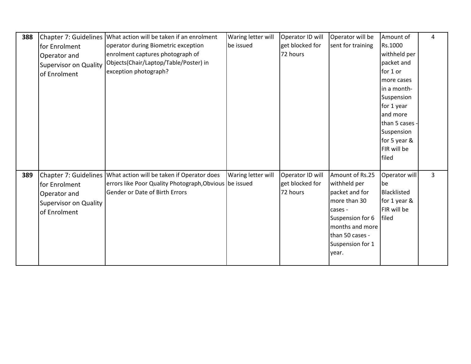|     |                              |                                                                   |                    |                  |                   | Amount of      |   |
|-----|------------------------------|-------------------------------------------------------------------|--------------------|------------------|-------------------|----------------|---|
| 388 |                              | Chapter 7: Guidelines   What action will be taken if an enrolment | Waring letter will | Operator ID will | Operator will be  |                | 4 |
|     | for Enrolment                | operator during Biometric exception                               | be issued          | get blocked for  | sent for training | Rs.1000        |   |
|     | Operator and                 | enrolment captures photograph of                                  |                    | 72 hours         |                   | withheld per   |   |
|     | <b>Supervisor on Quality</b> | Objects(Chair/Laptop/Table/Poster) in                             |                    |                  |                   | packet and     |   |
|     | of Enrolment                 | exception photograph?                                             |                    |                  |                   | for 1 or       |   |
|     |                              |                                                                   |                    |                  |                   | more cases     |   |
|     |                              |                                                                   |                    |                  |                   | in a month-    |   |
|     |                              |                                                                   |                    |                  |                   | Suspension     |   |
|     |                              |                                                                   |                    |                  |                   | for 1 year     |   |
|     |                              |                                                                   |                    |                  |                   | and more       |   |
|     |                              |                                                                   |                    |                  |                   | than 5 cases - |   |
|     |                              |                                                                   |                    |                  |                   | Suspension     |   |
|     |                              |                                                                   |                    |                  |                   | for 5 year &   |   |
|     |                              |                                                                   |                    |                  |                   | FIR will be    |   |
|     |                              |                                                                   |                    |                  |                   | filed          |   |
|     |                              |                                                                   |                    |                  |                   |                |   |
| 389 | Chapter 7: Guidelines        | What action will be taken if Operator does                        | Waring letter will | Operator ID will | Amount of Rs.25   | Operator will  | 3 |
|     | for Enrolment                | errors like Poor Quality Photograph, Obvious be issued            |                    | get blocked for  | withheld per      | be             |   |
|     | Operator and                 | <b>Gender or Date of Birth Errors</b>                             |                    | 72 hours         | packet and for    | Blacklisted    |   |
|     | <b>Supervisor on Quality</b> |                                                                   |                    |                  | more than 30      | for 1 year &   |   |
|     | of Enrolment                 |                                                                   |                    |                  | cases -           | FIR will be    |   |
|     |                              |                                                                   |                    |                  | Suspension for 6  | filed          |   |
|     |                              |                                                                   |                    |                  | months and more   |                |   |
|     |                              |                                                                   |                    |                  | than 50 cases -   |                |   |
|     |                              |                                                                   |                    |                  | Suspension for 1  |                |   |
|     |                              |                                                                   |                    |                  | year.             |                |   |
|     |                              |                                                                   |                    |                  |                   |                |   |
|     |                              |                                                                   |                    |                  |                   |                |   |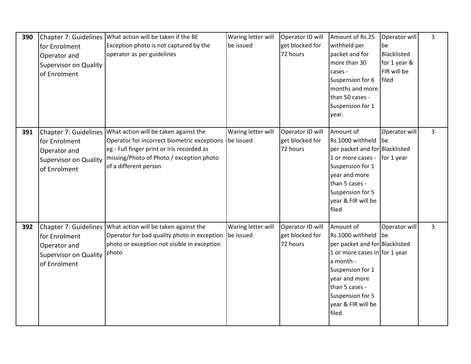| 390 | Chapter 7: Guidelines<br>for Enrolment<br>Operator and<br><b>Supervisor on Quality</b><br>of Enrolment | What action will be taken if the BE<br>Exception photo is not captured by the<br>operator as per guidelines                                                                                                         | Waring letter will<br>be issued | Operator ID will<br>get blocked for<br>72 hours | Amount of Rs.25<br>withheld per<br>packet and for<br>more than 30<br>cases -<br>Suspension for 6<br>months and more<br>than 50 cases -<br>Suspension for 1<br>year.                                                        | Operator will<br>be<br>Blacklisted<br>for 1 year &<br>FIR will be<br>filed | 3              |
|-----|--------------------------------------------------------------------------------------------------------|---------------------------------------------------------------------------------------------------------------------------------------------------------------------------------------------------------------------|---------------------------------|-------------------------------------------------|----------------------------------------------------------------------------------------------------------------------------------------------------------------------------------------------------------------------------|----------------------------------------------------------------------------|----------------|
| 391 | Chapter 7: Guidelines<br>for Enrolment<br>Operator and<br><b>Supervisor on Quality</b><br>of Enrolment | What action will be taken against the<br>Operator for incorrect biometric exceptions - be issued<br>eg - Full finger print or Iris recorded as<br>missing/Photo of Photo / exception photo<br>of a different person | Waring letter will              | Operator ID will<br>get blocked for<br>72 hours | Amount of<br>Rs.1000 withheld<br>per packet and for Blacklisted<br>1 or more cases -<br>Suspension for 1<br>year and more<br>than 5 cases -<br>Suspension for 5<br>year & FIR will be<br>filed                             | Operator will<br>l be<br>for 1 year                                        | $\overline{3}$ |
| 392 | Chapter 7: Guidelines<br>for Enrolment<br>Operator and<br><b>Supervisor on Quality</b><br>of Enrolment | What action will be taken against the<br>Operator for bad quality photo in exception<br>photo or exception not visible in exception<br>photo                                                                        | Waring letter will<br>be issued | Operator ID will<br>get blocked for<br>72 hours | Amount of<br>Rs.1000 withheld be<br>per packet and for Blacklisted<br>1 or more cases in for 1 year<br>a month -<br>Suspension for 1<br>year and more<br>than 5 cases -<br>Suspension for 5<br>year & FIR will be<br>filed | Operator will                                                              | $\overline{3}$ |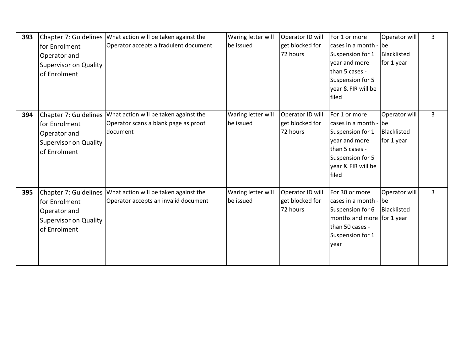| 393 | for Enrolment<br>Operator and<br><b>Supervisor on Quality</b><br>of Enrolment | Chapter 7: Guidelines   What action will be taken against the<br>Operator accepts a fradulent document          | Waring letter will<br>be issued | Operator ID will<br>get blocked for<br>72 hours | For 1 or more<br>cases in a month - lbe<br>Suspension for 1<br>year and more<br>than 5 cases -<br>Suspension for 5<br>year & FIR will be<br>filed | Operator will<br>Blacklisted<br>for 1 year | $\overline{3}$ |
|-----|-------------------------------------------------------------------------------|-----------------------------------------------------------------------------------------------------------------|---------------------------------|-------------------------------------------------|---------------------------------------------------------------------------------------------------------------------------------------------------|--------------------------------------------|----------------|
| 394 | for Enrolment<br>Operator and<br><b>Supervisor on Quality</b><br>of Enrolment | Chapter 7: Guidelines What action will be taken against the<br>Operator scans a blank page as proof<br>document | Waring letter will<br>be issued | Operator ID will<br>get blocked for<br>72 hours | For 1 or more<br>cases in a month - be<br>Suspension for 1<br>year and more<br>than 5 cases -<br>Suspension for 5<br>year & FIR will be<br>filed  | Operator will<br>Blacklisted<br>for 1 year | $\overline{3}$ |
| 395 | for Enrolment<br>Operator and<br><b>Supervisor on Quality</b><br>of Enrolment | Chapter 7: Guidelines   What action will be taken against the<br>Operator accepts an invalid document           | Waring letter will<br>be issued | Operator ID will<br>get blocked for<br>72 hours | For 30 or more<br>cases in a month - be<br>Suspension for 6<br>months and more for 1 year<br>than 50 cases -<br>Suspension for 1<br>year          | Operator will<br>Blacklisted               | 3              |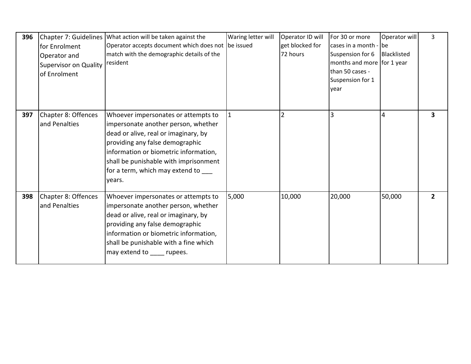| 396 | for Enrolment<br>Operator and<br><b>Supervisor on Quality</b><br>of Enrolment | Chapter 7: Guidelines   What action will be taken against the<br>Operator accepts document which does not be issued<br>match with the demographic details of the<br>resident                                                                                                             | Waring letter will | Operator ID will<br>get blocked for<br>72 hours | For 30 or more<br>cases in a month - lbe<br>Suspension for 6<br>months and more for 1 year<br>than 50 cases -<br>Suspension for 1<br>year | Operator will<br>Blacklisted | 3              |
|-----|-------------------------------------------------------------------------------|------------------------------------------------------------------------------------------------------------------------------------------------------------------------------------------------------------------------------------------------------------------------------------------|--------------------|-------------------------------------------------|-------------------------------------------------------------------------------------------------------------------------------------------|------------------------------|----------------|
| 397 | Chapter 8: Offences<br>and Penalties                                          | Whoever impersonates or attempts to<br>impersonate another person, whether<br>dead or alive, real or imaginary, by<br>providing any false demographic<br>information or biometric information,<br>shall be punishable with imprisonment<br>for a term, which may extend to ___<br>years. |                    | $\overline{2}$                                  | $\overline{3}$                                                                                                                            | $\overline{4}$               | 3              |
| 398 | Chapter 8: Offences<br>and Penalties                                          | Whoever impersonates or attempts to<br>impersonate another person, whether<br>dead or alive, real or imaginary, by<br>providing any false demographic<br>information or biometric information,<br>shall be punishable with a fine which<br>may extend to rupees.                         | 5,000              | 10,000                                          | 20,000                                                                                                                                    | 50,000                       | $\overline{2}$ |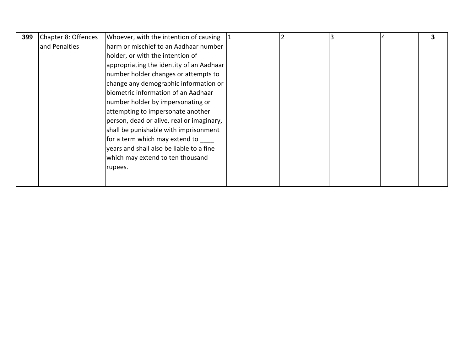| 399 | Chapter 8: Offences | Whoever, with the intention of causing $ 1$ |  |  | 3 |
|-----|---------------------|---------------------------------------------|--|--|---|
|     | and Penalties       | harm or mischief to an Aadhaar number       |  |  |   |
|     |                     | holder, or with the intention of            |  |  |   |
|     |                     | appropriating the identity of an Aadhaar    |  |  |   |
|     |                     | number holder changes or attempts to        |  |  |   |
|     |                     | change any demographic information or       |  |  |   |
|     |                     | biometric information of an Aadhaar         |  |  |   |
|     |                     | number holder by impersonating or           |  |  |   |
|     |                     | attempting to impersonate another           |  |  |   |
|     |                     | person, dead or alive, real or imaginary,   |  |  |   |
|     |                     | shall be punishable with imprisonment       |  |  |   |
|     |                     | for a term which may extend to              |  |  |   |
|     |                     | years and shall also be liable to a fine    |  |  |   |
|     |                     | which may extend to ten thousand            |  |  |   |
|     |                     | rupees.                                     |  |  |   |
|     |                     |                                             |  |  |   |
|     |                     |                                             |  |  |   |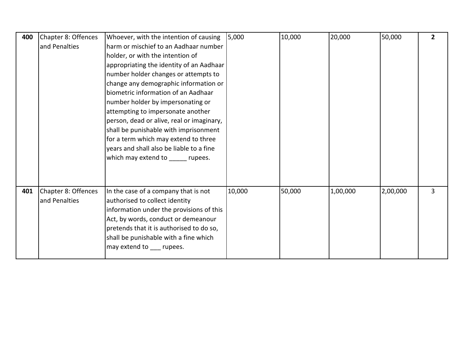| 400 | Chapter 8: Offences | Whoever, with the intention of causing    | 5,000  | 10,000 | 20,000   | 50,000   | $\overline{2}$ |
|-----|---------------------|-------------------------------------------|--------|--------|----------|----------|----------------|
|     | and Penalties       | harm or mischief to an Aadhaar number     |        |        |          |          |                |
|     |                     | holder, or with the intention of          |        |        |          |          |                |
|     |                     | appropriating the identity of an Aadhaar  |        |        |          |          |                |
|     |                     | number holder changes or attempts to      |        |        |          |          |                |
|     |                     | change any demographic information or     |        |        |          |          |                |
|     |                     | biometric information of an Aadhaar       |        |        |          |          |                |
|     |                     | number holder by impersonating or         |        |        |          |          |                |
|     |                     | attempting to impersonate another         |        |        |          |          |                |
|     |                     | person, dead or alive, real or imaginary, |        |        |          |          |                |
|     |                     | shall be punishable with imprisonment     |        |        |          |          |                |
|     |                     | for a term which may extend to three      |        |        |          |          |                |
|     |                     | years and shall also be liable to a fine  |        |        |          |          |                |
|     |                     | which may extend to rupees.               |        |        |          |          |                |
|     |                     |                                           |        |        |          |          |                |
|     |                     |                                           |        |        |          |          |                |
| 401 | Chapter 8: Offences | In the case of a company that is not      | 10,000 | 50,000 | 1,00,000 | 2,00,000 | 3              |
|     | and Penalties       | authorised to collect identity            |        |        |          |          |                |
|     |                     | information under the provisions of this  |        |        |          |          |                |
|     |                     | Act, by words, conduct or demeanour       |        |        |          |          |                |
|     |                     | pretends that it is authorised to do so,  |        |        |          |          |                |
|     |                     | shall be punishable with a fine which     |        |        |          |          |                |
|     |                     | may extend to ___ rupees.                 |        |        |          |          |                |
|     |                     |                                           |        |        |          |          |                |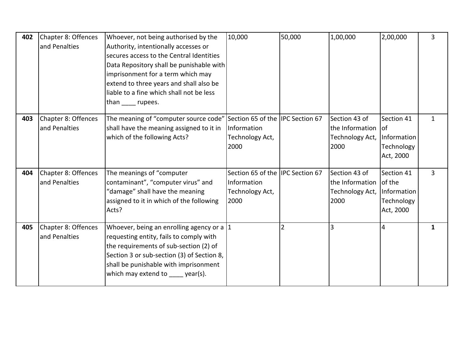| 402 | Chapter 8: Offences<br>and Penalties | Whoever, not being authorised by the<br>Authority, intentionally accesses or<br>secures access to the Central Identities<br>Data Repository shall be punishable with<br>imprisonment for a term which may<br>extend to three years and shall also be<br>liable to a fine which shall not be less<br>than rupees. | 10,000                                                                      | 50,000 | 1,00,000                                                         | 2,00,000                                                       | 3 |
|-----|--------------------------------------|------------------------------------------------------------------------------------------------------------------------------------------------------------------------------------------------------------------------------------------------------------------------------------------------------------------|-----------------------------------------------------------------------------|--------|------------------------------------------------------------------|----------------------------------------------------------------|---|
| 403 | Chapter 8: Offences<br>and Penalties | The meaning of "computer source code"<br>shall have the meaning assigned to it in<br>which of the following Acts?                                                                                                                                                                                                | Section 65 of the IPC Section 67<br>Information<br>Technology Act,<br>2000  |        | Section 43 of<br>the Information   of<br>Technology Act,<br>2000 | Section 41<br>Information<br>Technology<br>Act, 2000           | 1 |
| 404 | Chapter 8: Offences<br>and Penalties | The meanings of "computer<br>contaminant", "computer virus" and<br>"damage" shall have the meaning<br>assigned to it in which of the following<br>Acts?                                                                                                                                                          | Section 65 of the IIPC Section 67<br>Information<br>Technology Act,<br>2000 |        | Section 43 of<br>the Information<br>Technology Act,<br>2000      | Section 41<br>of the<br>Information<br>Technology<br>Act, 2000 | 3 |
| 405 | Chapter 8: Offences<br>and Penalties | Whoever, being an enrolling agency or a $ 1 $<br>requesting entity, fails to comply with<br>the requirements of sub-section (2) of<br>Section 3 or sub-section (3) of Section 8,<br>shall be punishable with imprisonment<br>which may extend to year(s).                                                        |                                                                             | 2      | 3                                                                | 4                                                              | 1 |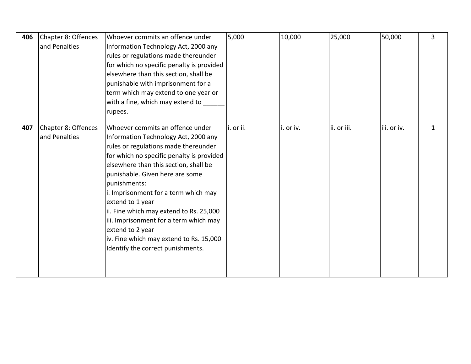| 406 | Chapter 8: Offences<br>and Penalties | Whoever commits an offence under<br>Information Technology Act, 2000 any<br>rules or regulations made thereunder<br>for which no specific penalty is provided<br>elsewhere than this section, shall be<br>punishable with imprisonment for a<br>term which may extend to one year or<br>with a fine, which may extend to<br>rupees.                                                                                                                                                                            | 5,000     | 10,000    | 25,000      | 50,000      | 3 |
|-----|--------------------------------------|----------------------------------------------------------------------------------------------------------------------------------------------------------------------------------------------------------------------------------------------------------------------------------------------------------------------------------------------------------------------------------------------------------------------------------------------------------------------------------------------------------------|-----------|-----------|-------------|-------------|---|
| 407 | Chapter 8: Offences<br>and Penalties | Whoever commits an offence under<br>Information Technology Act, 2000 any<br>rules or regulations made thereunder<br>for which no specific penalty is provided<br>elsewhere than this section, shall be<br>punishable. Given here are some<br>punishments:<br>i. Imprisonment for a term which may<br>extend to 1 year<br>ii. Fine which may extend to Rs. 25,000<br>iii. Imprisonment for a term which may<br>extend to 2 year<br>iv. Fine which may extend to Rs. 15,000<br>Identify the correct punishments. | i. or ii. | i. or iv. | ii. or iii. | iii. or iv. | 1 |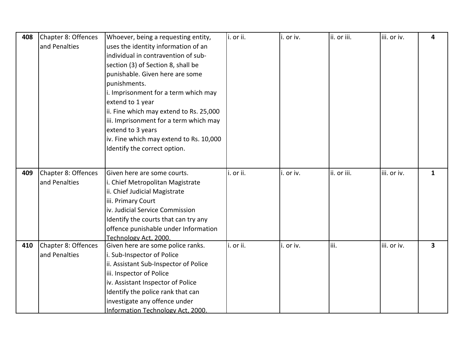| 408 | Chapter 8: Offences | Whoever, being a requesting entity,      | i. or ii. | i. or iv. | ii. or iii. | iii. or iv. | 4            |
|-----|---------------------|------------------------------------------|-----------|-----------|-------------|-------------|--------------|
|     | and Penalties       | uses the identity information of an      |           |           |             |             |              |
|     |                     | individual in contravention of sub-      |           |           |             |             |              |
|     |                     | section (3) of Section 8, shall be       |           |           |             |             |              |
|     |                     | punishable. Given here are some          |           |           |             |             |              |
|     |                     | punishments.                             |           |           |             |             |              |
|     |                     | i. Imprisonment for a term which may     |           |           |             |             |              |
|     |                     | extend to 1 year                         |           |           |             |             |              |
|     |                     | ii. Fine which may extend to Rs. 25,000  |           |           |             |             |              |
|     |                     | iii. Imprisonment for a term which may   |           |           |             |             |              |
|     |                     | extend to 3 years                        |           |           |             |             |              |
|     |                     | iv. Fine which may extend to Rs. 10,000  |           |           |             |             |              |
|     |                     | Identify the correct option.             |           |           |             |             |              |
|     |                     |                                          |           |           |             |             |              |
| 409 | Chapter 8: Offences | Given here are some courts.              | i. or ii. | i. or iv. | ii. or iii. | iii. or iv. | $\mathbf{1}$ |
|     | and Penalties       | i. Chief Metropolitan Magistrate         |           |           |             |             |              |
|     |                     | ii. Chief Judicial Magistrate            |           |           |             |             |              |
|     |                     | iii. Primary Court                       |           |           |             |             |              |
|     |                     | iv. Judicial Service Commission          |           |           |             |             |              |
|     |                     | Identify the courts that can try any     |           |           |             |             |              |
|     |                     | offence punishable under Information     |           |           |             |             |              |
|     |                     | Technology Act, 2000.                    |           |           |             |             |              |
| 410 | Chapter 8: Offences | Given here are some police ranks.        | i. or ii. | i. or iv. | iii.        | iii. or iv. | 3            |
|     | and Penalties       | i. Sub-Inspector of Police               |           |           |             |             |              |
|     |                     | ii. Assistant Sub-Inspector of Police    |           |           |             |             |              |
|     |                     | iii. Inspector of Police                 |           |           |             |             |              |
|     |                     | iv. Assistant Inspector of Police        |           |           |             |             |              |
|     |                     | Identify the police rank that can        |           |           |             |             |              |
|     |                     | investigate any offence under            |           |           |             |             |              |
|     |                     | <b>Information Technology Act, 2000.</b> |           |           |             |             |              |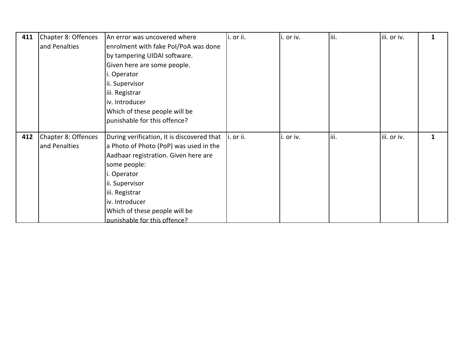| 411 | Chapter 8: Offences | An error was uncovered where               | i. or ii. | i. or iv. | iii.  | iii. or iv. | 1 |
|-----|---------------------|--------------------------------------------|-----------|-----------|-------|-------------|---|
|     | and Penalties       | enrolment with fake Pol/PoA was done       |           |           |       |             |   |
|     |                     | by tampering UIDAI software.               |           |           |       |             |   |
|     |                     | Given here are some people.                |           |           |       |             |   |
|     |                     | i. Operator                                |           |           |       |             |   |
|     |                     | ii. Supervisor                             |           |           |       |             |   |
|     |                     | iii. Registrar                             |           |           |       |             |   |
|     |                     | iv. Introducer                             |           |           |       |             |   |
|     |                     | Which of these people will be              |           |           |       |             |   |
|     |                     | punishable for this offence?               |           |           |       |             |   |
|     |                     |                                            |           |           |       |             |   |
| 412 | Chapter 8: Offences | During verification, it is discovered that | i. or ii. | i. or iv. | liii. | iii. or iv. | 1 |
|     | and Penalties       | a Photo of Photo (PoP) was used in the     |           |           |       |             |   |
|     |                     | Aadhaar registration. Given here are       |           |           |       |             |   |
|     |                     | some people:                               |           |           |       |             |   |
|     |                     | i. Operator                                |           |           |       |             |   |
|     |                     | ii. Supervisor                             |           |           |       |             |   |
|     |                     | iii. Registrar                             |           |           |       |             |   |
|     |                     | iv. Introducer                             |           |           |       |             |   |
|     |                     | Which of these people will be              |           |           |       |             |   |
|     |                     | nunishable for this offence?               |           |           |       |             |   |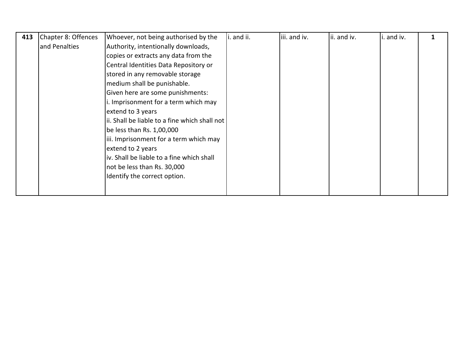| 413 | Chapter 8: Offences | Whoever, not being authorised by the           | i. and ii. | iii. and iv. | ii. and iv. | i. and iv. |  |
|-----|---------------------|------------------------------------------------|------------|--------------|-------------|------------|--|
|     | and Penalties       | Authority, intentionally downloads,            |            |              |             |            |  |
|     |                     | copies or extracts any data from the           |            |              |             |            |  |
|     |                     | Central Identities Data Repository or          |            |              |             |            |  |
|     |                     | stored in any removable storage                |            |              |             |            |  |
|     |                     | medium shall be punishable.                    |            |              |             |            |  |
|     |                     | Given here are some punishments:               |            |              |             |            |  |
|     |                     | i. Imprisonment for a term which may           |            |              |             |            |  |
|     |                     | extend to 3 years                              |            |              |             |            |  |
|     |                     | lii. Shall be liable to a fine which shall not |            |              |             |            |  |
|     |                     | be less than Rs. 1,00,000                      |            |              |             |            |  |
|     |                     | iii. Imprisonment for a term which may         |            |              |             |            |  |
|     |                     | extend to 2 years                              |            |              |             |            |  |
|     |                     | iv. Shall be liable to a fine which shall      |            |              |             |            |  |
|     |                     | not be less than Rs. 30,000                    |            |              |             |            |  |
|     |                     | Identify the correct option.                   |            |              |             |            |  |
|     |                     |                                                |            |              |             |            |  |
|     |                     |                                                |            |              |             |            |  |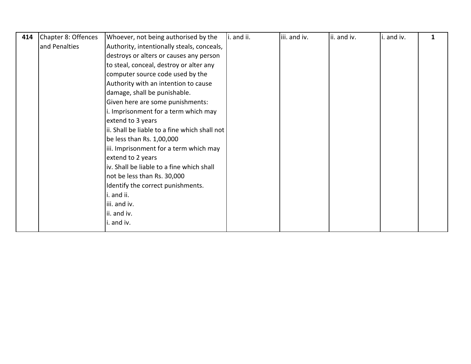| 414 | Chapter 8: Offences | Whoever, not being authorised by the          | i. and ii. | iii. and iv. | ii. and iv. | i. and iv. | 1 |
|-----|---------------------|-----------------------------------------------|------------|--------------|-------------|------------|---|
|     | and Penalties       | Authority, intentionally steals, conceals,    |            |              |             |            |   |
|     |                     | destroys or alters or causes any person       |            |              |             |            |   |
|     |                     | to steal, conceal, destroy or alter any       |            |              |             |            |   |
|     |                     | computer source code used by the              |            |              |             |            |   |
|     |                     | Authority with an intention to cause          |            |              |             |            |   |
|     |                     | damage, shall be punishable.                  |            |              |             |            |   |
|     |                     | Given here are some punishments:              |            |              |             |            |   |
|     |                     | i. Imprisonment for a term which may          |            |              |             |            |   |
|     |                     | extend to 3 years                             |            |              |             |            |   |
|     |                     | ii. Shall be liable to a fine which shall not |            |              |             |            |   |
|     |                     | be less than Rs. 1,00,000                     |            |              |             |            |   |
|     |                     | iii. Imprisonment for a term which may        |            |              |             |            |   |
|     |                     | extend to 2 years                             |            |              |             |            |   |
|     |                     | iv. Shall be liable to a fine which shall     |            |              |             |            |   |
|     |                     | not be less than Rs. 30,000                   |            |              |             |            |   |
|     |                     | Identify the correct punishments.             |            |              |             |            |   |
|     |                     | i. and ii.                                    |            |              |             |            |   |
|     |                     | iii. and iv.                                  |            |              |             |            |   |
|     |                     | ii. and iv.                                   |            |              |             |            |   |
|     |                     | i. and iv.                                    |            |              |             |            |   |
|     |                     |                                               |            |              |             |            |   |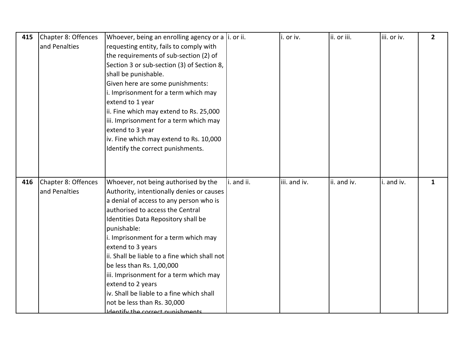| 415 | Chapter 8: Offences | Whoever, being an enrolling agency or a $ i$ . or ii. |            | i. or iv.    | ii. or iii. | iii. or iv. | $\mathbf{2}$ |
|-----|---------------------|-------------------------------------------------------|------------|--------------|-------------|-------------|--------------|
|     | and Penalties       | requesting entity, fails to comply with               |            |              |             |             |              |
|     |                     | the requirements of sub-section (2) of                |            |              |             |             |              |
|     |                     | Section 3 or sub-section (3) of Section 8,            |            |              |             |             |              |
|     |                     | shall be punishable.                                  |            |              |             |             |              |
|     |                     | Given here are some punishments:                      |            |              |             |             |              |
|     |                     | i. Imprisonment for a term which may                  |            |              |             |             |              |
|     |                     | extend to 1 year                                      |            |              |             |             |              |
|     |                     | ii. Fine which may extend to Rs. 25,000               |            |              |             |             |              |
|     |                     | iii. Imprisonment for a term which may                |            |              |             |             |              |
|     |                     | extend to 3 year                                      |            |              |             |             |              |
|     |                     | iv. Fine which may extend to Rs. 10,000               |            |              |             |             |              |
|     |                     | Identify the correct punishments.                     |            |              |             |             |              |
|     |                     |                                                       |            |              |             |             |              |
|     |                     |                                                       |            |              |             |             |              |
| 416 | Chapter 8: Offences | Whoever, not being authorised by the                  | i. and ii. | iii. and iv. | ii. and iv. | i. and iv.  | 1            |
|     | and Penalties       | Authority, intentionally denies or causes             |            |              |             |             |              |
|     |                     | a denial of access to any person who is               |            |              |             |             |              |
|     |                     | authorised to access the Central                      |            |              |             |             |              |
|     |                     | Identities Data Repository shall be                   |            |              |             |             |              |
|     |                     | punishable:                                           |            |              |             |             |              |
|     |                     | i. Imprisonment for a term which may                  |            |              |             |             |              |
|     |                     | extend to 3 years                                     |            |              |             |             |              |
|     |                     | ii. Shall be liable to a fine which shall not         |            |              |             |             |              |
|     |                     | be less than Rs. 1,00,000                             |            |              |             |             |              |
|     |                     | iii. Imprisonment for a term which may                |            |              |             |             |              |
|     |                     | extend to 2 years                                     |            |              |             |             |              |
|     |                     | iv. Shall be liable to a fine which shall             |            |              |             |             |              |
|     |                     |                                                       |            |              |             |             |              |
|     |                     | not be less than Rs. 30,000                           |            |              |             |             |              |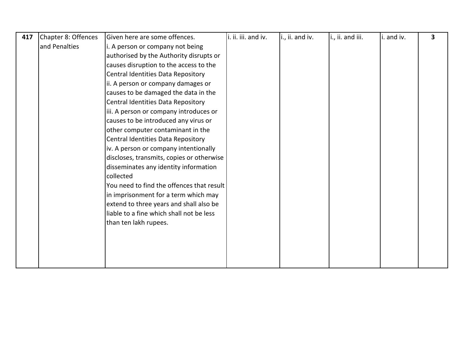|                                                   |  | i., ii. and iii. | i. and iv. | 3 |
|---------------------------------------------------|--|------------------|------------|---|
| and Penalties<br>i. A person or company not being |  |                  |            |   |
| authorised by the Authority disrupts or           |  |                  |            |   |
| causes disruption to the access to the            |  |                  |            |   |
| Central Identities Data Repository                |  |                  |            |   |
| ii. A person or company damages or                |  |                  |            |   |
| causes to be damaged the data in the              |  |                  |            |   |
| Central Identities Data Repository                |  |                  |            |   |
| iii. A person or company introduces or            |  |                  |            |   |
| causes to be introduced any virus or              |  |                  |            |   |
| other computer contaminant in the                 |  |                  |            |   |
| Central Identities Data Repository                |  |                  |            |   |
| iv. A person or company intentionally             |  |                  |            |   |
| discloses, transmits, copies or otherwise         |  |                  |            |   |
| disseminates any identity information             |  |                  |            |   |
| collected                                         |  |                  |            |   |
| You need to find the offences that result         |  |                  |            |   |
| in imprisonment for a term which may              |  |                  |            |   |
| extend to three years and shall also be           |  |                  |            |   |
| liable to a fine which shall not be less          |  |                  |            |   |
| than ten lakh rupees.                             |  |                  |            |   |
|                                                   |  |                  |            |   |
|                                                   |  |                  |            |   |
|                                                   |  |                  |            |   |
|                                                   |  |                  |            |   |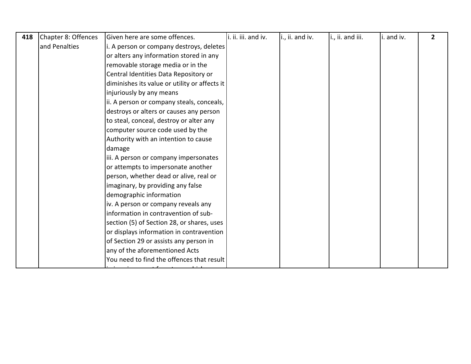| 418 | Chapter 8: Offences | Given here are some offences.                 | i. ii. iii. and iv. | i., ii. and iv. | i., ii. and iii. | i. and iv. | $\overline{2}$ |
|-----|---------------------|-----------------------------------------------|---------------------|-----------------|------------------|------------|----------------|
|     | and Penalties       | i. A person or company destroys, deletes      |                     |                 |                  |            |                |
|     |                     | or alters any information stored in any       |                     |                 |                  |            |                |
|     |                     | removable storage media or in the             |                     |                 |                  |            |                |
|     |                     | Central Identities Data Repository or         |                     |                 |                  |            |                |
|     |                     | diminishes its value or utility or affects it |                     |                 |                  |            |                |
|     |                     | injuriously by any means                      |                     |                 |                  |            |                |
|     |                     | ii. A person or company steals, conceals,     |                     |                 |                  |            |                |
|     |                     | destroys or alters or causes any person       |                     |                 |                  |            |                |
|     |                     | to steal, conceal, destroy or alter any       |                     |                 |                  |            |                |
|     |                     | computer source code used by the              |                     |                 |                  |            |                |
|     |                     | Authority with an intention to cause          |                     |                 |                  |            |                |
|     |                     | damage                                        |                     |                 |                  |            |                |
|     |                     | iii. A person or company impersonates         |                     |                 |                  |            |                |
|     |                     | or attempts to impersonate another            |                     |                 |                  |            |                |
|     |                     | person, whether dead or alive, real or        |                     |                 |                  |            |                |
|     |                     | imaginary, by providing any false             |                     |                 |                  |            |                |
|     |                     | demographic information                       |                     |                 |                  |            |                |
|     |                     | iv. A person or company reveals any           |                     |                 |                  |            |                |
|     |                     | information in contravention of sub-          |                     |                 |                  |            |                |
|     |                     | section (5) of Section 28, or shares, uses    |                     |                 |                  |            |                |
|     |                     | or displays information in contravention      |                     |                 |                  |            |                |
|     |                     | of Section 29 or assists any person in        |                     |                 |                  |            |                |
|     |                     | any of the aforementioned Acts                |                     |                 |                  |            |                |
|     |                     | You need to find the offences that result     |                     |                 |                  |            |                |
|     |                     |                                               |                     |                 |                  |            |                |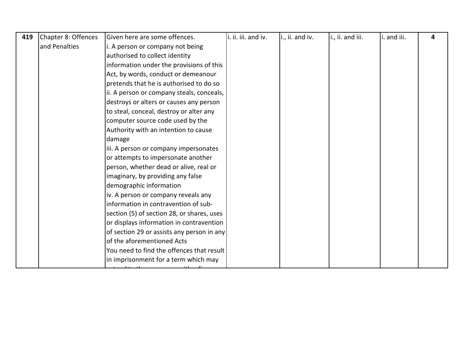| 419 | Chapter 8: Offences | Given here are some offences.              | i. ii. iii. and iv. | i., ii. and iv. | i., ii. and iii. | i. and iii. | 4 |
|-----|---------------------|--------------------------------------------|---------------------|-----------------|------------------|-------------|---|
|     | and Penalties       | i. A person or company not being           |                     |                 |                  |             |   |
|     |                     | authorised to collect identity             |                     |                 |                  |             |   |
|     |                     | information under the provisions of this   |                     |                 |                  |             |   |
|     |                     | Act, by words, conduct or demeanour        |                     |                 |                  |             |   |
|     |                     | pretends that he is authorised to do so    |                     |                 |                  |             |   |
|     |                     | ii. A person or company steals, conceals,  |                     |                 |                  |             |   |
|     |                     | destroys or alters or causes any person    |                     |                 |                  |             |   |
|     |                     | to steal, conceal, destroy or alter any    |                     |                 |                  |             |   |
|     |                     | computer source code used by the           |                     |                 |                  |             |   |
|     |                     | Authority with an intention to cause       |                     |                 |                  |             |   |
|     |                     | damage                                     |                     |                 |                  |             |   |
|     |                     | iii. A person or company impersonates      |                     |                 |                  |             |   |
|     |                     | or attempts to impersonate another         |                     |                 |                  |             |   |
|     |                     | person, whether dead or alive, real or     |                     |                 |                  |             |   |
|     |                     | imaginary, by providing any false          |                     |                 |                  |             |   |
|     |                     | demographic information                    |                     |                 |                  |             |   |
|     |                     | iv. A person or company reveals any        |                     |                 |                  |             |   |
|     |                     | information in contravention of sub-       |                     |                 |                  |             |   |
|     |                     | section (5) of section 28, or shares, uses |                     |                 |                  |             |   |
|     |                     | or displays information in contravention   |                     |                 |                  |             |   |
|     |                     | of section 29 or assists any person in any |                     |                 |                  |             |   |
|     |                     | of the aforementioned Acts                 |                     |                 |                  |             |   |
|     |                     | You need to find the offences that result  |                     |                 |                  |             |   |
|     |                     | in imprisonment for a term which may       |                     |                 |                  |             |   |
|     |                     |                                            |                     |                 |                  |             |   |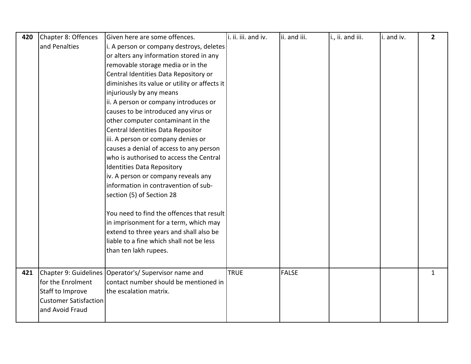| 420 | Chapter 8: Offences          | Given here are some offences.                         | i. ii. iii. and iv. | ii. and iii. | i., ii. and iii. | i. and iv. | $\overline{2}$ |
|-----|------------------------------|-------------------------------------------------------|---------------------|--------------|------------------|------------|----------------|
|     | and Penalties                | i. A person or company destroys, deletes              |                     |              |                  |            |                |
|     |                              | or alters any information stored in any               |                     |              |                  |            |                |
|     |                              | removable storage media or in the                     |                     |              |                  |            |                |
|     |                              | Central Identities Data Repository or                 |                     |              |                  |            |                |
|     |                              | diminishes its value or utility or affects it         |                     |              |                  |            |                |
|     |                              | injuriously by any means                              |                     |              |                  |            |                |
|     |                              | ii. A person or company introduces or                 |                     |              |                  |            |                |
|     |                              | causes to be introduced any virus or                  |                     |              |                  |            |                |
|     |                              | other computer contaminant in the                     |                     |              |                  |            |                |
|     |                              | Central Identities Data Repositor                     |                     |              |                  |            |                |
|     |                              | iii. A person or company denies or                    |                     |              |                  |            |                |
|     |                              | causes a denial of access to any person               |                     |              |                  |            |                |
|     |                              | who is authorised to access the Central               |                     |              |                  |            |                |
|     |                              | Identities Data Repository                            |                     |              |                  |            |                |
|     |                              | iv. A person or company reveals any                   |                     |              |                  |            |                |
|     |                              | information in contravention of sub-                  |                     |              |                  |            |                |
|     |                              | section (5) of Section 28                             |                     |              |                  |            |                |
|     |                              | You need to find the offences that result             |                     |              |                  |            |                |
|     |                              | in imprisonment for a term, which may                 |                     |              |                  |            |                |
|     |                              | extend to three years and shall also be               |                     |              |                  |            |                |
|     |                              | liable to a fine which shall not be less              |                     |              |                  |            |                |
|     |                              | than ten lakh rupees.                                 |                     |              |                  |            |                |
|     |                              |                                                       |                     |              |                  |            |                |
| 421 |                              | Chapter 9: Guidelines Operator's/ Supervisor name and | <b>TRUE</b>         | <b>FALSE</b> |                  |            | 1              |
|     | for the Enrolment            | contact number should be mentioned in                 |                     |              |                  |            |                |
|     | Staff to Improve             | the escalation matrix.                                |                     |              |                  |            |                |
|     | <b>Customer Satisfaction</b> |                                                       |                     |              |                  |            |                |
|     | and Avoid Fraud              |                                                       |                     |              |                  |            |                |
|     |                              |                                                       |                     |              |                  |            |                |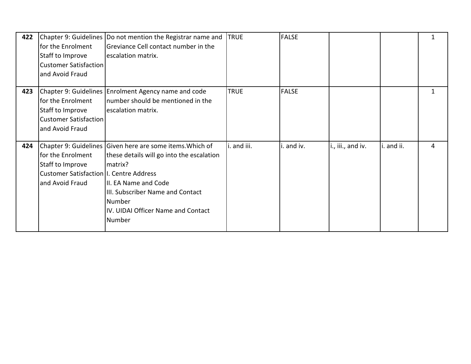| 422 | for the Enrolment<br>Staff to Improve<br>Customer Satisfaction<br>and Avoid Fraud                    | Chapter 9: Guidelines  Do not mention the Registrar name and<br>Greviance Cell contact number in the<br>escalation matrix.                                                                                                               | <b>TRUE</b> | <b>FALSE</b> |                   |            |   |
|-----|------------------------------------------------------------------------------------------------------|------------------------------------------------------------------------------------------------------------------------------------------------------------------------------------------------------------------------------------------|-------------|--------------|-------------------|------------|---|
| 423 | for the Enrolment<br>Staff to Improve<br><b>Customer Satisfaction</b><br>and Avoid Fraud             | Chapter 9: Guidelines Enrolment Agency name and code<br>Inumber should be mentioned in the<br>escalation matrix.                                                                                                                         | <b>TRUE</b> | <b>FALSE</b> |                   |            | 1 |
| 424 | for the Enrolment<br>Staff to Improve<br>Customer Satisfaction II. Centre Address<br>and Avoid Fraud | Chapter 9: Guidelines Given here are some items. Which of<br>these details will go into the escalation<br>matrix?<br>III. EA Name and Code<br>III. Subscriber Name and Contact<br>Number<br>IV. UIDAI Officer Name and Contact<br>Number | i. and iii. | i. and iv.   | i., iii., and iv. | i. and ii. | 4 |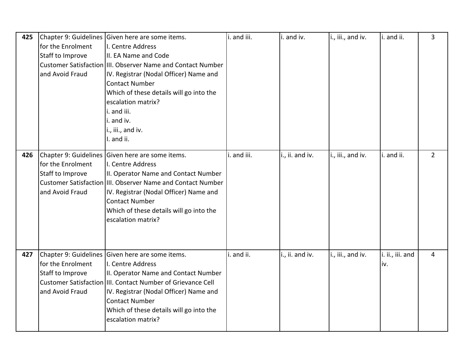| 425 | for the Enrolment<br>Staff to Improve<br>and Avoid Fraud | Chapter 9: Guidelines Given here are some items.<br>I. Centre Address<br>II. EA Name and Code<br>Customer Satisfaction IIII. Observer Name and Contact Number<br>IV. Registrar (Nodal Officer) Name and<br><b>Contact Number</b><br>Which of these details will go into the<br>escalation matrix?<br>i. and iii.<br>i. and iv.<br>i., iii., and iv.<br>I. and ii. | i. and iii. | i. and iv.      | i., iii., and iv. | i. and ii.              | 3              |
|-----|----------------------------------------------------------|-------------------------------------------------------------------------------------------------------------------------------------------------------------------------------------------------------------------------------------------------------------------------------------------------------------------------------------------------------------------|-------------|-----------------|-------------------|-------------------------|----------------|
| 426 | for the Enrolment<br>Staff to Improve<br>and Avoid Fraud | Chapter 9: Guidelines Given here are some items.<br>I. Centre Address<br>II. Operator Name and Contact Number<br>Customer Satisfaction IIII. Observer Name and Contact Number<br>IV. Registrar (Nodal Officer) Name and<br><b>Contact Number</b><br>Which of these details will go into the<br>escalation matrix?                                                 | i. and iii. | i., ii. and iv. | i., iii., and iv. | i. and ii.              | $\overline{2}$ |
| 427 | for the Enrolment<br>Staff to Improve<br>and Avoid Fraud | Chapter 9: Guidelines Given here are some items.<br>I. Centre Address<br>II. Operator Name and Contact Number<br>Customer Satisfaction III. Contact Number of Grievance Cell<br>IV. Registrar (Nodal Officer) Name and<br><b>Contact Number</b><br>Which of these details will go into the<br>escalation matrix?                                                  | i. and ii.  | i., ii. and iv. | i., iii., and iv. | i. ii., iii. and<br>iv. | $\overline{4}$ |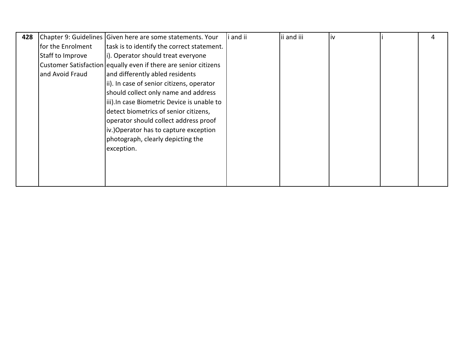| 428 |                   | Chapter 9: Guidelines Given here are some statements. Your      | and ii | ii and iii | liv | 4 |
|-----|-------------------|-----------------------------------------------------------------|--------|------------|-----|---|
|     | for the Enrolment | task is to identify the correct statement.                      |        |            |     |   |
|     | Staff to Improve  | i). Operator should treat everyone                              |        |            |     |   |
|     |                   | Customer Satisfaction equally even if there are senior citizens |        |            |     |   |
|     | and Avoid Fraud   | and differently abled residents                                 |        |            |     |   |
|     |                   | ii). In case of senior citizens, operator                       |        |            |     |   |
|     |                   | should collect only name and address                            |        |            |     |   |
|     |                   | iii). In case Biometric Device is unable to                     |        |            |     |   |
|     |                   | detect biometrics of senior citizens,                           |        |            |     |   |
|     |                   | operator should collect address proof                           |        |            |     |   |
|     |                   | iv.)Operator has to capture exception                           |        |            |     |   |
|     |                   | photograph, clearly depicting the                               |        |            |     |   |
|     |                   | exception.                                                      |        |            |     |   |
|     |                   |                                                                 |        |            |     |   |
|     |                   |                                                                 |        |            |     |   |
|     |                   |                                                                 |        |            |     |   |
|     |                   |                                                                 |        |            |     |   |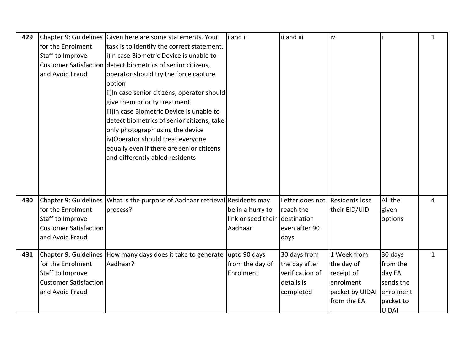| 429 |                              | Chapter 9: Guidelines Given here are some statements. Your                   | i and ii           | ii and iii                     | İv              |              | $\mathbf{1}$ |
|-----|------------------------------|------------------------------------------------------------------------------|--------------------|--------------------------------|-----------------|--------------|--------------|
|     | for the Enrolment            | task is to identify the correct statement.                                   |                    |                                |                 |              |              |
|     | Staff to Improve             | i) In case Biometric Device is unable to                                     |                    |                                |                 |              |              |
|     |                              | Customer Satisfaction detect biometrics of senior citizens,                  |                    |                                |                 |              |              |
|     | and Avoid Fraud              | operator should try the force capture                                        |                    |                                |                 |              |              |
|     |                              | option                                                                       |                    |                                |                 |              |              |
|     |                              | ii)In case senior citizens, operator should                                  |                    |                                |                 |              |              |
|     |                              | give them priority treatment                                                 |                    |                                |                 |              |              |
|     |                              | iii) In case Biometric Device is unable to                                   |                    |                                |                 |              |              |
|     |                              | detect biometrics of senior citizens, take                                   |                    |                                |                 |              |              |
|     |                              | only photograph using the device                                             |                    |                                |                 |              |              |
|     |                              | iv) Operator should treat everyone                                           |                    |                                |                 |              |              |
|     |                              | equally even if there are senior citizens                                    |                    |                                |                 |              |              |
|     |                              | and differently abled residents                                              |                    |                                |                 |              |              |
|     |                              |                                                                              |                    |                                |                 |              |              |
|     |                              |                                                                              |                    |                                |                 |              |              |
|     |                              |                                                                              |                    |                                |                 |              |              |
| 430 |                              | Chapter 9: Guidelines What is the purpose of Aadhaar retrieval Residents may |                    | Letter does not Residents lose |                 | All the      | 4            |
|     | for the Enrolment            | process?                                                                     | be in a hurry to   | reach the                      | their EID/UID   | given        |              |
|     | Staff to Improve             |                                                                              | link or seed their | destination                    |                 | options      |              |
|     | <b>Customer Satisfaction</b> |                                                                              | Aadhaar            | even after 90                  |                 |              |              |
|     | and Avoid Fraud              |                                                                              |                    | days                           |                 |              |              |
|     |                              |                                                                              |                    |                                |                 |              |              |
| 431 |                              | Chapter 9: Guidelines How many days does it take to generate                 | upto 90 days       | 30 days from                   | 1 Week from     | 30 days      | $\mathbf{1}$ |
|     | for the Enrolment            | Aadhaar?                                                                     | from the day of    | the day after                  | the day of      | from the     |              |
|     | Staff to Improve             |                                                                              | Enrolment          | verification of                | receipt of      | day EA       |              |
|     | <b>Customer Satisfaction</b> |                                                                              |                    | details is                     | enrolment       | sends the    |              |
|     | and Avoid Fraud              |                                                                              |                    | completed                      | packet by UIDAI | enrolment    |              |
|     |                              |                                                                              |                    |                                | from the EA     | packet to    |              |
|     |                              |                                                                              |                    |                                |                 | <b>UIDAI</b> |              |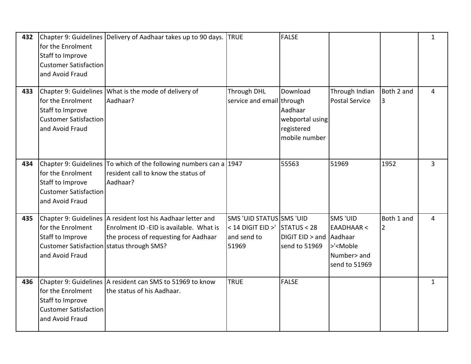| 432 | for the Enrolment<br>Staff to Improve<br><b>Customer Satisfaction</b><br>and Avoid Fraud              | Chapter 9: Guidelines Delivery of Aadhaar takes up to 90 days.                                                                                   | <b>TRUE</b>                                                           | <b>FALSE</b>                                                          |                                                                                              |                              | $\mathbf{1}$   |
|-----|-------------------------------------------------------------------------------------------------------|--------------------------------------------------------------------------------------------------------------------------------------------------|-----------------------------------------------------------------------|-----------------------------------------------------------------------|----------------------------------------------------------------------------------------------|------------------------------|----------------|
| 433 | for the Enrolment<br>Staff to Improve<br><b>Customer Satisfaction</b><br>and Avoid Fraud              | Chapter 9: Guidelines What is the mode of delivery of<br>Aadhaar?                                                                                | Through DHL<br>service and email through                              | Download<br>Aadhaar<br>webportal using<br>registered<br>mobile number | Through Indian<br><b>Postal Service</b>                                                      | Both 2 and<br>3              | 4              |
| 434 | for the Enrolment<br>Staff to Improve<br><b>Customer Satisfaction</b><br>and Avoid Fraud              | Chapter 9: Guidelines To which of the following numbers can a 1947<br>resident call to know the status of<br>Aadhaar?                            |                                                                       | 55563                                                                 | 51969                                                                                        | 1952                         | $\overline{3}$ |
| 435 | for the Enrolment<br>Staff to Improve<br>Customer Satisfaction status through SMS?<br>and Avoid Fraud | Chapter 9: Guidelines A resident lost his Aadhaar letter and<br>Enrolment ID -EID is available. What is<br>the process of requesting for Aadhaar | SMS 'UID STATUS SMS 'UID<br>< 14 DIGIT EID >'<br>and send to<br>51969 | STATUS < 28<br>DIGIT EID > and Aadhaar<br>send to 51969               | SMS 'UID<br><b>EAADHAAR &lt;</b><br>>' <moble<br>Number&gt; and<br/>send to 51969</moble<br> | Both 1 and<br>$\overline{2}$ | $\overline{4}$ |
| 436 | for the Enrolment<br>Staff to Improve<br><b>Customer Satisfaction</b><br>and Avoid Fraud              | Chapter 9: Guidelines   A resident can SMS to 51969 to know<br>the status of his Aadhaar.                                                        | <b>TRUE</b>                                                           | <b>FALSE</b>                                                          |                                                                                              |                              | $\mathbf{1}$   |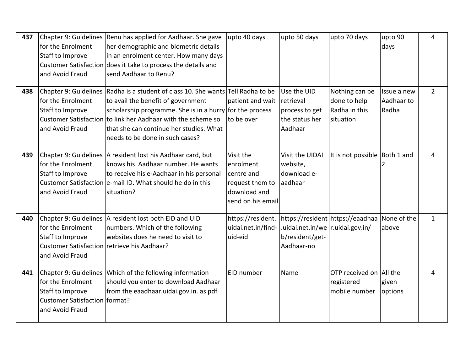| 437 | for the Enrolment<br>Staff to Improve<br>and Avoid Fraud                                                | Chapter 9: Guidelines Renu has applied for Aadhaar. She gave<br>her demographic and biometric details<br>in an enrolment center. How many days<br>Customer Satisfaction does it take to process the details and<br>send Aadhaar to Renu?                                                                                          | upto 40 days                                                                                 | upto 50 days                                                            | upto 70 days                                                 | upto 90<br>days                    | 4            |
|-----|---------------------------------------------------------------------------------------------------------|-----------------------------------------------------------------------------------------------------------------------------------------------------------------------------------------------------------------------------------------------------------------------------------------------------------------------------------|----------------------------------------------------------------------------------------------|-------------------------------------------------------------------------|--------------------------------------------------------------|------------------------------------|--------------|
| 438 | for the Enrolment<br>Staff to Improve<br>and Avoid Fraud                                                | Chapter 9: Guidelines Radha is a student of class 10. She wants Tell Radha to be<br>to avail the benefit of government<br>scholarship programme. She is in a hurry for the process<br>Customer Satisfaction to link her Aadhaar with the scheme so<br>Ithat she can continue her studies. What<br>needs to be done in such cases? | patient and wait<br>to be over                                                               | Use the UID<br>retrieval<br>process to get<br>the status her<br>Aadhaar | Nothing can be<br>done to help<br>Radha in this<br>situation | Issue a new<br>Aadhaar to<br>Radha | $2^{\circ}$  |
| 439 | for the Enrolment<br>Staff to Improve<br>and Avoid Fraud                                                | Chapter 9: Guidelines A resident lost his Aadhaar card, but<br>knows his Aadhaar number. He wants<br>to receive his e-Aadhaar in his personal<br>Customer Satisfaction e-mail ID. What should he do in this<br>situation?                                                                                                         | Visit the<br>enrolment<br>centre and<br>request them to<br>download and<br>send on his email | Visit the UIDAI<br>website,<br>download e-<br>aadhaar                   | It is not possible Both 1 and                                |                                    | 4            |
| 440 | for the Enrolment<br>Staff to Improve<br>Customer Satisfaction retrieve his Aadhaar?<br>and Avoid Fraud | Chapter 9: Guidelines A resident lost both EID and UID<br>numbers. Which of the following<br>websites does he need to visit to                                                                                                                                                                                                    | https://resident.<br>uidai.net.in/find-<br>uid-eid                                           | .uidai.net.in/we   r.uidai.gov.in/<br>b/resident/get-<br>Aadhaar-no     | https://resident https://eaadhaa None of the                 | above                              | $\mathbf{1}$ |
| 441 | for the Enrolment<br>Staff to Improve<br>Customer Satisfaction   format?<br>and Avoid Fraud             | Chapter 9: Guidelines Which of the following information<br>should you enter to download Aadhaar<br>from the eaadhaar.uidai.gov.in. as pdf                                                                                                                                                                                        | EID number                                                                                   | Name                                                                    | OTP received on All the<br>registered<br>mobile number       | given<br>options                   | 4            |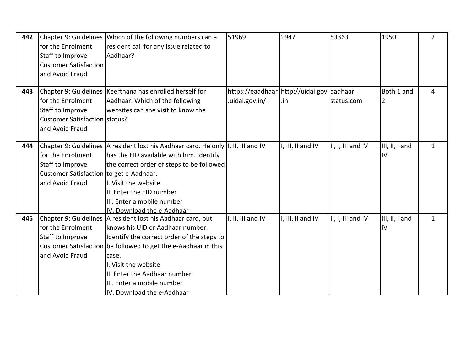| 442 |                                         | Chapter 9: Guidelines Which of the following numbers can a                            | 51969                                     | 1947              | 53363             | 1950           | $\overline{2}$ |
|-----|-----------------------------------------|---------------------------------------------------------------------------------------|-------------------------------------------|-------------------|-------------------|----------------|----------------|
|     | for the Enrolment                       | resident call for any issue related to                                                |                                           |                   |                   |                |                |
|     | Staff to Improve                        | Aadhaar?                                                                              |                                           |                   |                   |                |                |
|     | <b>Customer Satisfaction</b>            |                                                                                       |                                           |                   |                   |                |                |
|     | and Avoid Fraud                         |                                                                                       |                                           |                   |                   |                |                |
|     |                                         |                                                                                       |                                           |                   |                   |                |                |
| 443 |                                         | Chapter 9: Guidelines Keerthana has enrolled herself for                              | https://eaadhaar http://uidai.gov aadhaar |                   |                   | Both 1 and     | 4              |
|     | for the Enrolment                       | Aadhaar. Which of the following                                                       | .uidai.gov.in/                            | .in               | status.com        | 2              |                |
|     | Staff to Improve                        | websites can she visit to know the                                                    |                                           |                   |                   |                |                |
|     | Customer Satisfaction Status?           |                                                                                       |                                           |                   |                   |                |                |
|     | and Avoid Fraud                         |                                                                                       |                                           |                   |                   |                |                |
|     |                                         |                                                                                       |                                           |                   |                   |                |                |
| 444 |                                         | Chapter 9: Guidelines   A resident lost his Aadhaar card. He only   I, II, III and IV |                                           | I, III, II and IV | II, I, III and IV | III, II, I and | $\mathbf{1}$   |
|     | for the Enrolment                       | has the EID available with him. Identify                                              |                                           |                   |                   | IV             |                |
|     | Staff to Improve                        | the correct order of steps to be followed                                             |                                           |                   |                   |                |                |
|     | Customer Satisfaction to get e-Aadhaar. |                                                                                       |                                           |                   |                   |                |                |
|     | and Avoid Fraud                         | I. Visit the website                                                                  |                                           |                   |                   |                |                |
|     |                                         | II. Enter the EID number                                                              |                                           |                   |                   |                |                |
|     |                                         | III. Enter a mobile number                                                            |                                           |                   |                   |                |                |
|     |                                         | IV. Download the e-Aadhaar                                                            |                                           |                   |                   |                |                |
| 445 |                                         | Chapter 9: Guidelines   A resident lost his Aadhaar card, but                         | I, II, III and IV                         | I, III, II and IV | II, I, III and IV | III, II, I and | $\mathbf{1}$   |
|     | for the Enrolment                       | knows his UID or Aadhaar number.                                                      |                                           |                   |                   | IV             |                |
|     | Staff to Improve                        | Identify the correct order of the steps to                                            |                                           |                   |                   |                |                |
|     |                                         | Customer Satisfaction be followed to get the e-Aadhaar in this                        |                                           |                   |                   |                |                |
|     | and Avoid Fraud                         | case.                                                                                 |                                           |                   |                   |                |                |
|     |                                         | I. Visit the website                                                                  |                                           |                   |                   |                |                |
|     |                                         | II. Enter the Aadhaar number                                                          |                                           |                   |                   |                |                |
|     |                                         | III. Enter a mobile number                                                            |                                           |                   |                   |                |                |
|     |                                         | IV. Download the e-Aadhaar                                                            |                                           |                   |                   |                |                |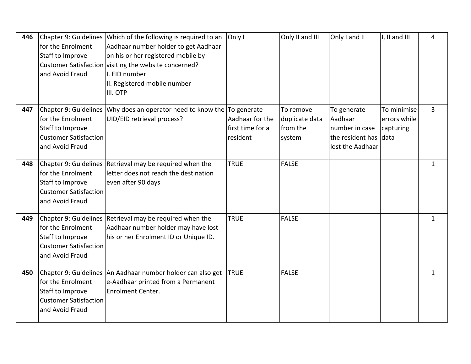| 446 | for the Enrolment<br>Staff to Improve<br>and Avoid Fraud                                                          | Chapter 9: Guidelines Which of the following is required to an<br>Aadhaar number holder to get Aadhaar<br>on his or her registered mobile by<br>Customer Satisfaction visiting the website concerned?<br>I. EID number | Only I                                          | Only II and III                                   | Only I and II                                                                         | I, II and III                            | 4              |
|-----|-------------------------------------------------------------------------------------------------------------------|------------------------------------------------------------------------------------------------------------------------------------------------------------------------------------------------------------------------|-------------------------------------------------|---------------------------------------------------|---------------------------------------------------------------------------------------|------------------------------------------|----------------|
|     |                                                                                                                   | II. Registered mobile number<br>III. OTP                                                                                                                                                                               |                                                 |                                                   |                                                                                       |                                          |                |
| 447 | Chapter 9: Guidelines<br>for the Enrolment<br>Staff to Improve<br><b>Customer Satisfaction</b><br>and Avoid Fraud | Why does an operator need to know the To generate<br>UID/EID retrieval process?                                                                                                                                        | Aadhaar for the<br>first time for a<br>resident | To remove<br>duplicate data<br>from the<br>system | To generate<br>Aadhaar<br>number in case<br>the resident has data<br>lost the Aadhaar | To minimise<br>errors while<br>capturing | $\overline{3}$ |
| 448 | for the Enrolment<br>Staff to Improve<br><b>Customer Satisfaction</b><br>and Avoid Fraud                          | Chapter 9: Guidelines Retrieval may be required when the<br>letter does not reach the destination<br>even after 90 days                                                                                                | <b>TRUE</b>                                     | <b>FALSE</b>                                      |                                                                                       |                                          | $\mathbf{1}$   |
| 449 | for the Enrolment<br>Staff to Improve<br><b>Customer Satisfaction</b><br>and Avoid Fraud                          | Chapter 9: Guidelines Retrieval may be required when the<br>Aadhaar number holder may have lost<br>his or her Enrolment ID or Unique ID.                                                                               | <b>TRUE</b>                                     | <b>FALSE</b>                                      |                                                                                       |                                          | $\mathbf{1}$   |
| 450 | for the Enrolment<br>Staff to Improve<br><b>Customer Satisfaction</b><br>and Avoid Fraud                          | Chapter 9: Guidelines An Aadhaar number holder can also get<br>e-Aadhaar printed from a Permanent<br><b>Enrolment Center.</b>                                                                                          | <b>TRUE</b>                                     | <b>FALSE</b>                                      |                                                                                       |                                          | 1              |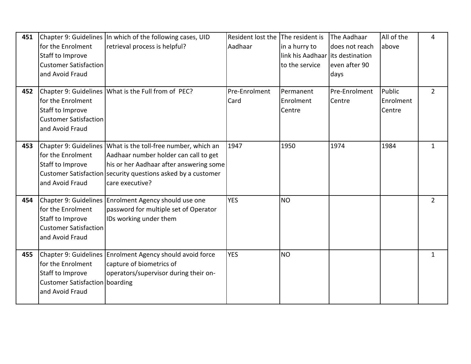| 451 | for the Enrolment<br>Staff to Improve<br><b>Customer Satisfaction</b><br>and Avoid Fraud          | Chapter 9: Guidelines In which of the following cases, UID<br>retrieval process is helpful?                                                                                                                                          | Resident lost the The resident is<br>Aadhaar | in a hurry to<br>link his Aadhaar lits destination<br>to the service | The Aadhaar<br>does not reach<br>even after 90<br>days | All of the<br>above           | 4              |
|-----|---------------------------------------------------------------------------------------------------|--------------------------------------------------------------------------------------------------------------------------------------------------------------------------------------------------------------------------------------|----------------------------------------------|----------------------------------------------------------------------|--------------------------------------------------------|-------------------------------|----------------|
| 452 | for the Enrolment<br>Staff to Improve<br><b>Customer Satisfaction</b><br>and Avoid Fraud          | Chapter 9: Guidelines   What is the Full from of PEC?                                                                                                                                                                                | Pre-Enrolment<br>Card                        | Permanent<br>Enrolment<br>Centre                                     | Pre-Enrolment<br>Centre                                | Public<br>Enrolment<br>Centre | $\overline{2}$ |
| 453 | for the Enrolment<br>Staff to Improve<br>and Avoid Fraud                                          | Chapter 9: Guidelines What is the toll-free number, which an<br>Aadhaar number holder can call to get<br>his or her Aadhaar after answering some<br>Customer Satisfaction security questions asked by a customer<br>Icare executive? | 1947                                         | 1950                                                                 | 1974                                                   | 1984                          | $\mathbf{1}$   |
| 454 | for the Enrolment<br>Staff to Improve<br><b>Customer Satisfaction</b><br>and Avoid Fraud          | Chapter 9: Guidelines Enrolment Agency should use one<br>password for multiple set of Operator<br>IDs working under them                                                                                                             | <b>YES</b>                                   | <b>NO</b>                                                            |                                                        |                               | $\overline{2}$ |
| 455 | for the Enrolment<br>Staff to Improve<br><b>Customer Satisfaction boarding</b><br>and Avoid Fraud | Chapter 9: Guidelines Enrolment Agency should avoid force<br>capture of biometrics of<br>operators/supervisor during their on-                                                                                                       | <b>YES</b>                                   | <b>NO</b>                                                            |                                                        |                               | $\mathbf{1}$   |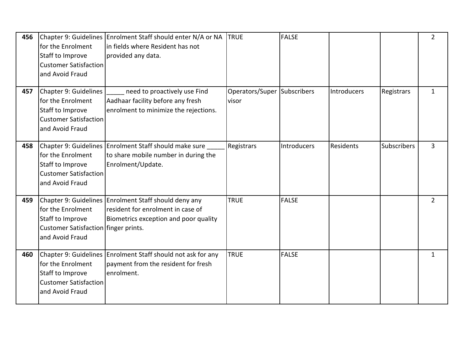| 456 | for the Enrolment<br>Staff to Improve<br><b>Customer Satisfaction</b><br>and Avoid Fraud                          | Chapter 9: Guidelines Enrolment Staff should enter N/A or NA<br>lin fields where Resident has not<br>provided any data.             | <b>TRUE</b>                          | <b>FALSE</b> |             |                    | $\overline{2}$ |
|-----|-------------------------------------------------------------------------------------------------------------------|-------------------------------------------------------------------------------------------------------------------------------------|--------------------------------------|--------------|-------------|--------------------|----------------|
| 457 | Chapter 9: Guidelines<br>for the Enrolment<br>Staff to Improve<br><b>Customer Satisfaction</b><br>and Avoid Fraud | need to proactively use Find<br>Aadhaar facility before any fresh<br>enrolment to minimize the rejections.                          | Operators/Super Subscribers<br>visor |              | Introducers | Registrars         | $\mathbf{1}$   |
| 458 | for the Enrolment<br>Staff to Improve<br><b>Customer Satisfaction</b><br>and Avoid Fraud                          | Chapter 9: Guidelines Enrolment Staff should make sure<br>to share mobile number in during the<br>Enrolment/Update.                 | Registrars                           | Introducers  | Residents   | <b>Subscribers</b> | $\mathbf{3}$   |
| 459 | for the Enrolment<br>Staff to Improve<br>Customer Satisfaction finger prints.<br>and Avoid Fraud                  | Chapter 9: Guidelines Enrolment Staff should deny any<br>resident for enrolment in case of<br>Biometrics exception and poor quality | <b>TRUE</b>                          | <b>FALSE</b> |             |                    | $\overline{2}$ |
| 460 | for the Enrolment<br>Staff to Improve<br><b>Customer Satisfaction</b><br>and Avoid Fraud                          | Chapter 9: Guidelines Enrolment Staff should not ask for any<br>payment from the resident for fresh<br>lenroIment.                  | <b>TRUE</b>                          | <b>FALSE</b> |             |                    | $\mathbf{1}$   |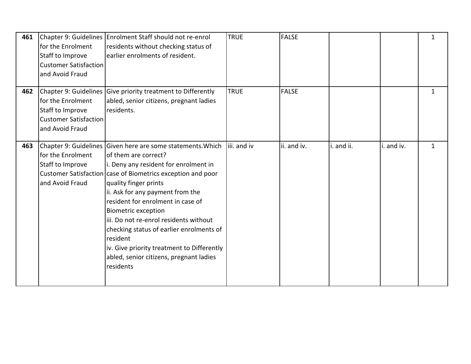| 461 | for the Enrolment<br>Staff to Improve<br><b>Customer Satisfaction</b><br>and Avoid Fraud | Chapter 9: Guidelines Enrolment Staff should not re-enrol<br>residents without checking status of<br>earlier enrolments of resident.                                                                                                                                                                                                                                                                                                                                                                                                 | <b>TRUE</b> | <b>FALSE</b> |            |            | $\mathbf{1}$ |
|-----|------------------------------------------------------------------------------------------|--------------------------------------------------------------------------------------------------------------------------------------------------------------------------------------------------------------------------------------------------------------------------------------------------------------------------------------------------------------------------------------------------------------------------------------------------------------------------------------------------------------------------------------|-------------|--------------|------------|------------|--------------|
| 462 | for the Enrolment<br>Staff to Improve<br><b>Customer Satisfaction</b><br>and Avoid Fraud | Chapter 9: Guidelines Give priority treatment to Differently<br>abled, senior citizens, pregnant ladies<br>residents.                                                                                                                                                                                                                                                                                                                                                                                                                | <b>TRUE</b> | <b>FALSE</b> |            |            | $\mathbf{1}$ |
| 463 | for the Enrolment<br>Staff to Improve<br>and Avoid Fraud                                 | Chapter 9: Guidelines Given here are some statements. Which<br>of them are correct?<br>i. Deny any resident for enrolment in<br>Customer Satisfaction case of Biometrics exception and poor<br>quality finger prints<br>ii. Ask for any payment from the<br>resident for enrolment in case of<br><b>Biometric exception</b><br>liii. Do not re-enrol residents without<br>checking status of earlier enrolments of<br>resident<br>iv. Give priority treatment to Differently<br>abled, senior citizens, pregnant ladies<br>residents | iii. and iv | lii. and iv. | i. and ii. | i. and iv. | $\mathbf{1}$ |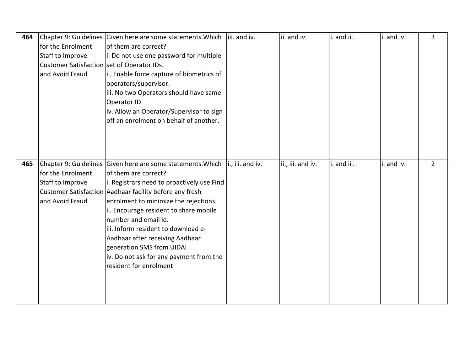| 464 |                                            | Chapter 9: Guidelines Given here are some statements. Which | iii. and iv.     | ii. and iv.       | i. and iii. | i. and iv. | 3              |
|-----|--------------------------------------------|-------------------------------------------------------------|------------------|-------------------|-------------|------------|----------------|
|     | for the Enrolment                          | of them are correct?                                        |                  |                   |             |            |                |
|     | Staff to Improve                           | i. Do not use one password for multiple                     |                  |                   |             |            |                |
|     | Customer Satisfaction set of Operator IDs. |                                                             |                  |                   |             |            |                |
|     | and Avoid Fraud                            | ii. Enable force capture of biometrics of                   |                  |                   |             |            |                |
|     |                                            | operators/supervisor.                                       |                  |                   |             |            |                |
|     |                                            | iii. No two Operators should have same                      |                  |                   |             |            |                |
|     |                                            | Operator ID                                                 |                  |                   |             |            |                |
|     |                                            | iv. Allow an Operator/Supervisor to sign                    |                  |                   |             |            |                |
|     |                                            | off an enrolment on behalf of another.                      |                  |                   |             |            |                |
|     |                                            |                                                             |                  |                   |             |            |                |
|     |                                            |                                                             |                  |                   |             |            |                |
|     |                                            |                                                             |                  |                   |             |            |                |
| 465 |                                            | Chapter 9: Guidelines Given here are some statements. Which | i., iii. and iv. | ii., iii. and iv. | i. and iii. | i. and iv. | $\overline{2}$ |
|     | for the Enrolment                          | of them are correct?                                        |                  |                   |             |            |                |
|     |                                            |                                                             |                  |                   |             |            |                |
|     | Staff to Improve                           | i. Registrars need to proactively use Find                  |                  |                   |             |            |                |
|     |                                            | Customer Satisfaction Aadhaar facility before any fresh     |                  |                   |             |            |                |
|     | and Avoid Fraud                            | enrolment to minimize the rejections.                       |                  |                   |             |            |                |
|     |                                            | ii. Encourage resident to share mobile                      |                  |                   |             |            |                |
|     |                                            | number and email id.                                        |                  |                   |             |            |                |
|     |                                            | iii. Inform resident to download e-                         |                  |                   |             |            |                |
|     |                                            | Aadhaar after receiving Aadhaar                             |                  |                   |             |            |                |
|     |                                            | generation SMS from UIDAI                                   |                  |                   |             |            |                |
|     |                                            | iv. Do not ask for any payment from the                     |                  |                   |             |            |                |
|     |                                            | resident for enrolment                                      |                  |                   |             |            |                |
|     |                                            |                                                             |                  |                   |             |            |                |
|     |                                            |                                                             |                  |                   |             |            |                |
|     |                                            |                                                             |                  |                   |             |            |                |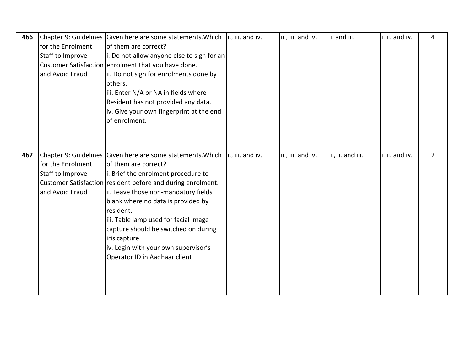| 466 |                   | Chapter 9: Guidelines Given here are some statements. Which   i., iii. and iv. |                  | ii., iii. and iv. | i. and iii.      | i. ii. and iv. | 4             |
|-----|-------------------|--------------------------------------------------------------------------------|------------------|-------------------|------------------|----------------|---------------|
|     | for the Enrolment | of them are correct?                                                           |                  |                   |                  |                |               |
|     | Staff to Improve  | i. Do not allow anyone else to sign for an                                     |                  |                   |                  |                |               |
|     |                   | Customer Satisfaction enrolment that you have done.                            |                  |                   |                  |                |               |
|     | and Avoid Fraud   | ii. Do not sign for enrolments done by                                         |                  |                   |                  |                |               |
|     |                   | others.                                                                        |                  |                   |                  |                |               |
|     |                   | iii. Enter N/A or NA in fields where                                           |                  |                   |                  |                |               |
|     |                   | Resident has not provided any data.                                            |                  |                   |                  |                |               |
|     |                   | iv. Give your own fingerprint at the end                                       |                  |                   |                  |                |               |
|     |                   | of enrolment.                                                                  |                  |                   |                  |                |               |
|     |                   |                                                                                |                  |                   |                  |                |               |
|     |                   |                                                                                |                  |                   |                  |                |               |
| 467 |                   | Chapter 9: Guidelines Given here are some statements. Which                    | i., iii. and iv. | ii., iii. and iv. | i., ii. and iii. | i. ii. and iv. | $\mathcal{P}$ |
|     | for the Enrolment | of them are correct?                                                           |                  |                   |                  |                |               |
|     | Staff to Improve  | i. Brief the enrolment procedure to                                            |                  |                   |                  |                |               |
|     |                   | Customer Satisfaction resident before and during enrolment.                    |                  |                   |                  |                |               |
|     | and Avoid Fraud   | ii. Leave those non-mandatory fields                                           |                  |                   |                  |                |               |
|     |                   | blank where no data is provided by                                             |                  |                   |                  |                |               |
|     |                   | resident.                                                                      |                  |                   |                  |                |               |
|     |                   | iii. Table lamp used for facial image                                          |                  |                   |                  |                |               |
|     |                   | capture should be switched on during                                           |                  |                   |                  |                |               |
|     |                   | iris capture.                                                                  |                  |                   |                  |                |               |
|     |                   | iv. Login with your own supervisor's                                           |                  |                   |                  |                |               |
|     |                   | Operator ID in Aadhaar client                                                  |                  |                   |                  |                |               |
|     |                   |                                                                                |                  |                   |                  |                |               |
|     |                   |                                                                                |                  |                   |                  |                |               |
|     |                   |                                                                                |                  |                   |                  |                |               |
|     |                   |                                                                                |                  |                   |                  |                |               |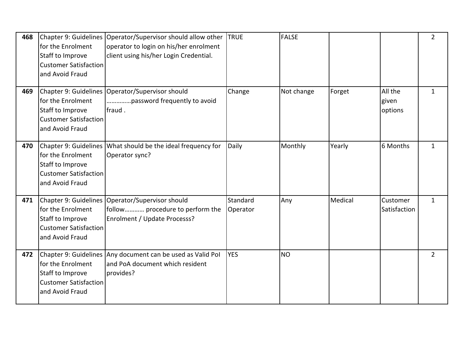| 468 | for the Enrolment<br>Staff to Improve<br><b>Customer Satisfaction</b><br>and Avoid Fraud | Chapter 9: Guidelines Operator/Supervisor should allow other<br>operator to login on his/her enrolment<br>client using his/her Login Credential. | <b>TRUE</b>          | <b>FALSE</b> |         |                             | $\overline{2}$ |
|-----|------------------------------------------------------------------------------------------|--------------------------------------------------------------------------------------------------------------------------------------------------|----------------------|--------------|---------|-----------------------------|----------------|
| 469 | for the Enrolment<br>Staff to Improve<br><b>Customer Satisfaction</b><br>and Avoid Fraud | Chapter 9: Guidelines   Operator/Supervisor should<br>password frequently to avoid<br>fraud.                                                     | Change               | Not change   | Forget  | All the<br>given<br>options | $\mathbf{1}$   |
| 470 | for the Enrolment<br>Staff to Improve<br><b>Customer Satisfaction</b><br>and Avoid Fraud | Chapter 9: Guidelines What should be the ideal frequency for<br>Operator sync?                                                                   | Daily                | Monthly      | Yearly  | 6 Months                    | 1              |
| 471 | for the Enrolment<br>Staff to Improve<br><b>Customer Satisfaction</b><br>and Avoid Fraud | Chapter 9: Guidelines   Operator/Supervisor should<br>follow procedure to perform the<br>Enrolment / Update Processs?                            | Standard<br>Operator | Any          | Medical | Customer<br>Satisfaction    | $\mathbf{1}$   |
| 472 | for the Enrolment<br>Staff to Improve<br><b>Customer Satisfaction</b><br>and Avoid Fraud | Chapter 9: Guidelines Any document can be used as Valid Pol<br>and PoA document which resident<br>provides?                                      | <b>YES</b>           | <b>NO</b>    |         |                             | $\overline{2}$ |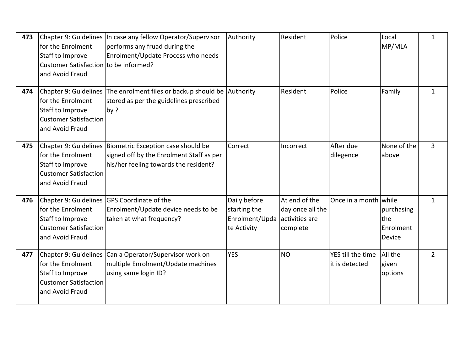| 473 | for the Enrolment<br>Staff to Improve<br>Customer Satisfaction to be informed?<br>and Avoid Fraud                 | Chapter 9: Guidelines In case any fellow Operator/Supervisor<br>performs any fruad during the<br>Enrolment/Update Process who needs             | Authority                                                     | Resident                                                        | Police                              | Local<br>MP/MLA                                 | $\mathbf{1}$   |
|-----|-------------------------------------------------------------------------------------------------------------------|-------------------------------------------------------------------------------------------------------------------------------------------------|---------------------------------------------------------------|-----------------------------------------------------------------|-------------------------------------|-------------------------------------------------|----------------|
| 474 | for the Enrolment<br>Staff to Improve<br><b>Customer Satisfaction</b><br>and Avoid Fraud                          | Chapter 9: Guidelines The enrolment files or backup should be Authority<br>stored as per the guidelines prescribed<br>by ?                      |                                                               | Resident                                                        | Police                              | Family                                          | 1              |
| 475 | for the Enrolment<br>Staff to Improve<br><b>Customer Satisfaction</b><br>and Avoid Fraud                          | Chapter 9: Guidelines   Biometric Exception case should be<br>signed off by the Enrolment Staff as per<br>his/her feeling towards the resident? | Correct                                                       | Incorrect                                                       | After due<br>dilegence              | None of the<br>above                            | 3              |
| 476 | for the Enrolment<br>Staff to Improve<br><b>Customer Satisfaction</b><br>and Avoid Fraud                          | Chapter 9: Guidelines GPS Coordinate of the<br>Enrolment/Update device needs to be<br>taken at what frequency?                                  | Daily before<br>starting the<br>Enrolment/Upda<br>te Activity | At end of the<br>day once all the<br>activities are<br>complete | Once in a month while               | purchasing<br>the<br>Enrolment<br><b>Device</b> | $\mathbf{1}$   |
| 477 | Chapter 9: Guidelines<br>for the Enrolment<br>Staff to Improve<br><b>Customer Satisfaction</b><br>and Avoid Fraud | Can a Operator/Supervisor work on<br>multiple Enrolment/Update machines<br>using same login ID?                                                 | <b>YES</b>                                                    | <b>NO</b>                                                       | YES till the time<br>it is detected | All the<br>given<br>options                     | $\overline{2}$ |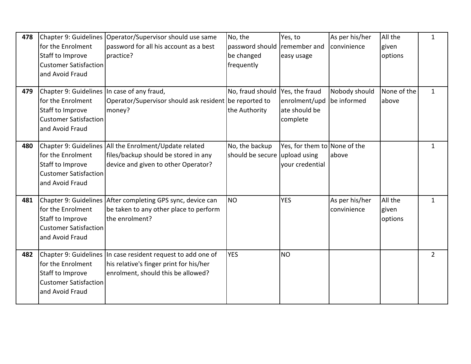| 478 | for the Enrolment<br>Staff to Improve<br><b>Customer Satisfaction</b><br>and Avoid Fraud                                                | Chapter 9: Guidelines Operator/Supervisor should use same<br>password for all his account as a best<br>practice?                              | No, the<br>password should<br>be changed<br>frequently | Yes, to<br>remember and<br>easy usage                           | As per his/her<br>convinience | All the<br>given<br>options | $\mathbf{1}$   |
|-----|-----------------------------------------------------------------------------------------------------------------------------------------|-----------------------------------------------------------------------------------------------------------------------------------------------|--------------------------------------------------------|-----------------------------------------------------------------|-------------------------------|-----------------------------|----------------|
| 479 | Chapter 9: Guidelines In case of any fraud,<br>for the Enrolment<br>Staff to Improve<br><b>Customer Satisfaction</b><br>and Avoid Fraud | Operator/Supervisor should ask resident be reported to<br>money?                                                                              | No, fraud should<br>the Authority                      | Yes, the fraud<br>enrolment/upd<br>ate should be<br>complete    | Nobody should<br>be informed  | None of the<br>above        | $\mathbf{1}$   |
| 480 | for the Enrolment<br>Staff to Improve<br><b>Customer Satisfaction</b><br>and Avoid Fraud                                                | Chapter 9: Guidelines All the Enrolment/Update related<br>files/backup should be stored in any<br>device and given to other Operator?         | No, the backup<br>should be secure                     | Yes, for them to None of the<br>upload using<br>your credential | above                         |                             | $\mathbf{1}$   |
| 481 | Chapter 9: Guidelines<br>for the Enrolment<br>Staff to Improve<br><b>Customer Satisfaction</b><br>and Avoid Fraud                       | After completing GPS sync, device can<br>be taken to any other place to perform<br>the enrolment?                                             | <b>NO</b>                                              | <b>YES</b>                                                      | As per his/her<br>convinience | All the<br>given<br>options | $\mathbf{1}$   |
| 482 | for the Enrolment<br>Staff to Improve<br><b>Customer Satisfaction</b><br>and Avoid Fraud                                                | Chapter 9: Guidelines In case resident request to add one of<br>his relative's finger print for his/her<br>enrolment, should this be allowed? | <b>YES</b>                                             | <b>NO</b>                                                       |                               |                             | $\overline{2}$ |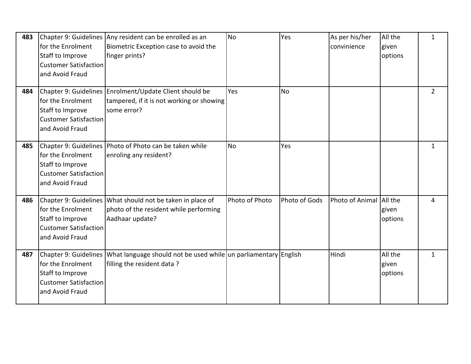| 483 | for the Enrolment<br>Staff to Improve<br><b>Customer Satisfaction</b><br>and Avoid Fraud | Chapter 9: Guidelines Any resident can be enrolled as an<br>Biometric Exception case to avoid the<br>finger prints?     | <b>No</b>      | Yes           | As per his/her<br>convinience | All the<br>given<br>options | $\mathbf{1}$   |
|-----|------------------------------------------------------------------------------------------|-------------------------------------------------------------------------------------------------------------------------|----------------|---------------|-------------------------------|-----------------------------|----------------|
| 484 | for the Enrolment<br>Staff to Improve<br><b>Customer Satisfaction</b><br>and Avoid Fraud | Chapter 9: Guidelines Enrolment/Update Client should be<br>tampered, if it is not working or showing<br>some error?     | Yes            | <b>No</b>     |                               |                             | $\overline{2}$ |
| 485 | for the Enrolment<br>Staff to Improve<br><b>Customer Satisfaction</b><br>and Avoid Fraud | Chapter 9: Guidelines Photo of Photo can be taken while<br>enroling any resident?                                       | <b>No</b>      | Yes           |                               |                             | 1              |
| 486 | for the Enrolment<br>Staff to Improve<br><b>Customer Satisfaction</b><br>and Avoid Fraud | Chapter 9: Guidelines What should not be taken in place of<br>photo of the resident while performing<br>Aadhaar update? | Photo of Photo | Photo of Gods | Photo of Animal All the       | given<br>options            | 4              |
| 487 | for the Enrolment<br>Staff to Improve<br><b>Customer Satisfaction</b><br>and Avoid Fraud | Chapter 9: Guidelines What language should not be used while un parliamentary English<br>filling the resident data?     |                |               | Hindi                         | All the<br>given<br>options | $\mathbf{1}$   |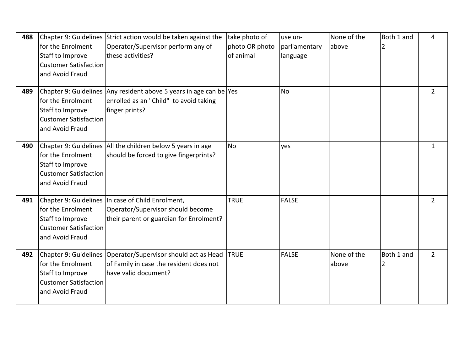| 488 | for the Enrolment<br>Staff to Improve<br><b>Customer Satisfaction</b><br>and Avoid Fraud | Chapter 9: Guidelines Strict action would be taken against the<br>Operator/Supervisor perform any of<br>lthese activities?        | take photo of<br>photo OR photo<br>of animal | use un-<br>parliamentary<br>language | None of the<br>above | Both 1 and | 4              |
|-----|------------------------------------------------------------------------------------------|-----------------------------------------------------------------------------------------------------------------------------------|----------------------------------------------|--------------------------------------|----------------------|------------|----------------|
| 489 | for the Enrolment<br>Staff to Improve<br><b>Customer Satisfaction</b><br>and Avoid Fraud | Chapter 9: Guidelines Any resident above 5 years in age can be   Yes<br>enrolled as an "Child" to avoid taking<br>finger prints?  |                                              | <b>No</b>                            |                      |            | $\overline{2}$ |
| 490 | for the Enrolment<br>Staff to Improve<br><b>Customer Satisfaction</b><br>and Avoid Fraud | Chapter 9: Guidelines All the children below 5 years in age<br>should be forced to give fingerprints?                             | <b>No</b>                                    | yes                                  |                      |            | $\mathbf{1}$   |
| 491 | for the Enrolment<br>Staff to Improve<br><b>Customer Satisfaction</b><br>and Avoid Fraud | Chapter 9: Guidelines In case of Child Enrolment,<br>Operator/Supervisor should become<br>their parent or guardian for Enrolment? | <b>TRUE</b>                                  | <b>FALSE</b>                         |                      |            | $\overline{2}$ |
| 492 | for the Enrolment<br>Staff to Improve<br><b>Customer Satisfaction</b><br>and Avoid Fraud | Chapter 9: Guidelines   Operator/Supervisor should act as Head<br>of Family in case the resident does not<br>have valid document? | <b>TRUE</b>                                  | <b>FALSE</b>                         | None of the<br>above | Both 1 and | $\overline{2}$ |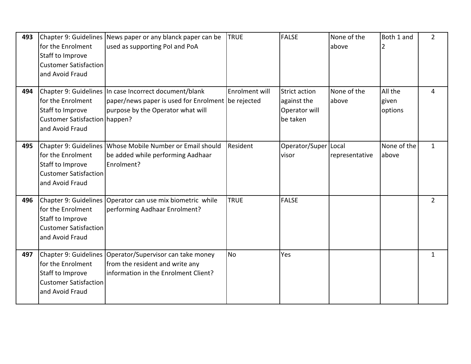| 493 | for the Enrolment<br>Staff to Improve<br><b>Customer Satisfaction</b><br>and Avoid Fraud        | Chapter 9: Guidelines News paper or any blanck paper can be<br>used as supporting Pol and PoA                                                     | <b>TRUE</b>    | <b>FALSE</b>                                                     | None of the<br>above | Both 1 and<br>2             | $\overline{2}$ |
|-----|-------------------------------------------------------------------------------------------------|---------------------------------------------------------------------------------------------------------------------------------------------------|----------------|------------------------------------------------------------------|----------------------|-----------------------------|----------------|
| 494 | for the Enrolment<br>Staff to Improve<br>Customer Satisfaction   happen?<br>and Avoid Fraud     | Chapter 9: Guidelines In case Incorrect document/blank<br>paper/news paper is used for Enrolment be rejected<br>purpose by the Operator what will | Enrolment will | <b>Strict action</b><br>against the<br>Operator will<br>be taken | None of the<br>above | All the<br>given<br>options | 4              |
| 495 | for the Enrolment<br><b>Staff to Improve</b><br><b>Customer Satisfaction</b><br>and Avoid Fraud | Chapter 9: Guidelines Whose Mobile Number or Email should<br>be added while performing Aadhaar<br>Enrolment?                                      | Resident       | Operator/Super   Local<br>visor                                  | representative       | None of the<br>above        | $\mathbf{1}$   |
| 496 | for the Enrolment<br>Staff to Improve<br><b>Customer Satisfaction</b><br>and Avoid Fraud        | Chapter 9: Guidelines Operator can use mix biometric while<br>performing Aadhaar Enrolment?                                                       | <b>TRUE</b>    | <b>FALSE</b>                                                     |                      |                             | $\overline{2}$ |
| 497 | for the Enrolment<br>Staff to Improve<br><b>Customer Satisfaction</b><br>and Avoid Fraud        | Chapter 9: Guidelines   Operator/Supervisor can take money<br>from the resident and write any<br>information in the Enrolment Client?             | <b>No</b>      | Yes                                                              |                      |                             | $\mathbf{1}$   |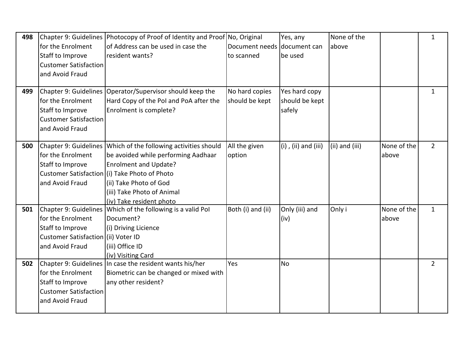| 498 |                                     | Chapter 9: Guidelines Photocopy of Proof of Identity and Proof No, Original |                             | Yes, any                   | None of the    |             | $\mathbf{1}$   |
|-----|-------------------------------------|-----------------------------------------------------------------------------|-----------------------------|----------------------------|----------------|-------------|----------------|
|     | for the Enrolment                   | of Address can be used in case the                                          | Document needs document can |                            | above          |             |                |
|     | Staff to Improve                    | resident wants?                                                             | to scanned                  | be used                    |                |             |                |
|     | <b>Customer Satisfaction</b>        |                                                                             |                             |                            |                |             |                |
|     | and Avoid Fraud                     |                                                                             |                             |                            |                |             |                |
|     |                                     |                                                                             |                             |                            |                |             |                |
| 499 |                                     | Chapter 9: Guidelines Operator/Supervisor should keep the                   | No hard copies              | Yes hard copy              |                |             | $\mathbf{1}$   |
|     | for the Enrolment                   | Hard Copy of the Pol and PoA after the                                      | should be kept              | should be kept             |                |             |                |
|     | Staff to Improve                    | Enrolment is complete?                                                      |                             | safely                     |                |             |                |
|     | <b>Customer Satisfaction</b>        |                                                                             |                             |                            |                |             |                |
|     | and Avoid Fraud                     |                                                                             |                             |                            |                |             |                |
|     |                                     |                                                                             |                             |                            |                |             |                |
| 500 | Chapter 9: Guidelines               | Which of the following activities should                                    | All the given               | $(i)$ , $(ii)$ and $(iii)$ | (ii) and (iii) | None of the | $\overline{2}$ |
|     | for the Enrolment                   | be avoided while performing Aadhaar                                         | option                      |                            |                | above       |                |
|     | Staff to Improve                    | Enrolment and Update?                                                       |                             |                            |                |             |                |
|     |                                     | Customer Satisfaction (i) Take Photo of Photo                               |                             |                            |                |             |                |
|     | and Avoid Fraud                     | (ii) Take Photo of God                                                      |                             |                            |                |             |                |
|     |                                     | (iii) Take Photo of Animal                                                  |                             |                            |                |             |                |
|     |                                     | (iv) Take resident photo                                                    |                             |                            |                |             |                |
| 501 | Chapter 9: Guidelines               | Which of the following is a valid Pol                                       | Both (i) and (ii)           | Only (iii) and             | Only i         | None of the | $\mathbf{1}$   |
|     | for the Enrolment                   | Document?                                                                   |                             | (iv)                       |                | above       |                |
|     | Staff to Improve                    | (i) Driving Licience                                                        |                             |                            |                |             |                |
|     | Customer Satisfaction (ii) Voter ID |                                                                             |                             |                            |                |             |                |
|     | and Avoid Fraud                     | (iii) Office ID                                                             |                             |                            |                |             |                |
|     |                                     | (iv) Visiting Card                                                          |                             |                            |                |             |                |
| 502 |                                     | Chapter 9: Guidelines In case the resident wants his/her                    | Yes                         | <b>No</b>                  |                |             | $\overline{2}$ |
|     | for the Enrolment                   | Biometric can be changed or mixed with                                      |                             |                            |                |             |                |
|     | Staff to Improve                    | any other resident?                                                         |                             |                            |                |             |                |
|     | <b>Customer Satisfaction</b>        |                                                                             |                             |                            |                |             |                |
|     | and Avoid Fraud                     |                                                                             |                             |                            |                |             |                |
|     |                                     |                                                                             |                             |                            |                |             |                |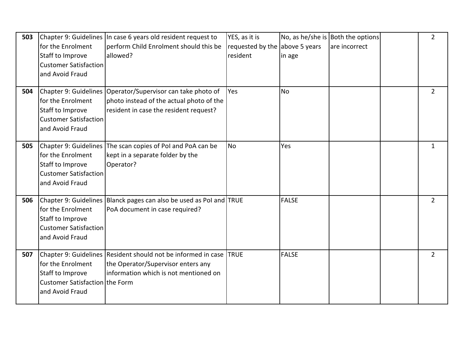| 503 | for the Enrolment<br><b>Staff to Improve</b><br><b>Customer Satisfaction</b><br>and Avoid Fraud                          | Chapter 9: Guidelines In case 6 years old resident request to<br>perform Child Enrolment should this be<br>lallowed?                                | YES, as it is<br>requested by the above 5 years<br>resident | in age       | No, as he/she is Both the options<br>lare incorrect | $\overline{2}$ |
|-----|--------------------------------------------------------------------------------------------------------------------------|-----------------------------------------------------------------------------------------------------------------------------------------------------|-------------------------------------------------------------|--------------|-----------------------------------------------------|----------------|
| 504 | for the Enrolment<br>Staff to Improve<br><b>Customer Satisfaction</b><br>and Avoid Fraud                                 | Chapter 9: Guidelines   Operator/Supervisor can take photo of<br>photo instead of the actual photo of the<br>resident in case the resident request? | Yes                                                         | <b>No</b>    |                                                     | $\overline{2}$ |
| 505 | for the Enrolment<br>Staff to Improve<br><b>Customer Satisfaction</b><br>and Avoid Fraud                                 | Chapter 9: Guidelines The scan copies of PoI and PoA can be<br>kept in a separate folder by the<br>Operator?                                        | <b>No</b>                                                   | Yes          |                                                     | $\mathbf{1}$   |
| 506 | Chapter 9: Guidelines<br>for the Enrolment<br><b>Staff to Improve</b><br><b>Customer Satisfaction</b><br>and Avoid Fraud | Blanck pages can also be used as Pol and TRUE<br>PoA document in case required?                                                                     |                                                             | <b>FALSE</b> |                                                     | $\overline{2}$ |
| 507 | for the Enrolment<br>Staff to Improve<br>Customer Satisfaction the Form<br>and Avoid Fraud                               | Chapter 9: Guidelines Resident should not be informed in case<br>the Operator/Supervisor enters any<br>linformation which is not mentioned on       | <b>TRUE</b>                                                 | <b>FALSE</b> |                                                     | $\overline{2}$ |